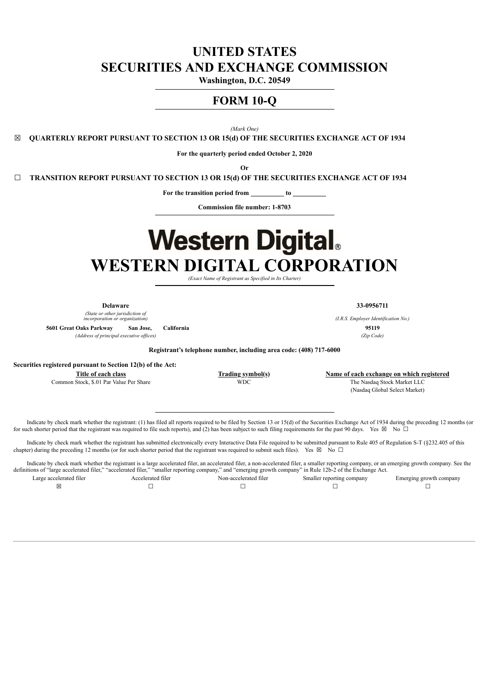# **UNITED STATES SECURITIES AND EXCHANGE COMMISSION**

**Washington, D.C. 20549**

# **FORM 10-Q**

*(Mark One)*

☒ **QUARTERLY REPORT PURSUANT TO SECTION 13 OR 15(d) OF THE SECURITIES EXCHANGE ACT OF 1934**

**For the quarterly period ended October 2, 2020**

**Or**

☐ **TRANSITION REPORT PURSUANT TO SECTION 13 OR 15(d) OF THE SECURITIES EXCHANGE ACT OF 1934**

For the transition period from \_\_\_\_\_\_\_\_\_\_ to \_

**Commission file number: 1-8703**

# **Western Digital. WESTERN DIGITAL CORPORATION**

*(Exact Name of Registrant as Specified in Its Charter)*

*(State or other jurisdiction of*

**5601 Great Oaks Parkway San Jose, California 95119** *(Address of principal executive of ices) (Zip Code)*

*incorporation or organization) (I.R.S. Employer Identification No.)*

**Registrant's telephone number, including area code: (408) 717-6000**

**Securities registered pursuant to Section 12(b) of the Act:**

Common Stock, \$.01 Par Value Per Share

**Title of each class**<br> **Trading symbol(s)**<br> **Name of each exchange on which registered**<br> **Name of each exchange on which registered**<br> **Name of each exchange on which registered**<br> **Name of each exchange on which registered** (Nasdaq Global Select Market)

Indicate by check mark whether the registrant: (1) has filed all reports required to be filed by Section 13 or 15(d) of the Securities Exchange Act of 1934 during the preceding 12 months (or for such shorter period that the registrant was required to file such reports), and (2) has been subject to such filing requirements for the past 90 days. Yes  $\boxtimes$  No  $\Box$ 

Indicate by check mark whether the registrant has submitted electronically every Interactive Data File required to be submitted pursuant to Rule 405 of Regulation S-T (§232.405 of this chapter) during the preceding 12 months (or for such shorter period that the registrant was required to submit such files). Yes  $\boxtimes$  No  $\Box$ 

Indicate by check mark whether the registrant is a large accelerated filer, an accelerated filer, a mon-accelerated filer, a smaller reporting company, or an emerging growth company. See the definitions of "large accelerated filer," "accelerated filer," "smaller reporting company," and "emerging growth company" in Rule 12b-2 of the Exchange Act. Large accelerated filer Accelerated filer Non-accelerated filer Smaller reporting company Emerging growth company ☒ ☐ ☐ ☐ ☐

**Delaware 33-0956711**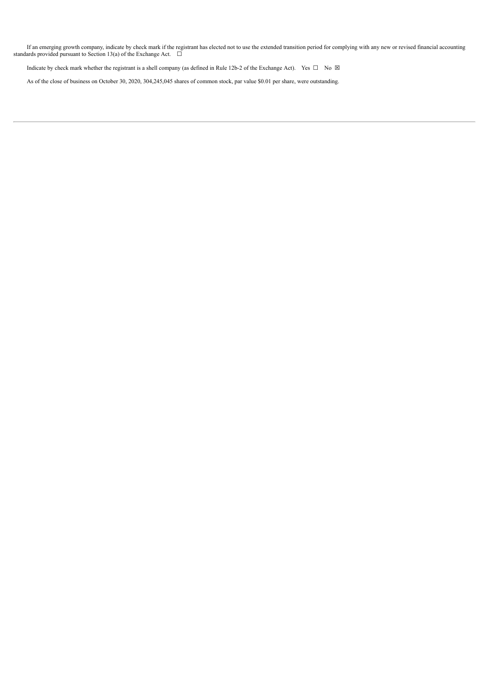If an emerging growth company, indicate by check mark if the registrant has elected not to use the extended transition period for complying with any new or revised financial accounting standards provided pursuant to Section 13(a) of the Exchange Act.  $\Box$ 

Indicate by check mark whether the registrant is a shell company (as defined in Rule 12b-2 of the Exchange Act). Yes  $\Box$  No  $\boxtimes$ 

<span id="page-1-0"></span>As of the close of business on October 30, 2020, 304,245,045 shares of common stock, par value \$0.01 per share, were outstanding.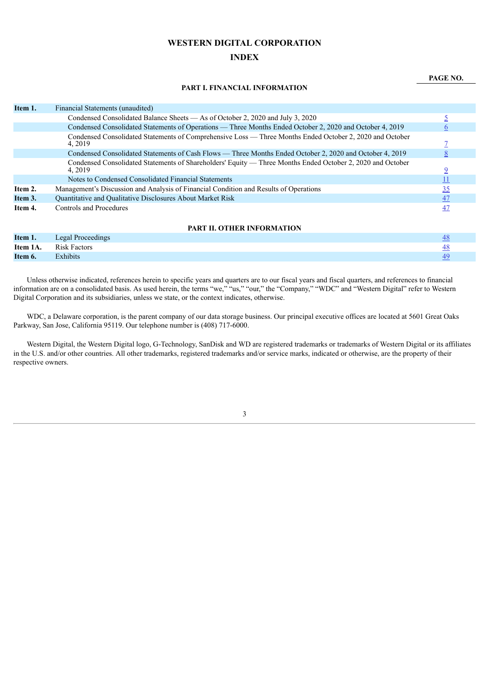# **WESTERN DIGITAL CORPORATION**

# **INDEX**

# **PAGE NO.**

# **PART I. FINANCIAL INFORMATION**

# **PART II. OTHER INFORMATION**

|         | <b>Item 1.</b> Legal Proceedings |                |
|---------|----------------------------------|----------------|
|         | <b>Item 1A.</b> Risk Factors     | $\frac{48}{1}$ |
| Item 6. | Exhibits                         |                |

Unless otherwise indicated, references herein to specific years and quarters are to our fiscal years and fiscal quarters, and references to financial information are on a consolidated basis. As used herein, the terms "we," "us," "our," the "Company," "WDC" and "Western Digital" refer to Western Digital Corporation and its subsidiaries, unless we state, or the context indicates, otherwise.

WDC, a Delaware corporation, is the parent company of our data storage business. Our principal executive offices are located at 5601 Great Oaks Parkway, San Jose, California 95119. Our telephone number is (408) 717-6000.

Western Digital, the Western Digital logo, G-Technology, SanDisk and WD are registered trademarks or trademarks of Western Digital or its affiliates in the U.S. and/or other countries. All other trademarks, registered trademarks and/or service marks, indicated or otherwise, are the property of their respective owners.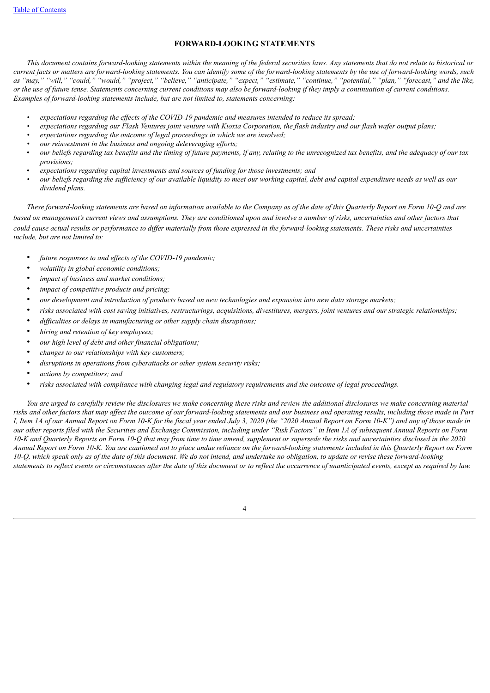# **FORWARD-LOOKING STATEMENTS**

This document contains forward-looking statements within the meaning of the federal securities laws. Any statements that do not relate to historical or current facts or matters are forward-looking statements. You can identify some of the forward-looking statements by the use of forward-looking words, such as "may," "will," "could," "would," "project," "believe," "anticipate," "expect," "estimate," "continue," "potential," "plan," "forecast," and the like, or the use of future tense. Statements concerning current conditions may also be forward-looking if they imply a continuation of current conditions. *Examples of forward-looking statements include, but are not limited to, statements concerning:*

- *• expectations regarding the ef ects of the COVID-19 pandemic and measures intended to reduce its spread;*
- expectations regarding our Flash Ventures joint venture with Kioxia Corporation, the flash industry and our flash wafer output plans;
- *• expectations regarding the outcome of legal proceedings in which we are involved;*
- *• our reinvestment in the business and ongoing deleveraging ef orts;*
- our beliefs regarding tax benefits and the timing of future payments, if any, relating to the unrecognized tax benefits, and the adequacy of our tax *provisions;*
- *expectations regarding capital investments and sources of funding for those investments; and*
- our beliefs regarding the sufficiency of our available liquidity to meet our working capital, debt and capital expenditure needs as well as our *dividend plans.*

These forward-looking statements are based on information available to the Company as of the date of this Quarterly Report on Form 10-Q and are based on management's current views and assumptions. They are conditioned upon and involve a number of risks, uncertainties and other factors that could cause actual results or performance to differ materially from those expressed in the forward-looking statements. These risks and uncertainties *include, but are not limited to:*

- *future responses to and ef ects of the COVID-19 pandemic;*
- *volatility in global economic conditions;*
- *impact of business and market conditions;*
- *impact of competitive products and pricing;*
- our development and introduction of products based on new technologies and expansion into new data storage markets;
- risks associated with cost saving initiatives, restructurings, acquisitions, divestitures, mergers, joint ventures and our strategic relationships;
- *dif iculties or delays in manufacturing or other supply chain disruptions;*
- *hiring and retention of key employees;*
- *our high level of debt and other financial obligations;*
- *changes to our relationships with key customers;*
- *disruptions in operations from cyberattacks or other system security risks;*
- *actions by competitors; and*
- risks associated with compliance with changing legal and regulatory requirements and the outcome of legal proceedings.

You are urged to carefully review the disclosures we make concerning these risks and review the additional disclosures we make concerning material risks and other factors that may affect the outcome of our forward-looking statements and our business and operating results, including those made in Part I. Item 1A of our Annual Report on Form 10-K for the fiscal vear ended July 3, 2020 (the "2020 Annual Report on Form 10-K") and any of those made in our other reports filed with the Securities and Exchange Commission, including under "Risk Factors" in Item 1A of subsequent Annual Reports on Form 10-K and Ouarterly Reports on Form 10-O that may from time to time amend, supplement or supersede the risks and uncertainties disclosed in the 2020 Annual Report on Form 10-K. You are cautioned not to place undue reliance on the forward-looking statements included in this Quarterly Report on Form 10-O, which speak only as of the date of this document. We do not intend, and undertake no obligation, to update or revise these forward-looking statements to reflect events or circumstances after the date of this document or to reflect the occurrence of unanticipated events, except as required by law.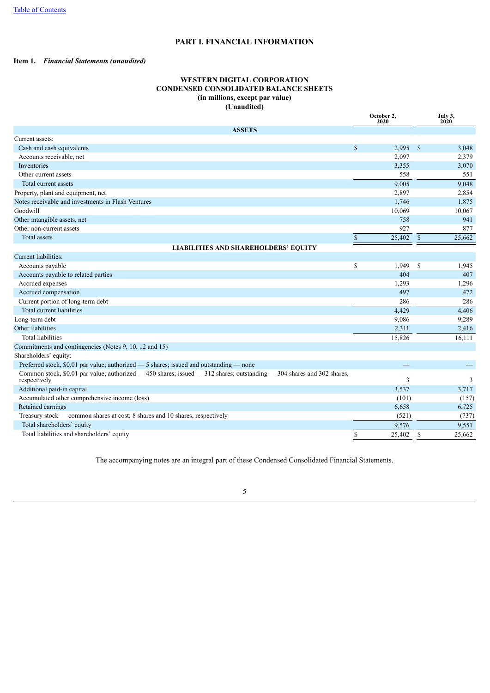# **PART I. FINANCIAL INFORMATION**

# <span id="page-4-0"></span>**Item 1.** *Financial Statements (unaudited)*

# **WESTERN DIGITAL CORPORATION CONDENSED CONSOLIDATED BALANCE SHEETS (in millions, except par value) (Unaudited)**

|                                                                                                                                        |                    | October 2,<br>2020 |               | July 3,<br>2020 |
|----------------------------------------------------------------------------------------------------------------------------------------|--------------------|--------------------|---------------|-----------------|
| <b>ASSETS</b>                                                                                                                          |                    |                    |               |                 |
| Current assets:                                                                                                                        |                    |                    |               |                 |
| Cash and cash equivalents                                                                                                              | $\mathbf{\hat{S}}$ | 2,995              | <sup>\$</sup> | 3,048           |
| Accounts receivable, net                                                                                                               |                    | 2,097              |               | 2,379           |
| Inventories                                                                                                                            |                    | 3,355              |               | 3,070           |
| Other current assets                                                                                                                   |                    | 558                |               | 551             |
| Total current assets                                                                                                                   |                    | 9,005              |               | 9,048           |
| Property, plant and equipment, net                                                                                                     |                    | 2,897              |               | 2,854           |
| Notes receivable and investments in Flash Ventures                                                                                     |                    | 1,746              |               | 1,875           |
| Goodwill                                                                                                                               |                    | 10,069             |               | 10,067          |
| Other intangible assets, net                                                                                                           |                    | 758                |               | 941             |
| Other non-current assets                                                                                                               |                    | 927                |               | 877             |
| <b>Total assets</b>                                                                                                                    | $\mathbb{S}$       | 25,402             | $\mathbb{S}$  | 25,662          |
| <b>LIABILITIES AND SHAREHOLDERS' EQUITY</b>                                                                                            |                    |                    |               |                 |
| Current liabilities:                                                                                                                   |                    |                    |               |                 |
| Accounts payable                                                                                                                       | \$                 | 1,949              | <sup>\$</sup> | 1,945           |
| Accounts payable to related parties                                                                                                    |                    | 404                |               | 407             |
| Accrued expenses                                                                                                                       |                    | 1,293              |               | 1,296           |
| Accrued compensation                                                                                                                   |                    | 497                |               | 472             |
| Current portion of long-term debt                                                                                                      |                    | 286                |               | 286             |
| Total current liabilities                                                                                                              |                    | 4,429              |               | 4,406           |
| Long-term debt                                                                                                                         |                    | 9,086              |               | 9,289           |
| Other liabilities                                                                                                                      |                    | 2,311              |               | 2,416           |
| <b>Total liabilities</b>                                                                                                               |                    | 15,826             |               | 16,111          |
| Commitments and contingencies (Notes 9, 10, 12 and 15)                                                                                 |                    |                    |               |                 |
| Shareholders' equity:                                                                                                                  |                    |                    |               |                 |
| Preferred stock, \$0.01 par value; authorized - 5 shares; issued and outstanding - none                                                |                    |                    |               |                 |
| Common stock, \$0.01 par value; authorized — 450 shares; issued — 312 shares; outstanding — 304 shares and 302 shares,<br>respectively |                    | 3                  |               | 3               |
| Additional paid-in capital                                                                                                             |                    | 3,537              |               | 3,717           |
| Accumulated other comprehensive income (loss)                                                                                          |                    | (101)              |               | (157)           |
| Retained earnings                                                                                                                      |                    | 6,658              |               | 6,725           |
| Treasury stock — common shares at cost; 8 shares and 10 shares, respectively                                                           |                    | (521)              |               | (737)           |
| Total shareholders' equity                                                                                                             |                    | 9,576              |               | 9,551           |
| Total liabilities and shareholders' equity                                                                                             | \$                 | 25,402             | <sup>\$</sup> | 25.662          |

<span id="page-4-1"></span>The accompanying notes are an integral part of these Condensed Consolidated Financial Statements.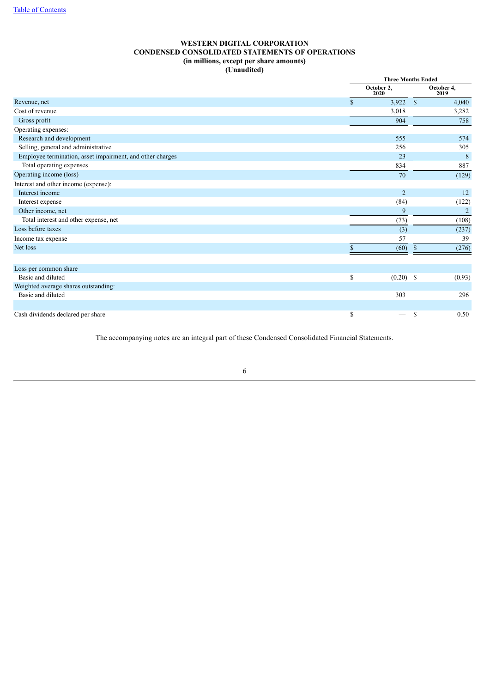# **WESTERN DIGITAL CORPORATION CONDENSED CONSOLIDATED STATEMENTS OF OPERATIONS (in millions, except per share amounts) (Unaudited)**

|                                                           |              | <b>Three Months Ended</b> |                    |                    |  |
|-----------------------------------------------------------|--------------|---------------------------|--------------------|--------------------|--|
|                                                           |              | October 2,<br>2020        |                    | October 4,<br>2019 |  |
| Revenue, net                                              | $\mathbf S$  | 3,922                     | $\mathbf{\hat{s}}$ | 4,040              |  |
| Cost of revenue                                           |              | 3,018                     |                    | 3,282              |  |
| Gross profit                                              |              | 904                       |                    | 758                |  |
| Operating expenses:                                       |              |                           |                    |                    |  |
| Research and development                                  |              | 555                       |                    | 574                |  |
| Selling, general and administrative                       |              | 256                       |                    | 305                |  |
| Employee termination, asset impairment, and other charges |              | 23                        |                    | 8                  |  |
| Total operating expenses                                  |              | 834                       |                    | 887                |  |
| Operating income (loss)                                   |              | 70                        |                    | (129)              |  |
| Interest and other income (expense):                      |              |                           |                    |                    |  |
| Interest income                                           |              | $\overline{2}$            |                    | 12                 |  |
| Interest expense                                          |              | (84)                      |                    | (122)              |  |
| Other income, net                                         |              | 9                         |                    | $\overline{2}$     |  |
| Total interest and other expense, net                     |              | (73)                      |                    | (108)              |  |
| Loss before taxes                                         |              | (3)                       |                    | (237)              |  |
| Income tax expense                                        |              | 57                        |                    | 39                 |  |
| Net loss                                                  | $\mathbf{s}$ | (60)                      | $\mathbf{\hat{s}}$ | (276)              |  |
| Loss per common share                                     |              |                           |                    |                    |  |
| Basic and diluted                                         | \$           | $(0.20)$ \$               |                    | (0.93)             |  |
| Weighted average shares outstanding:                      |              |                           |                    |                    |  |
| Basic and diluted                                         |              | 303                       |                    | 296                |  |
|                                                           |              |                           |                    |                    |  |
| Cash dividends declared per share                         | \$           |                           | \$                 | 0.50               |  |

<span id="page-5-0"></span>The accompanying notes are an integral part of these Condensed Consolidated Financial Statements.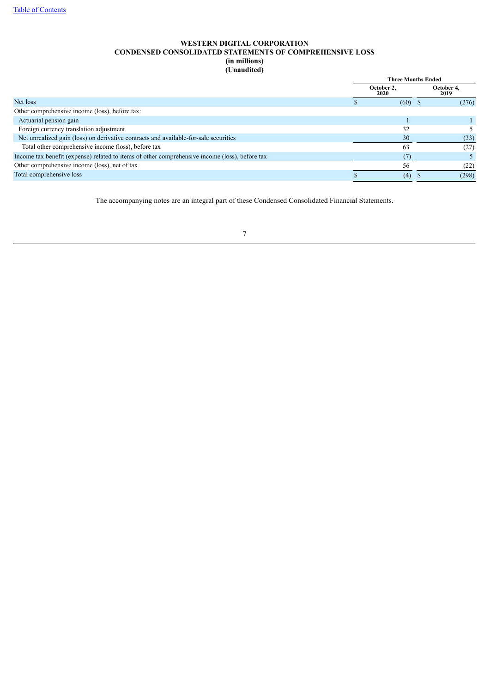# **WESTERN DIGITAL CORPORATION CONDENSED CONSOLIDATED STATEMENTS OF COMPREHENSIVE LOSS (in millions) (Unaudited)**

|                                                                                                | <b>Three Months Ended</b> |                    |  |  |
|------------------------------------------------------------------------------------------------|---------------------------|--------------------|--|--|
|                                                                                                | October 2.<br>2020        | October 4.<br>2019 |  |  |
| Net loss                                                                                       | $(60)$ \$                 | (276)              |  |  |
| Other comprehensive income (loss), before tax:                                                 |                           |                    |  |  |
| Actuarial pension gain                                                                         |                           |                    |  |  |
| Foreign currency translation adjustment                                                        | 32                        |                    |  |  |
| Net unrealized gain (loss) on derivative contracts and available-for-sale securities           | 30                        | (33)               |  |  |
| Total other comprehensive income (loss), before tax                                            | 63                        | (27)               |  |  |
| Income tax benefit (expense) related to items of other comprehensive income (loss), before tax |                           |                    |  |  |
| Other comprehensive income (loss), net of tax                                                  | 56                        | (22)               |  |  |
| Total comprehensive loss                                                                       | (4)                       | (298)              |  |  |
|                                                                                                |                           |                    |  |  |

<span id="page-6-0"></span>The accompanying notes are an integral part of these Condensed Consolidated Financial Statements.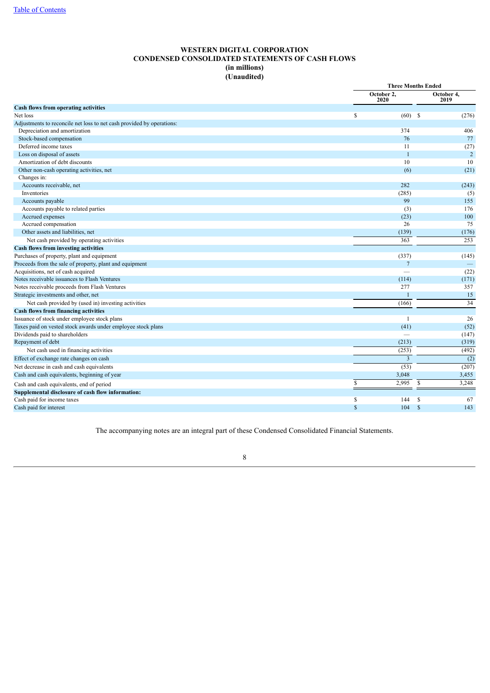# **WESTERN DIGITAL CORPORATION CONDENSED CONSOLIDATED STATEMENTS OF CASH FLOWS (in millions) (Unaudited)**

|                                                                       |                         | <b>Three Months Ended</b> |               |                    |  |
|-----------------------------------------------------------------------|-------------------------|---------------------------|---------------|--------------------|--|
|                                                                       | October 2,<br>2020      |                           |               | October 4,<br>2019 |  |
| <b>Cash flows from operating activities</b>                           |                         |                           |               |                    |  |
| Net loss                                                              | \$                      | (60)                      | -S            | (276)              |  |
| Adjustments to reconcile net loss to net cash provided by operations: |                         |                           |               |                    |  |
| Depreciation and amortization                                         |                         | 374                       |               | 406                |  |
| Stock-based compensation                                              |                         | 76                        |               | 77                 |  |
| Deferred income taxes                                                 |                         | 11                        |               | (27)               |  |
| Loss on disposal of assets                                            |                         |                           |               | $\overline{2}$     |  |
| Amortization of debt discounts                                        |                         | 10                        |               | 10                 |  |
| Other non-cash operating activities, net                              |                         | (6)                       |               | (21)               |  |
| Changes in:                                                           |                         |                           |               |                    |  |
| Accounts receivable, net                                              |                         | 282                       |               | (243)              |  |
| Inventories                                                           |                         | (285)                     |               | (5)                |  |
| Accounts payable                                                      |                         | 99                        |               | 155                |  |
| Accounts payable to related parties                                   |                         | (3)                       |               | 176                |  |
| Accrued expenses                                                      |                         | (23)                      |               | 100                |  |
| Accrued compensation                                                  |                         | 26                        |               | 75                 |  |
| Other assets and liabilities, net                                     |                         | (139)                     |               | (176)              |  |
| Net cash provided by operating activities                             |                         | 363                       |               | 253                |  |
| <b>Cash flows from investing activities</b>                           |                         |                           |               |                    |  |
| Purchases of property, plant and equipment                            |                         | (337)                     |               | (145)              |  |
| Proceeds from the sale of property, plant and equipment               |                         | $\overline{7}$            |               |                    |  |
| Acquisitions, net of cash acquired                                    |                         | $\overline{\phantom{0}}$  |               | (22)               |  |
| Notes receivable issuances to Flash Ventures                          |                         | (114)                     |               | (171)              |  |
| Notes receivable proceeds from Flash Ventures                         |                         | 277                       |               | 357                |  |
| Strategic investments and other, net                                  |                         |                           |               | 15                 |  |
| Net cash provided by (used in) investing activities                   |                         | (166)                     |               | 34                 |  |
| <b>Cash flows from financing activities</b>                           |                         |                           |               |                    |  |
| Issuance of stock under employee stock plans                          |                         | $\mathbf{1}$              |               | 26                 |  |
| Taxes paid on vested stock awards under employee stock plans          |                         | (41)                      |               | (52)               |  |
| Dividends paid to shareholders                                        |                         |                           |               | (147)              |  |
| Repayment of debt                                                     |                         | (213)                     |               | (319)              |  |
| Net cash used in financing activities                                 |                         | (253)                     |               | (492)              |  |
| Effect of exchange rate changes on cash                               |                         | $\overline{3}$            |               | (2)                |  |
| Net decrease in cash and cash equivalents                             |                         | (53)                      |               | (207)              |  |
| Cash and cash equivalents, beginning of year                          |                         | 3,048                     |               | 3,455              |  |
| Cash and cash equivalents, end of period                              | \$                      | 2,995                     | <sup>\$</sup> | 3,248              |  |
| Supplemental disclosure of cash flow information:                     |                         |                           |               |                    |  |
| Cash paid for income taxes                                            | \$                      | 144                       | -S            | 67                 |  |
| Cash paid for interest                                                | $\overline{\mathbf{S}}$ | 104                       | $\mathcal{S}$ | 143                |  |
|                                                                       |                         |                           |               |                    |  |

<span id="page-7-0"></span>The accompanying notes are an integral part of these Condensed Consolidated Financial Statements.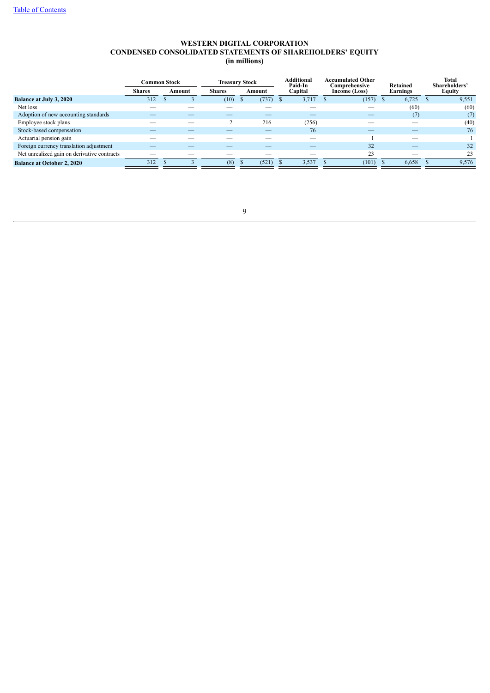# **WESTERN DIGITAL CORPORATION CONDENSED CONSOLIDATED STATEMENTS OF SHAREHOLDERS' EQUITY (in millions)**

|                                             | <b>Common Stock</b> |  | <b>Treasury Stock</b> |               |  | <b>Additional</b><br>Paid-In |  | <b>Accumulated Other</b><br>Comprehensive |  | Retained      |  | Total<br><b>Shareholders</b> |  |               |
|---------------------------------------------|---------------------|--|-----------------------|---------------|--|------------------------------|--|-------------------------------------------|--|---------------|--|------------------------------|--|---------------|
|                                             | <b>Shares</b>       |  | Amount                | <b>Shares</b> |  | Amount                       |  | Capital                                   |  | Income (Loss) |  | Earnings                     |  | <b>Equity</b> |
| <b>Balance at July 3, 2020</b>              | 312                 |  |                       | (10)          |  | (737)                        |  | 3,717                                     |  | (157)         |  | 6,725                        |  | 9,551         |
| Net loss                                    |                     |  |                       |               |  |                              |  |                                           |  |               |  | (60)                         |  | (60)          |
| Adoption of new accounting standards        |                     |  |                       |               |  |                              |  | __                                        |  |               |  | (7)                          |  | (7)           |
| Employee stock plans                        |                     |  |                       |               |  | 216                          |  | (256)                                     |  |               |  |                              |  | (40)          |
| Stock-based compensation                    |                     |  |                       |               |  |                              |  | 76                                        |  |               |  |                              |  | 76            |
| Actuarial pension gain                      |                     |  |                       |               |  |                              |  |                                           |  |               |  |                              |  |               |
| Foreign currency translation adjustment     |                     |  |                       |               |  |                              |  |                                           |  | 32            |  |                              |  | 32            |
| Net unrealized gain on derivative contracts |                     |  |                       |               |  |                              |  |                                           |  | 23            |  |                              |  | 23            |
| <b>Balance at October 2, 2020</b>           | 312                 |  |                       | (8)           |  | (521)                        |  | 3,537                                     |  | (101)         |  | 6,658                        |  | 9,576         |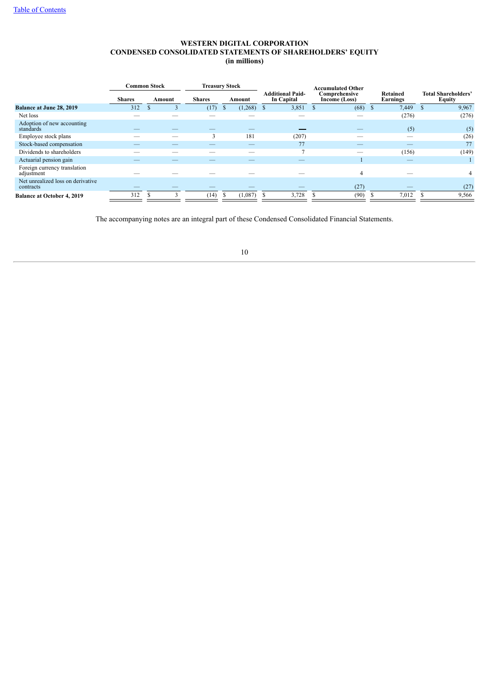# **WESTERN DIGITAL CORPORATION CONDENSED CONSOLIDATED STATEMENTS OF SHAREHOLDERS' EQUITY (in millions)**

|                                                |                          | <b>Common Stock</b> | <b>Treasury Stock</b> |  | <b>Accumulated Other</b> |  |                                       |  |                                |     |                             |  |                                             |
|------------------------------------------------|--------------------------|---------------------|-----------------------|--|--------------------------|--|---------------------------------------|--|--------------------------------|-----|-----------------------------|--|---------------------------------------------|
|                                                | <b>Shares</b>            | Amount              | <b>Shares</b>         |  | Amount                   |  | <b>Additional Paid-</b><br>In Capital |  | Comprehensive<br>Income (Loss) |     | <b>Retained</b><br>Earnings |  | <b>Total Shareholders'</b><br><b>Equity</b> |
| <b>Balance at June 28, 2019</b>                | 312                      |                     | (17)                  |  | $(1,268)$ \$             |  | 3,851                                 |  | (68)                           | \$. | 7,449                       |  | 9,967                                       |
| Net loss                                       |                          |                     |                       |  |                          |  |                                       |  |                                |     | (276)                       |  | (276)                                       |
| Adoption of new accounting<br>standards        |                          |                     |                       |  |                          |  |                                       |  |                                |     | (5)                         |  | (5)                                         |
| Employee stock plans                           |                          |                     | 3                     |  | 181                      |  | (207)                                 |  | __                             |     |                             |  | (26)                                        |
| Stock-based compensation                       | $\overline{\phantom{a}}$ | __                  |                       |  | –                        |  | 77                                    |  |                                |     |                             |  | 77                                          |
| Dividends to shareholders                      |                          |                     |                       |  | __                       |  | $\mathbf{r}$                          |  |                                |     | (156)                       |  | (149)                                       |
| Actuarial pension gain                         |                          |                     |                       |  |                          |  |                                       |  |                                |     |                             |  |                                             |
| Foreign currency translation<br>adjustment     |                          |                     |                       |  |                          |  |                                       |  | 4                              |     |                             |  | 4                                           |
| Net unrealized loss on derivative<br>contracts |                          |                     |                       |  |                          |  |                                       |  | (27)                           |     |                             |  | (27)                                        |
| <b>Balance at October 4, 2019</b>              | 312                      |                     | (14)                  |  | (1,087)                  |  | 3,728                                 |  | (90)                           |     | 7,012                       |  | 9,566                                       |

<span id="page-9-0"></span>The accompanying notes are an integral part of these Condensed Consolidated Financial Statements.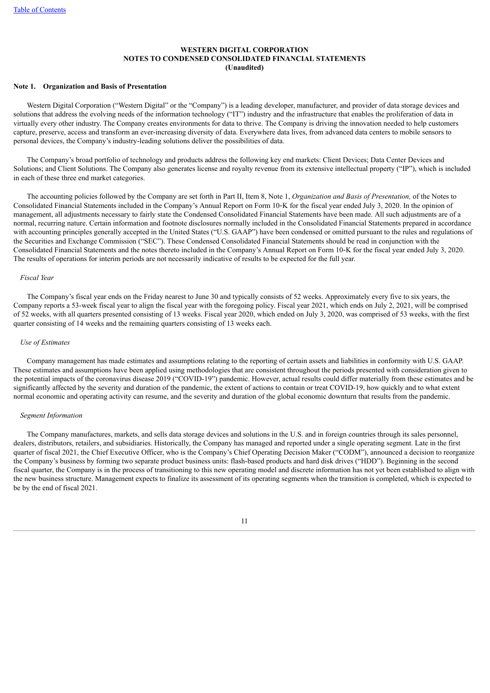#### **Note 1. Organization and Basis of Presentation**

Western Digital Corporation ("Western Digital" or the "Company") is a leading developer, manufacturer, and provider of data storage devices and solutions that address the evolving needs of the information technology ("IT") industry and the infrastructure that enables the proliferation of data in virtually every other industry. The Company creates environments for data to thrive. The Company is driving the innovation needed to help customers capture, preserve, access and transform an ever-increasing diversity of data. Everywhere data lives, from advanced data centers to mobile sensors to personal devices, the Company's industry-leading solutions deliver the possibilities of data.

The Company's broad portfolio of technology and products address the following key end markets: Client Devices; Data Center Devices and Solutions; and Client Solutions. The Company also generates license and royalty revenue from its extensive intellectual property ("IP"), which is included in each of these three end market categories.

The accounting policies followed by the Company are set forth in Part II, Item 8, Note 1, *Organization and Basis of Presentation,* of the Notes to Consolidated Financial Statements included in the Company's Annual Report on Form 10‑K for the fiscal year ended July 3, 2020. In the opinion of management, all adjustments necessary to fairly state the Condensed Consolidated Financial Statements have been made. All such adjustments are of a normal, recurring nature. Certain information and footnote disclosures normally included in the Consolidated Financial Statements prepared in accordance with accounting principles generally accepted in the United States ("U.S. GAAP") have been condensed or omitted pursuant to the rules and regulations of the Securities and Exchange Commission ("SEC"). These Condensed Consolidated Financial Statements should be read in conjunction with the Consolidated Financial Statements and the notes thereto included in the Company's Annual Report on Form 10‑K for the fiscal year ended July 3, 2020. The results of operations for interim periods are not necessarily indicative of results to be expected for the full year.

#### *Fiscal Year*

The Company's fiscal year ends on the Friday nearest to June 30 and typically consists of 52 weeks. Approximately every five to six years, the Company reports a 53-week fiscal year to align the fiscal year with the foregoing policy. Fiscal year 2021, which ends on July 2, 2021, will be comprised of 52 weeks, with all quarters presented consisting of 13 weeks. Fiscal year 2020, which ended on July 3, 2020, was comprised of 53 weeks, with the first quarter consisting of 14 weeks and the remaining quarters consisting of 13 weeks each.

#### *Use of Estimates*

Company management has made estimates and assumptions relating to the reporting of certain assets and liabilities in conformity with U.S. GAAP. These estimates and assumptions have been applied using methodologies that are consistent throughout the periods presented with consideration given to the potential impacts of the coronavirus disease 2019 ("COVID-19") pandemic. However, actual results could differ materially from these estimates and be significantly affected by the severity and duration of the pandemic, the extent of actions to contain or treat COVID-19, how quickly and to what extent normal economic and operating activity can resume, and the severity and duration of the global economic downturn that results from the pandemic.

#### *Segment Information*

The Company manufactures, markets, and sells data storage devices and solutions in the U.S. and in foreign countries through its sales personnel, dealers, distributors, retailers, and subsidiaries. Historically, the Company has managed and reported under a single operating segment. Late in the first quarter of fiscal 2021, the Chief Executive Officer, who is the Company's Chief Operating Decision Maker ("CODM"), announced a decision to reorganize the Company's business by forming two separate product business units: flash-based products and hard disk drives ("HDD"). Beginning in the second fiscal quarter, the Company is in the process of transitioning to this new operating model and discrete information has not yet been established to align with the new business structure. Management expects to finalize its assessment of its operating segments when the transition is completed, which is expected to be by the end of fiscal 2021.

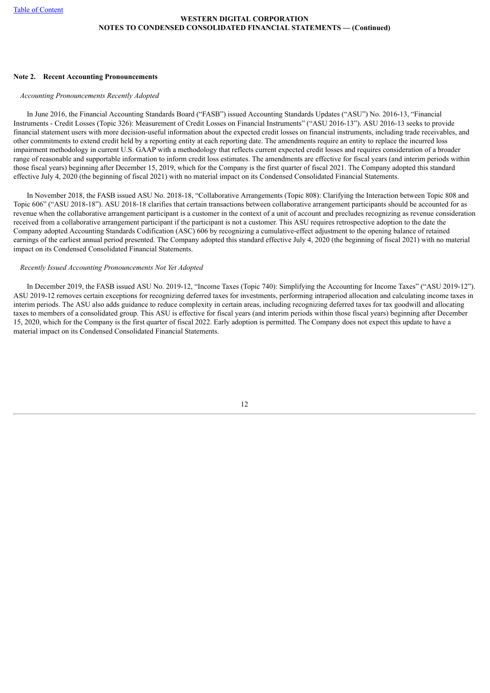# **Note 2. Recent Accounting Pronouncements**

#### *Accounting Pronouncements Recently Adopted*

In June 2016, the Financial Accounting Standards Board ("FASB") issued Accounting Standards Updates ("ASU") No. 2016-13, "Financial Instruments - Credit Losses (Topic 326): Measurement of Credit Losses on Financial Instruments" ("ASU 2016-13"). ASU 2016-13 seeks to provide financial statement users with more decision-useful information about the expected credit losses on financial instruments, including trade receivables, and other commitments to extend credit held by a reporting entity at each reporting date. The amendments require an entity to replace the incurred loss impairment methodology in current U.S. GAAP with a methodology that reflects current expected credit losses and requires consideration of a broader range of reasonable and supportable information to inform credit loss estimates. The amendments are effective for fiscal years (and interim periods within those fiscal years) beginning after December 15, 2019, which for the Company is the first quarter of fiscal 2021. The Company adopted this standard effective July 4, 2020 (the beginning of fiscal 2021) with no material impact on its Condensed Consolidated Financial Statements.

In November 2018, the FASB issued ASU No. 2018-18, "Collaborative Arrangements (Topic 808): Clarifying the Interaction between Topic 808 and Topic 606" ("ASU 2018-18"). ASU 2018-18 clarifies that certain transactions between collaborative arrangement participants should be accounted for as revenue when the collaborative arrangement participant is a customer in the context of a unit of account and precludes recognizing as revenue consideration received from a collaborative arrangement participant if the participant is not a customer. This ASU requires retrospective adoption to the date the Company adopted Accounting Standards Codification (ASC) 606 by recognizing a cumulative-effect adjustment to the opening balance of retained earnings of the earliest annual period presented. The Company adopted this standard effective July 4, 2020 (the beginning of fiscal 2021) with no material impact on its Condensed Consolidated Financial Statements.

### *Recently Issued Accounting Pronouncements Not Yet Adopted*

In December 2019, the FASB issued ASU No. 2019-12, "Income Taxes (Topic 740): Simplifying the Accounting for Income Taxes" ("ASU 2019-12"). ASU 2019-12 removes certain exceptions for recognizing deferred taxes for investments, performing intraperiod allocation and calculating income taxes in interim periods. The ASU also adds guidance to reduce complexity in certain areas, including recognizing deferred taxes for tax goodwill and allocating taxes to members of a consolidated group. This ASU is effective for fiscal years (and interim periods within those fiscal years) beginning after December 15, 2020, which for the Company is the first quarter of fiscal 2022. Early adoption is permitted. The Company does not expect this update to have a material impact on its Condensed Consolidated Financial Statements.

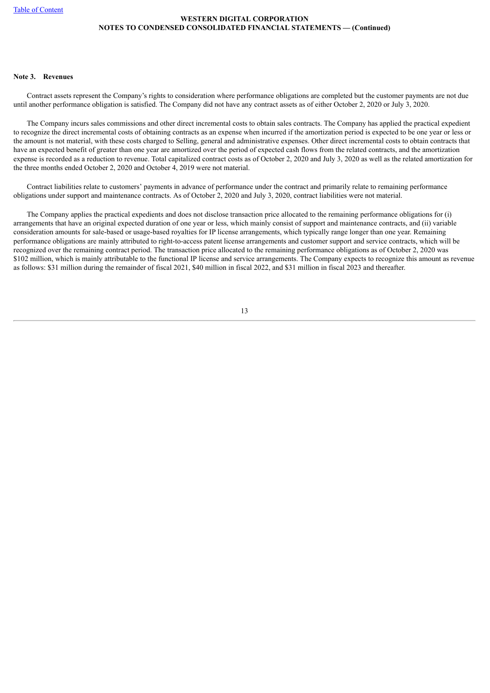# **Note 3. Revenues**

Contract assets represent the Company's rights to consideration where performance obligations are completed but the customer payments are not due until another performance obligation is satisfied. The Company did not have any contract assets as of either October 2, 2020 or July 3, 2020.

The Company incurs sales commissions and other direct incremental costs to obtain sales contracts. The Company has applied the practical expedient to recognize the direct incremental costs of obtaining contracts as an expense when incurred if the amortization period is expected to be one year or less or the amount is not material, with these costs charged to Selling, general and administrative expenses. Other direct incremental costs to obtain contracts that have an expected benefit of greater than one year are amortized over the period of expected cash flows from the related contracts, and the amortization expense is recorded as a reduction to revenue. Total capitalized contract costs as of October 2, 2020 and July 3, 2020 as well as the related amortization for the three months ended October 2, 2020 and October 4, 2019 were not material.

Contract liabilities relate to customers' payments in advance of performance under the contract and primarily relate to remaining performance obligations under support and maintenance contracts. As of October 2, 2020 and July 3, 2020, contract liabilities were not material.

The Company applies the practical expedients and does not disclose transaction price allocated to the remaining performance obligations for (i) arrangements that have an original expected duration of one year or less, which mainly consist of support and maintenance contracts, and (ii) variable consideration amounts for sale-based or usage-based royalties for IP license arrangements, which typically range longer than one year. Remaining performance obligations are mainly attributed to right-to-access patent license arrangements and customer support and service contracts, which will be recognized over the remaining contract period. The transaction price allocated to the remaining performance obligations as of October 2, 2020 was \$102 million, which is mainly attributable to the functional IP license and service arrangements. The Company expects to recognize this amount as revenue as follows: \$31 million during the remainder of fiscal 2021, \$40 million in fiscal 2022, and \$31 million in fiscal 2023 and thereafter.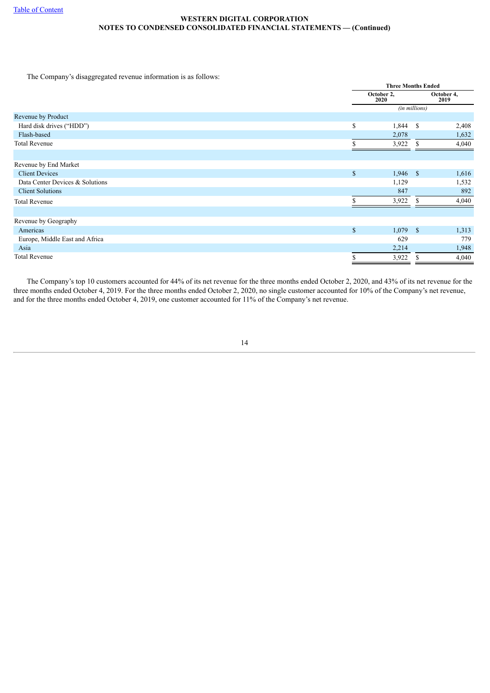The Company's disaggregated revenue information is as follows:

|                                 |              | <b>Three Months Ended</b> |               |                    |  |
|---------------------------------|--------------|---------------------------|---------------|--------------------|--|
|                                 |              | October 2,<br>2020        |               | October 4,<br>2019 |  |
|                                 |              |                           | (in millions) |                    |  |
| Revenue by Product              |              |                           |               |                    |  |
| Hard disk drives ("HDD")        | \$           | $1,844$ \$                |               | 2,408              |  |
| Flash-based                     |              | 2,078                     |               | 1,632              |  |
| <b>Total Revenue</b>            |              | 3,922                     | <sup>\$</sup> | 4,040              |  |
|                                 |              |                           |               |                    |  |
| Revenue by End Market           |              |                           |               |                    |  |
| <b>Client Devices</b>           | \$           | $1,946$ \$                |               | 1,616              |  |
| Data Center Devices & Solutions |              | 1,129                     |               | 1,532              |  |
| <b>Client Solutions</b>         |              | 847                       |               | 892                |  |
| <b>Total Revenue</b>            |              | 3,922                     | £.            | 4,040              |  |
|                                 |              |                           |               |                    |  |
| Revenue by Geography            |              |                           |               |                    |  |
| Americas                        | $\mathbb{S}$ | $1,079$ \$                |               | 1,313              |  |
| Europe, Middle East and Africa  |              | 629                       |               | 779                |  |
| Asia                            |              | 2,214                     |               | 1,948              |  |
| <b>Total Revenue</b>            | \$           | 3,922                     | S             | 4,040              |  |

The Company's top 10 customers accounted for 44% of its net revenue for the three months ended October 2, 2020, and 43% of its net revenue for the three months ended October 4, 2019. For the three months ended October 2, 2020, no single customer accounted for 10% of the Company's net revenue, and for the three months ended October 4, 2019, one customer accounted for 11% of the Company's net revenue.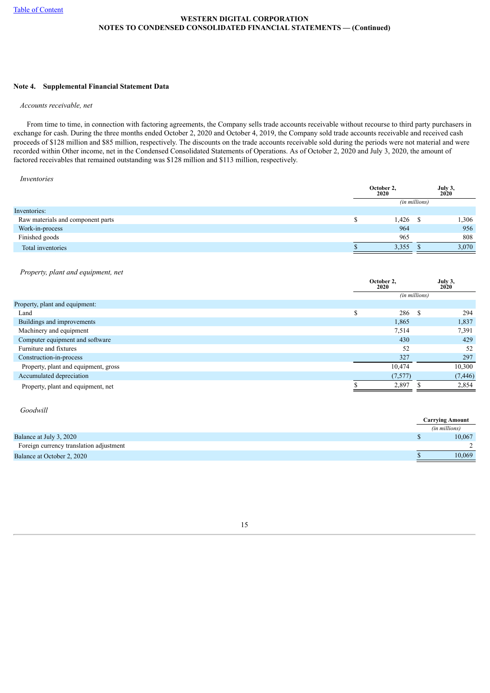# **Note 4. Supplemental Financial Statement Data**

#### *Accounts receivable, net*

From time to time, in connection with factoring agreements, the Company sells trade accounts receivable without recourse to third party purchasers in exchange for cash. During the three months ended October 2, 2020 and October 4, 2019, the Company sold trade accounts receivable and received cash proceeds of \$128 million and \$85 million, respectively. The discounts on the trade accounts receivable sold during the periods were not material and were recorded within Other income, net in the Condensed Consolidated Statements of Operations. As of October 2, 2020 and July 3, 2020, the amount of factored receivables that remained outstanding was \$128 million and \$113 million, respectively.

*Inventories*

|                                   | October 2,<br>2020 | July 3,<br>2020 |
|-----------------------------------|--------------------|-----------------|
|                                   | (in millions)      |                 |
| Inventories:                      |                    |                 |
| Raw materials and component parts | $1,426$ \$         | 1,306           |
| Work-in-process                   | 964                | 956             |
| Finished goods                    | 965                | 808             |
| Total inventories                 | 3,355              | 3,070           |
|                                   |                    |                 |

#### *Property, plant and equipment, net*

|                                      | October 2.<br>2020 |               | July 3,<br>2020 |
|--------------------------------------|--------------------|---------------|-----------------|
|                                      |                    | (in millions) |                 |
| Property, plant and equipment:       |                    |               |                 |
| Land                                 | 286                | -S            | 294             |
| Buildings and improvements           | 1,865              |               | 1,837           |
| Machinery and equipment              | 7,514              |               | 7,391           |
| Computer equipment and software      | 430                |               | 429             |
| Furniture and fixtures               | 52                 |               | 52              |
| Construction-in-process              | 327                |               | 297             |
| Property, plant and equipment, gross | 10,474             |               | 10,300          |
| Accumulated depreciation             | (7,577)            |               | (7, 446)        |
| Property, plant and equipment, net   | 2,897              |               | 2,854           |

*Goodwill*

| (in millions)                           |        |
|-----------------------------------------|--------|
|                                         |        |
| Balance at July 3, 2020                 | 10,067 |
| Foreign currency translation adjustment |        |
| Balance at October 2, 2020              | 10.069 |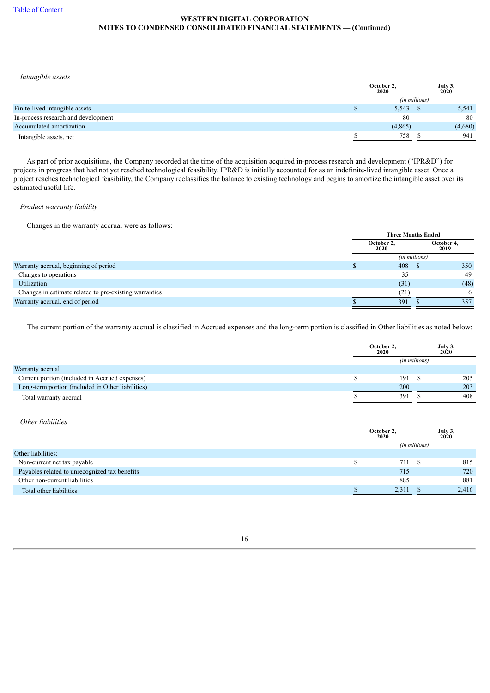*Intangible assets*

|                                     | October 2,<br>2020 |               | July 3,<br>2020 |
|-------------------------------------|--------------------|---------------|-----------------|
|                                     |                    | (in millions) |                 |
| Finite-lived intangible assets      | 5,543              |               | 5,541           |
| In-process research and development | 80                 |               | 80              |
| Accumulated amortization            | (4,865)            |               | (4,680)         |
| Intangible assets, net              | 758                |               | 941             |

As part of prior acquisitions, the Company recorded at the time of the acquisition acquired in-process research and development ("IPR&D") for projects in progress that had not yet reached technological feasibility. IPR&D is initially accounted for as an indefinite-lived intangible asset. Once a project reaches technological feasibility, the Company reclassifies the balance to existing technology and begins to amortize the intangible asset over its estimated useful life.

# *Product warranty liability*

Changes in the warranty accrual were as follows:

| ັ                                                      | <b>Three Months Ended</b> |                    |
|--------------------------------------------------------|---------------------------|--------------------|
|                                                        | October 2,<br>2020        | October 4,<br>2019 |
|                                                        | (in millions)             |                    |
| Warranty accrual, beginning of period                  | 408                       | 350                |
| Charges to operations                                  | 35                        | 49                 |
| Utilization                                            | (31)                      | (48)               |
| Changes in estimate related to pre-existing warranties | (21)                      | 6                  |
| Warranty accrual, end of period                        | 391                       | 357                |

The current portion of the warranty accrual is classified in Accrued expenses and the long-term portion is classified in Other liabilities as noted below:

|                                                   | October 2,<br>2020 |               | July 3,<br>2020 |     |
|---------------------------------------------------|--------------------|---------------|-----------------|-----|
|                                                   |                    | (in millions) |                 |     |
| Warranty accrual                                  |                    |               |                 |     |
| Current portion (included in Accrued expenses)    |                    | 191S          |                 | 205 |
| Long-term portion (included in Other liabilities) |                    | 200           |                 | 203 |
| Total warranty accrual                            |                    | 391           |                 | 408 |
|                                                   |                    |               |                 |     |

# *Other liabilities*

|                                               | October 2,<br>2020 | July 3 |
|-----------------------------------------------|--------------------|--------|
|                                               | (in millions)      |        |
| Other liabilities:                            |                    |        |
| Non-current net tax payable                   | 711 \$             | 815    |
| Payables related to unrecognized tax benefits | 715                | 720    |
| Other non-current liabilities                 | 885                | 881    |
| Total other liabilities                       | 2.311              | 2,416  |
|                                               |                    |        |

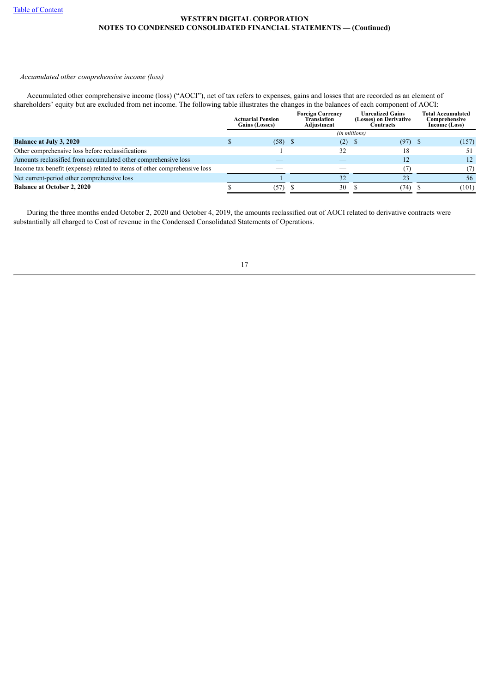# *Accumulated other comprehensive income (loss)*

Accumulated other comprehensive income (loss) ("AOCI"), net of tax refers to expenses, gains and losses that are recorded as an element of shareholders' equity but are excluded from net income. The following table illustrates the changes in the balances of each component of AOCI:

|                                                                           | <b>Actuarial Pension</b><br><b>Gains (Losses)</b> |           | <b>Foreign Currency</b><br>Translation<br>Adjustment |               |     | <b>Unrealized Gains</b><br>(Losses) on Derivative<br>Contracts |  | <b>Total Accumulated</b><br>Comprehensive<br>Income (Loss) |
|---------------------------------------------------------------------------|---------------------------------------------------|-----------|------------------------------------------------------|---------------|-----|----------------------------------------------------------------|--|------------------------------------------------------------|
|                                                                           |                                                   |           |                                                      | (in millions) |     |                                                                |  |                                                            |
| <b>Balance at July 3, 2020</b>                                            |                                                   | $(58)$ \$ |                                                      | (2)           | - 5 | $(97)$ \$                                                      |  | (157)                                                      |
| Other comprehensive loss before reclassifications                         |                                                   |           |                                                      | 32            |     | 18                                                             |  | 51                                                         |
| Amounts reclassified from accumulated other comprehensive loss            |                                                   |           |                                                      |               |     | 12                                                             |  | 12                                                         |
| Income tax benefit (expense) related to items of other comprehensive loss |                                                   |           |                                                      |               |     |                                                                |  | (7)                                                        |
| Net current-period other comprehensive loss                               |                                                   |           |                                                      |               |     | 23                                                             |  | 56                                                         |
| <b>Balance at October 2, 2020</b>                                         |                                                   | (57)      |                                                      | 30            |     | 74)                                                            |  | (101)                                                      |

During the three months ended October 2, 2020 and October 4, 2019, the amounts reclassified out of AOCI related to derivative contracts were substantially all charged to Cost of revenue in the Condensed Consolidated Statements of Operations.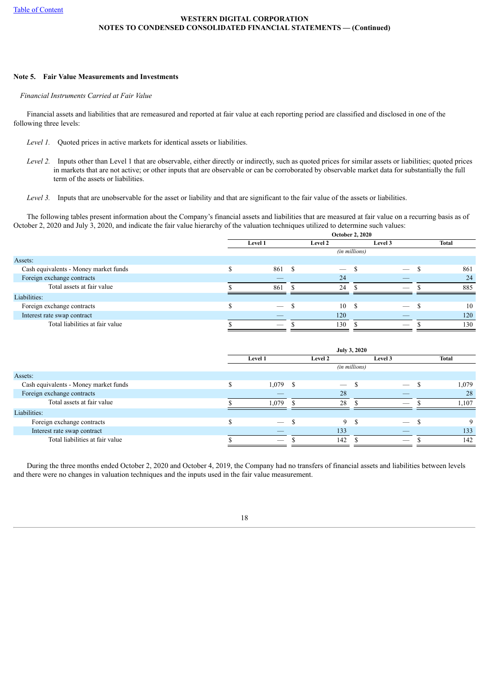# **Note 5. Fair Value Measurements and Investments**

#### *Financial Instruments Carried at Fair Value*

Financial assets and liabilities that are remeasured and reported at fair value at each reporting period are classified and disclosed in one of the following three levels:

- *Level 1.* Quoted prices in active markets for identical assets or liabilities.
- *Level 2.* Inputs other than Level 1 that are observable, either directly or indirectly, such as quoted prices for similar assets or liabilities; quoted prices in markets that are not active; or other inputs that are observable or can be corroborated by observable market data for substantially the full term of the assets or liabilities.
- *Level 3.* Inputs that are unobservable for the asset or liability and that are significant to the fair value of the assets or liabilities.

The following tables present information about the Company's financial assets and liabilities that are measured at fair value on a recurring basis as of October 2, 2020 and July 3, 2020, and indicate the fair value hierarchy of the valuation techniques utilized to determine such values:

|                                       | <b>October 2, 2020</b>   |    |                          |               |         |  |       |  |  |
|---------------------------------------|--------------------------|----|--------------------------|---------------|---------|--|-------|--|--|
|                                       | Level 1                  |    | Level 2                  |               | Level 3 |  | Total |  |  |
|                                       |                          |    |                          | (in millions) |         |  |       |  |  |
| Assets:                               |                          |    |                          |               |         |  |       |  |  |
| Cash equivalents - Money market funds | 861                      | -S | $\overline{\phantom{0}}$ |               |         |  | 861   |  |  |
| Foreign exchange contracts            |                          |    | 24                       |               |         |  | 24    |  |  |
| Total assets at fair value            | 861                      |    | 24                       |               |         |  | 885   |  |  |
| Liabilities:                          |                          |    |                          |               |         |  |       |  |  |
| Foreign exchange contracts            | $\overline{\phantom{0}}$ |    | 10                       | -S            |         |  | 10    |  |  |
| Interest rate swap contract           |                          |    | 120                      |               |         |  | 120   |  |  |
| Total liabilities at fair value       |                          |    | 130                      |               | $-$     |  | 130   |  |  |

|                                       | <b>July 3, 2020</b> |                          |    |               |  |         |  |       |
|---------------------------------------|---------------------|--------------------------|----|---------------|--|---------|--|-------|
|                                       |                     | Level 1                  |    | Level 2       |  | Level 3 |  | Total |
|                                       |                     |                          |    | (in millions) |  |         |  |       |
| Assets:                               |                     |                          |    |               |  |         |  |       |
| Cash equivalents - Money market funds |                     | 1,079                    | -S |               |  |         |  | 1,079 |
| Foreign exchange contracts            |                     |                          |    | 28            |  |         |  | 28    |
| Total assets at fair value            |                     | 1.079                    |    | 28            |  |         |  | 1,107 |
| Liabilities:                          |                     |                          |    |               |  |         |  |       |
| Foreign exchange contracts            | $\triangle$         | $\overline{\phantom{m}}$ |    | 9S            |  |         |  | 9     |
| Interest rate swap contract           |                     |                          |    | 133           |  |         |  | 133   |
| Total liabilities at fair value       |                     |                          |    | 142           |  | __      |  | 142   |

During the three months ended October 2, 2020 and October 4, 2019, the Company had no transfers of financial assets and liabilities between levels and there were no changes in valuation techniques and the inputs used in the fair value measurement.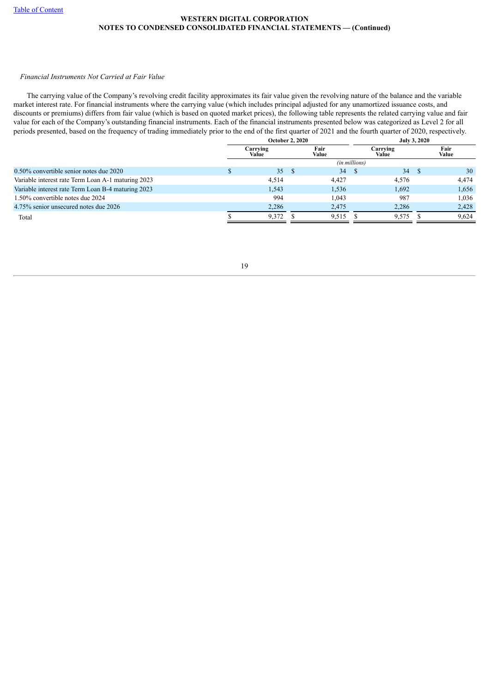# *Financial Instruments Not Carried at Fair Value*

The carrying value of the Company's revolving credit facility approximates its fair value given the revolving nature of the balance and the variable market interest rate. For financial instruments where the carrying value (which includes principal adjusted for any unamortized issuance costs, and discounts or premiums) differs from fair value (which is based on quoted market prices), the following table represents the related carrying value and fair value for each of the Company's outstanding financial instruments. Each of the financial instruments presented below was categorized as Level 2 for all periods presented, based on the frequency of trading immediately prior to the end of the first quarter of 2021 and the fourth quarter of 2020, respectively.

|                                                    |  | <b>October 2, 2020</b>             |    |       |               |                   |          | <b>July 3, 2020</b> |  |  |
|----------------------------------------------------|--|------------------------------------|----|-------|---------------|-------------------|----------|---------------------|--|--|
|                                                    |  | Fair<br>Carrving<br>Value<br>Value |    |       |               | Carrying<br>Value |          | Fair<br>Value       |  |  |
|                                                    |  |                                    |    |       | (in millions) |                   |          |                     |  |  |
| $0.50\%$ convertible senior notes due 2020         |  | 35                                 | -S | 34    | -S            | 34                | <b>S</b> | 30                  |  |  |
| Variable interest rate Term Loan A-1 maturing 2023 |  | 4,514                              |    | 4,427 |               | 4.576             |          | 4,474               |  |  |
| Variable interest rate Term Loan B-4 maturing 2023 |  | 1,543                              |    | 1,536 |               | 1,692             |          | 1,656               |  |  |
| 1.50% convertible notes due 2024                   |  | 994                                |    | 1,043 |               | 987               |          | 1,036               |  |  |
| 4.75% senior unsecured notes due 2026              |  | 2,286                              |    | 2.475 |               | 2.286             |          | 2,428               |  |  |
| Total                                              |  | 9,372                              |    | 9,515 |               | 9,575             |          | 9,624               |  |  |
|                                                    |  |                                    |    |       |               |                   |          |                     |  |  |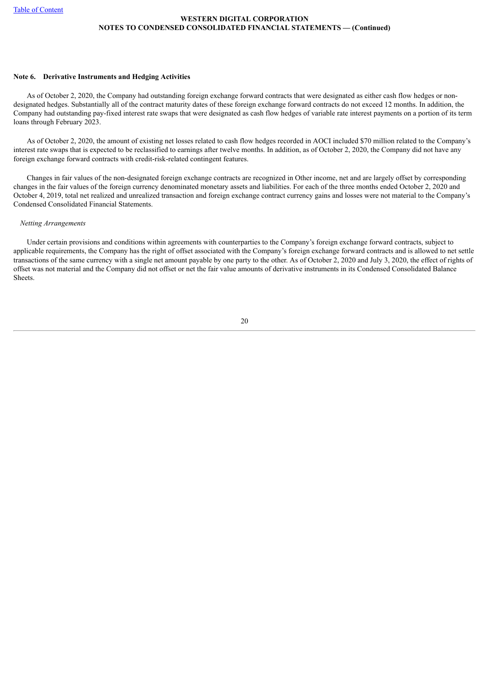#### **Note 6. Derivative Instruments and Hedging Activities**

As of October 2, 2020, the Company had outstanding foreign exchange forward contracts that were designated as either cash flow hedges or nondesignated hedges. Substantially all of the contract maturity dates of these foreign exchange forward contracts do not exceed 12 months. In addition, the Company had outstanding pay-fixed interest rate swaps that were designated as cash flow hedges of variable rate interest payments on a portion of its term loans through February 2023.

As of October 2, 2020, the amount of existing net losses related to cash flow hedges recorded in AOCI included \$70 million related to the Company's interest rate swaps that is expected to be reclassified to earnings after twelve months. In addition, as of October 2, 2020, the Company did not have any foreign exchange forward contracts with credit-risk-related contingent features.

Changes in fair values of the non-designated foreign exchange contracts are recognized in Other income, net and are largely offset by corresponding changes in the fair values of the foreign currency denominated monetary assets and liabilities. For each of the three months ended October 2, 2020 and October 4, 2019, total net realized and unrealized transaction and foreign exchange contract currency gains and losses were not material to the Company's Condensed Consolidated Financial Statements.

#### *Netting Arrangements*

Under certain provisions and conditions within agreements with counterparties to the Company's foreign exchange forward contracts, subject to applicable requirements, the Company has the right of offset associated with the Company's foreign exchange forward contracts and is allowed to net settle transactions of the same currency with a single net amount payable by one party to the other. As of October 2, 2020 and July 3, 2020, the effect of rights of offset was not material and the Company did not offset or net the fair value amounts of derivative instruments in its Condensed Consolidated Balance Sheets.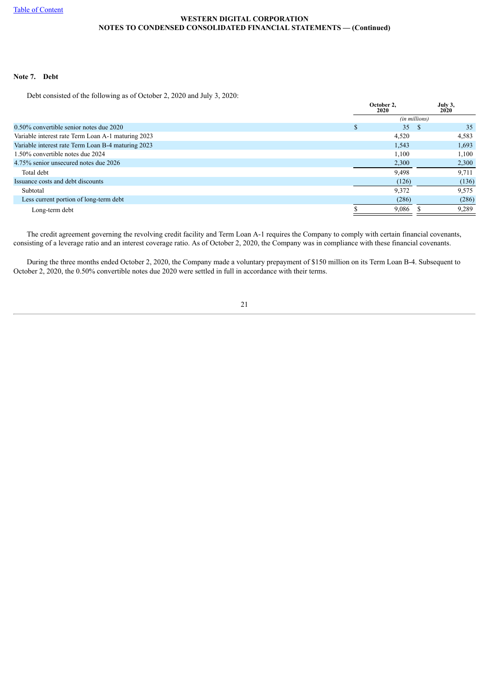# **Note 7. Debt**

Debt consisted of the following as of October 2, 2020 and July 3, 2020:

|                                                    |              | October 2,<br>2020 |               | July 3,<br>2020 |
|----------------------------------------------------|--------------|--------------------|---------------|-----------------|
|                                                    |              |                    | (in millions) |                 |
| 0.50% convertible senior notes due 2020            | $\mathbf{r}$ | 35                 | - \$          | 35              |
| Variable interest rate Term Loan A-1 maturing 2023 |              | 4,520              |               | 4,583           |
| Variable interest rate Term Loan B-4 maturing 2023 |              | 1,543              |               | 1,693           |
| 1.50% convertible notes due 2024                   |              | 1,100              |               | 1,100           |
| 4.75% senior unsecured notes due 2026              |              | 2,300              |               | 2,300           |
| Total debt                                         |              | 9,498              |               | 9,711           |
| Issuance costs and debt discounts                  |              | (126)              |               | (136)           |
| Subtotal                                           |              | 9,372              |               | 9,575           |
| Less current portion of long-term debt             |              | (286)              |               | (286)           |
| Long-term debt                                     |              | 9,086              |               | 9,289           |

The credit agreement governing the revolving credit facility and Term Loan A-1 requires the Company to comply with certain financial covenants, consisting of a leverage ratio and an interest coverage ratio. As of October 2, 2020, the Company was in compliance with these financial covenants.

During the three months ended October 2, 2020, the Company made a voluntary prepayment of \$150 million on its Term Loan B-4. Subsequent to October 2, 2020, the 0.50% convertible notes due 2020 were settled in full in accordance with their terms.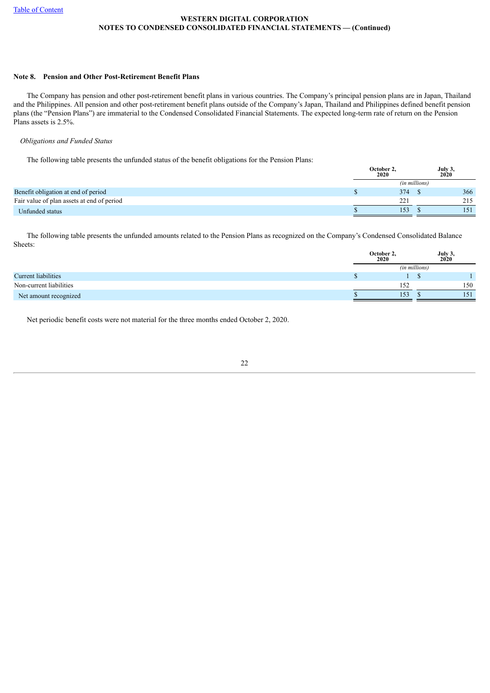# **Note 8. Pension and Other Post-Retirement Benefit Plans**

The Company has pension and other post-retirement benefit plans in various countries. The Company's principal pension plans are in Japan, Thailand and the Philippines. All pension and other post-retirement benefit plans outside of the Company's Japan, Thailand and Philippines defined benefit pension plans (the "Pension Plans") are immaterial to the Condensed Consolidated Financial Statements. The expected long-term rate of return on the Pension Plans assets is 2.5%.

#### *Obligations and Funded Status*

The following table presents the unfunded status of the benefit obligations for the Pension Plans:

|                                            | October 2.<br>2020 |     |               | July 3,<br>2020 |
|--------------------------------------------|--------------------|-----|---------------|-----------------|
|                                            |                    |     | (in millions) |                 |
| Benefit obligation at end of period        |                    | 374 |               | 366             |
| Fair value of plan assets at end of period |                    | 221 |               | 215             |
| Unfunded status                            |                    | 153 |               | 151             |

The following table presents the unfunded amounts related to the Pension Plans as recognized on the Company's Condensed Consolidated Balance Sheets: **July 3,**

|                            | October 2<br>2020 | July 3,<br>2020 |
|----------------------------|-------------------|-----------------|
|                            | (in millions)     |                 |
| <b>Current liabilities</b> |                   |                 |
| Non-current liabilities    | 152               | 150             |
| Net amount recognized      | 153               | 151             |
|                            |                   |                 |

Net periodic benefit costs were not material for the three months ended October 2, 2020.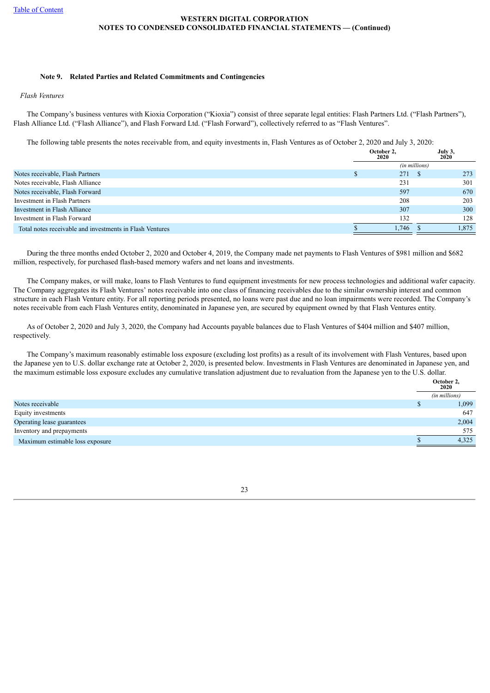# **Note 9. Related Parties and Related Commitments and Contingencies**

# *Flash Ventures*

The Company's business ventures with Kioxia Corporation ("Kioxia") consist of three separate legal entities: Flash Partners Ltd. ("Flash Partners"), Flash Alliance Ltd. ("Flash Alliance"), and Flash Forward Ltd. ("Flash Forward"), collectively referred to as "Flash Ventures".

The following table presents the notes receivable from, and equity investments in, Flash Ventures as of October 2, 2020 and July 3, 2020:

|                                                          | October 2,<br>2020 | July 3,<br>2020 |
|----------------------------------------------------------|--------------------|-----------------|
|                                                          | (in millions)      |                 |
| Notes receivable, Flash Partners                         | 271                | 273             |
| Notes receivable, Flash Alliance                         | 231                | 301             |
| Notes receivable, Flash Forward                          | 597                | 670             |
| Investment in Flash Partners                             | 208                | 203             |
| Investment in Flash Alliance                             | 307                | 300             |
| Investment in Flash Forward                              | 132                | 128             |
| Total notes receivable and investments in Flash Ventures | 1,746              | 1,875           |

During the three months ended October 2, 2020 and October 4, 2019, the Company made net payments to Flash Ventures of \$981 million and \$682 million, respectively, for purchased flash-based memory wafers and net loans and investments.

The Company makes, or will make, loans to Flash Ventures to fund equipment investments for new process technologies and additional wafer capacity. The Company aggregates its Flash Ventures' notes receivable into one class of financing receivables due to the similar ownership interest and common structure in each Flash Venture entity. For all reporting periods presented, no loans were past due and no loan impairments were recorded. The Company's notes receivable from each Flash Ventures entity, denominated in Japanese yen, are secured by equipment owned by that Flash Ventures entity.

As of October 2, 2020 and July 3, 2020, the Company had Accounts payable balances due to Flash Ventures of \$404 million and \$407 million, respectively.

The Company's maximum reasonably estimable loss exposure (excluding lost profits) as a result of its involvement with Flash Ventures, based upon the Japanese yen to U.S. dollar exchange rate at October 2, 2020, is presented below. Investments in Flash Ventures are denominated in Japanese yen, and the maximum estimable loss exposure excludes any cumulative translation adjustment due to revaluation from the Japanese yen to the U.S. dollar.

|                                 | October 2,<br>2020 |
|---------------------------------|--------------------|
|                                 | (in millions)      |
| Notes receivable                | 1,099              |
| Equity investments              | 647                |
| Operating lease guarantees      | 2,004              |
| Inventory and prepayments       | 575                |
| Maximum estimable loss exposure | 4,325              |

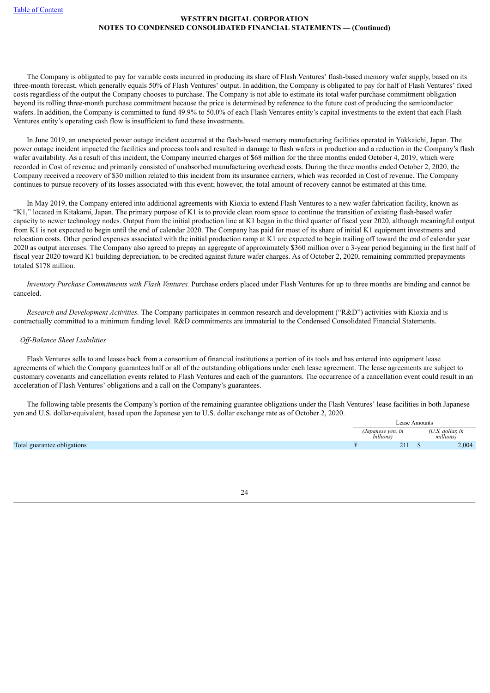The Company is obligated to pay for variable costs incurred in producing its share of Flash Ventures' flash-based memory wafer supply, based on its three-month forecast, which generally equals 50% of Flash Ventures' output. In addition, the Company is obligated to pay for half of Flash Ventures' fixed costs regardless of the output the Company chooses to purchase. The Company is not able to estimate its total wafer purchase commitment obligation beyond its rolling three-month purchase commitment because the price is determined by reference to the future cost of producing the semiconductor wafers. In addition, the Company is committed to fund 49.9% to 50.0% of each Flash Ventures entity's capital investments to the extent that each Flash Ventures entity's operating cash flow is insufficient to fund these investments.

In June 2019, an unexpected power outage incident occurred at the flash-based memory manufacturing facilities operated in Yokkaichi, Japan. The power outage incident impacted the facilities and process tools and resulted in damage to flash wafers in production and a reduction in the Company's flash wafer availability. As a result of this incident, the Company incurred charges of \$68 million for the three months ended October 4, 2019, which were recorded in Cost of revenue and primarily consisted of unabsorbed manufacturing overhead costs. During the three months ended October 2, 2020, the Company received a recovery of \$30 million related to this incident from its insurance carriers, which was recorded in Cost of revenue. The Company continues to pursue recovery of its losses associated with this event; however, the total amount of recovery cannot be estimated at this time.

In May 2019, the Company entered into additional agreements with Kioxia to extend Flash Ventures to a new wafer fabrication facility, known as "K1," located in Kitakami, Japan. The primary purpose of K1 is to provide clean room space to continue the transition of existing flash-based wafer capacity to newer technology nodes. Output from the initial production line at K1 began in the third quarter of fiscal year 2020, although meaningful output from K1 is not expected to begin until the end of calendar 2020. The Company has paid for most of its share of initial K1 equipment investments and relocation costs. Other period expenses associated with the initial production ramp at K1 are expected to begin trailing off toward the end of calendar year 2020 as output increases. The Company also agreed to prepay an aggregate of approximately \$360 million over a 3-year period beginning in the first half of fiscal year 2020 toward K1 building depreciation, to be credited against future wafer charges. As of October 2, 2020, remaining committed prepayments totaled \$178 million.

*Inventory Purchase Commitments with Flash Ventures.* Purchase orders placed under Flash Ventures for up to three months are binding and cannot be canceled.

*Research and Development Activities.* The Company participates in common research and development ("R&D") activities with Kioxia and is contractually committed to a minimum funding level. R&D commitments are immaterial to the Condensed Consolidated Financial Statements.

#### *Of -Balance Sheet Liabilities*

Flash Ventures sells to and leases back from a consortium of financial institutions a portion of its tools and has entered into equipment lease agreements of which the Company guarantees half or all of the outstanding obligations under each lease agreement. The lease agreements are subject to customary covenants and cancellation events related to Flash Ventures and each of the guarantors. The occurrence of a cancellation event could result in an acceleration of Flash Ventures' obligations and a call on the Company's guarantees.

The following table presents the Company's portion of the remaining guarantee obligations under the Flash Ventures' lease facilities in both Japanese yen and U.S. dollar-equivalent, based upon the Japanese yen to U.S. dollar exchange rate as of October 2, 2020.

|                             | Lease Amounts                  |                                 |
|-----------------------------|--------------------------------|---------------------------------|
|                             | (Japanese yen, in<br>billions. | $(U.S.$ dollar, in<br>millions) |
| Total guarantee obligations | 211<br>.                       | 2,004                           |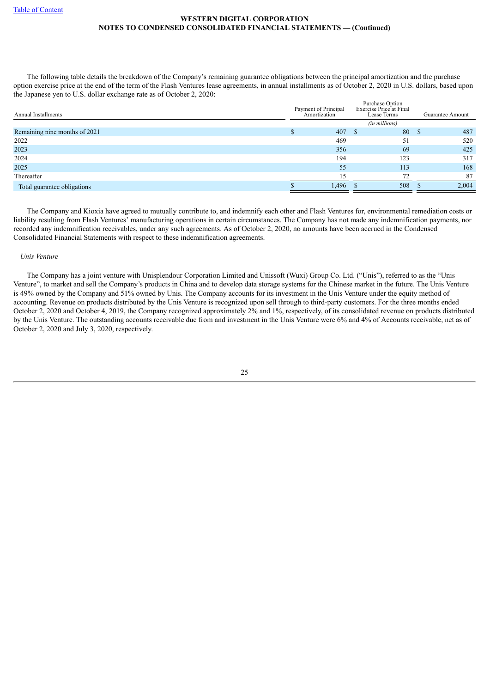The following table details the breakdown of the Company's remaining guarantee obligations between the principal amortization and the purchase option exercise price at the end of the term of the Flash Ventures lease agreements, in annual installments as of October 2, 2020 in U.S. dollars, based upon the Japanese yen to U.S. dollar exchange rate as of October 2, 2020:

| <b>Annual Installments</b>    | Payment of Principal<br>Amortization |       |    | Purchase Option<br>Exercise Price at Final<br>Lease Terms |      | Guarantee Amount |
|-------------------------------|--------------------------------------|-------|----|-----------------------------------------------------------|------|------------------|
|                               |                                      |       |    | (in millions)                                             |      |                  |
| Remaining nine months of 2021 |                                      | 407   | -S | 80                                                        | - \$ | 487              |
| 2022                          |                                      | 469   |    | 51                                                        |      | 520              |
| 2023                          |                                      | 356   |    | 69                                                        |      | 425              |
| 2024                          |                                      | 194   |    | 123                                                       |      | 317              |
| 2025                          |                                      | 55    |    | 113                                                       |      | 168              |
| Thereafter                    |                                      | 15    |    | 72                                                        |      | 87               |
| Total guarantee obligations   |                                      | 1,496 |    | 508                                                       |      | 2,004            |
|                               |                                      |       |    |                                                           |      |                  |

The Company and Kioxia have agreed to mutually contribute to, and indemnify each other and Flash Ventures for, environmental remediation costs or liability resulting from Flash Ventures' manufacturing operations in certain circumstances. The Company has not made any indemnification payments, nor recorded any indemnification receivables, under any such agreements. As of October 2, 2020, no amounts have been accrued in the Condensed Consolidated Financial Statements with respect to these indemnification agreements.

#### *Unis Venture*

The Company has a joint venture with Unisplendour Corporation Limited and Unissoft (Wuxi) Group Co. Ltd. ("Unis"), referred to as the "Unis Venture", to market and sell the Company's products in China and to develop data storage systems for the Chinese market in the future. The Unis Venture is 49% owned by the Company and 51% owned by Unis. The Company accounts for its investment in the Unis Venture under the equity method of accounting. Revenue on products distributed by the Unis Venture is recognized upon sell through to third-party customers. For the three months ended October 2, 2020 and October 4, 2019, the Company recognized approximately 2% and 1%, respectively, of its consolidated revenue on products distributed by the Unis Venture. The outstanding accounts receivable due from and investment in the Unis Venture were 6% and 4% of Accounts receivable, net as of October 2, 2020 and July 3, 2020, respectively.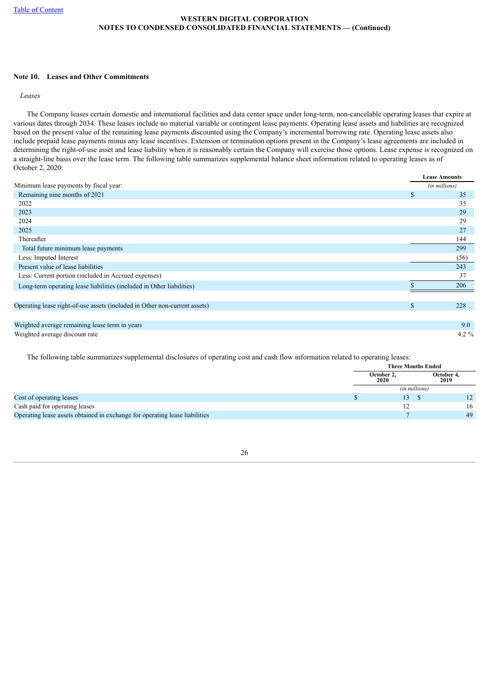# **Note 10. Leases and Other Commitments**

# *Leases*

The Company leases certain domestic and international facilities and data center space under long-term, non-cancelable operating leases that expire at various dates through 2034. These leases include no material variable or contingent lease payments. Operating lease assets and liabilities are recognized based on the present value of the remaining lease payments discounted using the Company's incremental borrowing rate. Operating lease assets also include prepaid lease payments minus any lease incentives. Extension or termination options present in the Company's lease agreements are included in determining the right-of-use asset and lease liability when it is reasonably certain the Company will exercise those options. Lease expense is recognized on a straight-line basis over the lease term. The following table summarizes supplemental balance sheet information related to operating leases as of October 2, 2020:

|                                                                            |             | <b>Lease Amounts</b> |
|----------------------------------------------------------------------------|-------------|----------------------|
| Minimum lease payments by fiscal year:                                     |             | (in millions)        |
| Remaining nine months of 2021                                              | \$          | 35                   |
| 2022                                                                       |             | 35                   |
| 2023                                                                       |             | 29                   |
| 2024                                                                       |             | 29                   |
| 2025                                                                       |             | 27                   |
| Thereafter                                                                 |             | 144                  |
| Total future minimum lease payments                                        |             | 299                  |
| Less: Imputed Interest                                                     |             | (56)                 |
| Present value of lease liabilities                                         |             | 243                  |
| Less: Current portion (included in Accrued expenses)                       |             | 37                   |
| Long-term operating lease liabilities (included in Other liabilities)      |             | 206                  |
|                                                                            |             |                      |
| Operating lease right-of-use assets (included in Other non-current assets) | $\mathbf S$ | 228                  |
| Weighted average remaining lease term in years                             |             | 9.0                  |
| Weighted average discount rate                                             |             | $4.2\%$              |

The following table summarizes supplemental disclosures of operating cost and cash flow information related to operating leases:

|                                                                             | <b>Three Months Ended</b> |                    |  |
|-----------------------------------------------------------------------------|---------------------------|--------------------|--|
|                                                                             | October 2.<br>2020        | October 4,<br>2019 |  |
|                                                                             | (in millions)             |                    |  |
| Cost of operating leases                                                    | 13                        |                    |  |
| Cash paid for operating leases                                              |                           | 16                 |  |
| Operating lease assets obtained in exchange for operating lease liabilities |                           | 49                 |  |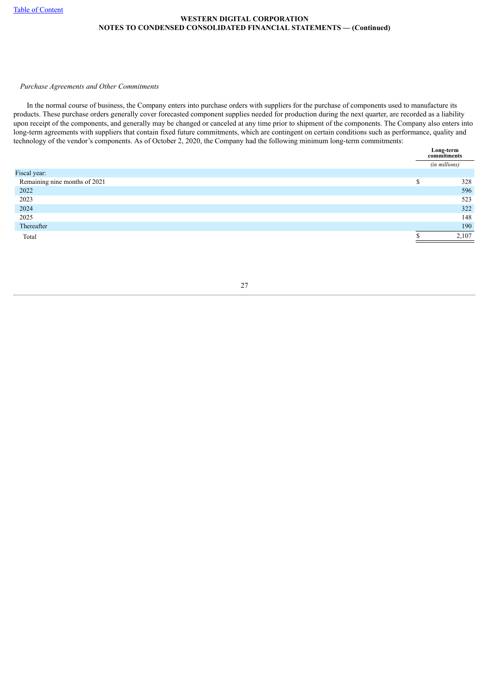#### *Purchase Agreements and Other Commitments*

In the normal course of business, the Company enters into purchase orders with suppliers for the purchase of components used to manufacture its products. These purchase orders generally cover forecasted component supplies needed for production during the next quarter, are recorded as a liability upon receipt of the components, and generally may be changed or canceled at any time prior to shipment of the components. The Company also enters into long-term agreements with suppliers that contain fixed future commitments, which are contingent on certain conditions such as performance, quality and technology of the vendor's components. As of October 2, 2020, the Company had the following minimum long-term commitments: **Long-term**

|                               |         | commitments   |
|-------------------------------|---------|---------------|
|                               |         | (in millions) |
| Fiscal year:                  |         |               |
| Remaining nine months of 2021 | ¢<br>J. | 328           |
| 2022                          |         | 596           |
| 2023                          |         | 523           |
| 2024                          |         | 322           |
| 2025                          |         | 148           |
| Thereafter                    |         | 190           |
| Total                         |         | 2,107         |
|                               |         |               |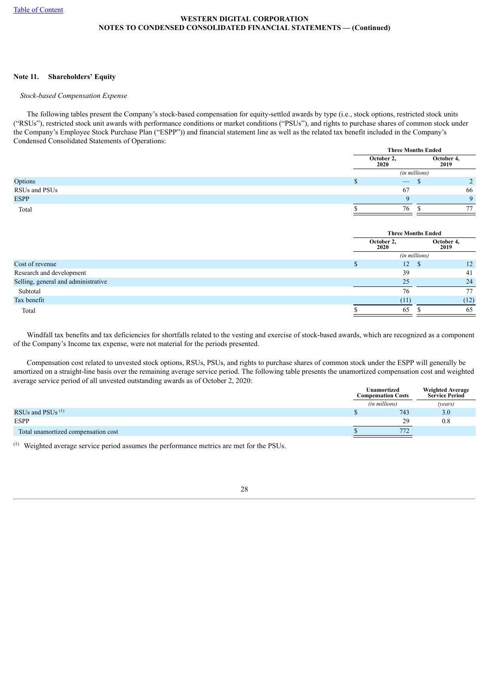# **Note 11. Shareholders' Equity**

# *Stock-based Compensation Expense*

The following tables present the Company's stock-based compensation for equity-settled awards by type (i.e., stock options, restricted stock units ("RSUs"), restricted stock unit awards with performance conditions or market conditions ("PSUs"), and rights to purchase shares of common stock under the Company's Employee Stock Purchase Plan ("ESPP")) and financial statement line as well as the related tax benefit included in the Company's Condensed Consolidated Statements of Operations:

|                | <b>Three Months Ended</b> |                    |  |
|----------------|---------------------------|--------------------|--|
|                | October 2,<br>2020        | October 4,<br>2019 |  |
|                | (in millions)             |                    |  |
| <b>Options</b> |                           |                    |  |
| RSUs and PSUs  | 67                        | 66                 |  |
| <b>ESPP</b>    |                           | $\Omega$           |  |
| Total          | 76                        | 77                 |  |

|                                     |  | <b>Three Months Ended</b> |     |      |  |                    |
|-------------------------------------|--|---------------------------|-----|------|--|--------------------|
|                                     |  | October 2,<br>2020        |     |      |  | October 4,<br>2019 |
|                                     |  | (in millions)             |     |      |  |                    |
| Cost of revenue                     |  | 12                        | - S | 12   |  |                    |
| Research and development            |  | 39                        |     | 41   |  |                    |
| Selling, general and administrative |  | 25                        |     | 24   |  |                    |
| Subtotal                            |  | 76                        |     | 77   |  |                    |
| Tax benefit                         |  | (11)                      |     | (12) |  |                    |
| Total                               |  | 65                        |     | 65   |  |                    |
|                                     |  |                           |     |      |  |                    |

Windfall tax benefits and tax deficiencies for shortfalls related to the vesting and exercise of stock-based awards, which are recognized as a component of the Company's Income tax expense, were not material for the periods presented.

Compensation cost related to unvested stock options, RSUs, PSUs, and rights to purchase shares of common stock under the ESPP will generally be amortized on a straight-line basis over the remaining average service period. The following table presents the unamortized compensation cost and weighted average service period of all unvested outstanding awards as of October 2, 2020:

|                                     | Unamortized<br><b>Compensation Costs</b> |               | <b>Weighted Average</b><br><b>Service Period</b> |
|-------------------------------------|------------------------------------------|---------------|--------------------------------------------------|
|                                     |                                          | (in millions) | (vears)                                          |
| RSUs and PSUs <sup>(1)</sup>        |                                          | 743           | 3.0                                              |
| <b>ESPP</b>                         |                                          | 29            | 0.8                                              |
| Total unamortized compensation cost |                                          | 772           |                                                  |

 $(1)$  Weighted average service period assumes the performance metrics are met for the PSUs.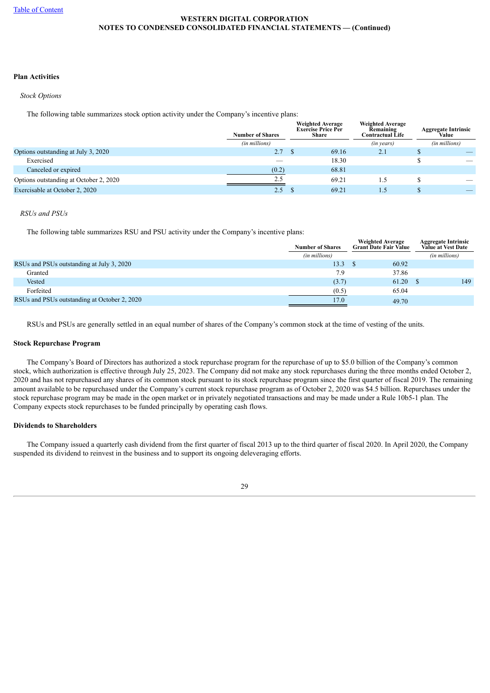# **Plan Activities**

# *Stock Options*

The following table summarizes stock option activity under the Company's incentive plans:

|                                        | <b>Number of Shares</b> | <b>Weighted Average</b><br><b>Exercise Price Per</b><br>Share | <b>Weighted Average</b><br>Remaining<br><b>Contractual Life</b> | <b>Aggregate Intrinsic</b><br>Value |
|----------------------------------------|-------------------------|---------------------------------------------------------------|-----------------------------------------------------------------|-------------------------------------|
|                                        | (in millions)           |                                                               | (in years)                                                      | (in millions)                       |
| Options outstanding at July 3, 2020    | 2.7                     | 69.16                                                         | 2.1                                                             |                                     |
| Exercised                              |                         | 18.30                                                         |                                                                 |                                     |
| Canceled or expired                    | (0.2)                   | 68.81                                                         |                                                                 |                                     |
| Options outstanding at October 2, 2020 | 2.5                     | 69.21                                                         | 1.5                                                             |                                     |
| Exercisable at October 2, 2020         | 2.5                     | 69.21                                                         | $\cdot$ .5                                                      |                                     |

# *RSUs and PSUs*

The following table summarizes RSU and PSU activity under the Company's incentive plans:

|                                              | <b>Number of Shares</b> | <b>Weighted Average</b><br><b>Grant Date Fair Value</b> | <b>Aggregate Intrinsic</b><br><b>Value at Vest Date</b> |
|----------------------------------------------|-------------------------|---------------------------------------------------------|---------------------------------------------------------|
|                                              | (in millions)           |                                                         | (in millions)                                           |
| RSUs and PSUs outstanding at July 3, 2020    | 13.3                    | 60.92                                                   |                                                         |
| Granted                                      | 7.9                     | 37.86                                                   |                                                         |
| Vested                                       | (3.7)                   | 61.20 \$                                                | 149                                                     |
| Forfeited                                    | (0.5)                   | 65.04                                                   |                                                         |
| RSUs and PSUs outstanding at October 2, 2020 | 17.0                    | 49.70                                                   |                                                         |

**Weighted Average**

RSUs and PSUs are generally settled in an equal number of shares of the Company's common stock at the time of vesting of the units.

# **Stock Repurchase Program**

The Company's Board of Directors has authorized a stock repurchase program for the repurchase of up to \$5.0 billion of the Company's common stock, which authorization is effective through July 25, 2023. The Company did not make any stock repurchases during the three months ended October 2, 2020 and has not repurchased any shares of its common stock pursuant to its stock repurchase program since the first quarter of fiscal 2019. The remaining amount available to be repurchased under the Company's current stock repurchase program as of October 2, 2020 was \$4.5 billion. Repurchases under the stock repurchase program may be made in the open market or in privately negotiated transactions and may be made under a Rule 10b5-1 plan. The Company expects stock repurchases to be funded principally by operating cash flows.

# **Dividends to Shareholders**

The Company issued a quarterly cash dividend from the first quarter of fiscal 2013 up to the third quarter of fiscal 2020. In April 2020, the Company suspended its dividend to reinvest in the business and to support its ongoing deleveraging efforts.

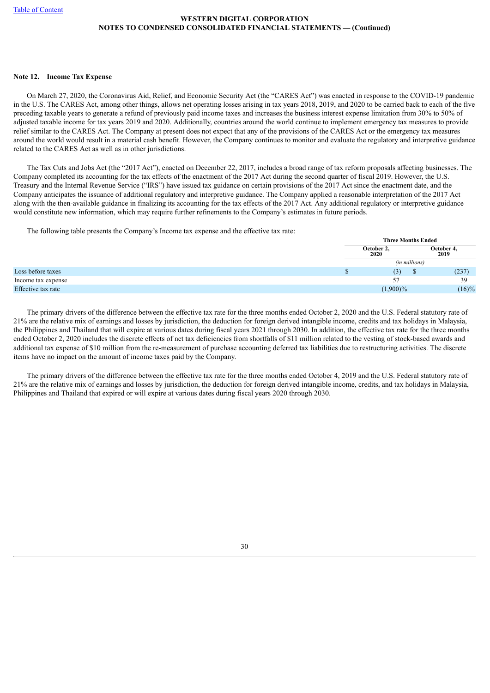# **Note 12. Income Tax Expense**

On March 27, 2020, the Coronavirus Aid, Relief, and Economic Security Act (the "CARES Act") was enacted in response to the COVID-19 pandemic in the U.S. The CARES Act, among other things, allows net operating losses arising in tax years 2018, 2019, and 2020 to be carried back to each of the five preceding taxable years to generate a refund of previously paid income taxes and increases the business interest expense limitation from 30% to 50% of adjusted taxable income for tax years 2019 and 2020. Additionally, countries around the world continue to implement emergency tax measures to provide relief similar to the CARES Act. The Company at present does not expect that any of the provisions of the CARES Act or the emergency tax measures around the world would result in a material cash benefit. However, the Company continues to monitor and evaluate the regulatory and interpretive guidance related to the CARES Act as well as in other jurisdictions.

The Tax Cuts and Jobs Act (the "2017 Act"), enacted on December 22, 2017, includes a broad range of tax reform proposals affecting businesses. The Company completed its accounting for the tax effects of the enactment of the 2017 Act during the second quarter of fiscal 2019. However, the U.S. Treasury and the Internal Revenue Service ("IRS") have issued tax guidance on certain provisions of the 2017 Act since the enactment date, and the Company anticipates the issuance of additional regulatory and interpretive guidance. The Company applied a reasonable interpretation of the 2017 Act along with the then-available guidance in finalizing its accounting for the tax effects of the 2017 Act. Any additional regulatory or interpretive guidance would constitute new information, which may require further refinements to the Company's estimates in future periods.

The following table presents the Company's Income tax expense and the effective tax rate:

|                    |  | <b>Three Months Ended</b> |               |          |  |  |  |                    |
|--------------------|--|---------------------------|---------------|----------|--|--|--|--------------------|
|                    |  | October 2,<br>2020        |               |          |  |  |  | October 4,<br>2019 |
|                    |  |                           | (in millions) |          |  |  |  |                    |
| Loss before taxes  |  | (3)                       |               | (237)    |  |  |  |                    |
| Income tax expense |  | 57                        |               | 39       |  |  |  |                    |
| Effective tax rate |  | $(1,900)\%$               |               | $(16)\%$ |  |  |  |                    |

The primary drivers of the difference between the effective tax rate for the three months ended October 2, 2020 and the U.S. Federal statutory rate of 21% are the relative mix of earnings and losses by jurisdiction, the deduction for foreign derived intangible income, credits and tax holidays in Malaysia, the Philippines and Thailand that will expire at various dates during fiscal years 2021 through 2030. In addition, the effective tax rate for the three months ended October 2, 2020 includes the discrete effects of net tax deficiencies from shortfalls of \$11 million related to the vesting of stock-based awards and additional tax expense of \$10 million from the re-measurement of purchase accounting deferred tax liabilities due to restructuring activities. The discrete items have no impact on the amount of income taxes paid by the Company.

The primary drivers of the difference between the effective tax rate for the three months ended October 4, 2019 and the U.S. Federal statutory rate of 21% are the relative mix of earnings and losses by jurisdiction, the deduction for foreign derived intangible income, credits, and tax holidays in Malaysia, Philippines and Thailand that expired or will expire at various dates during fiscal years 2020 through 2030.

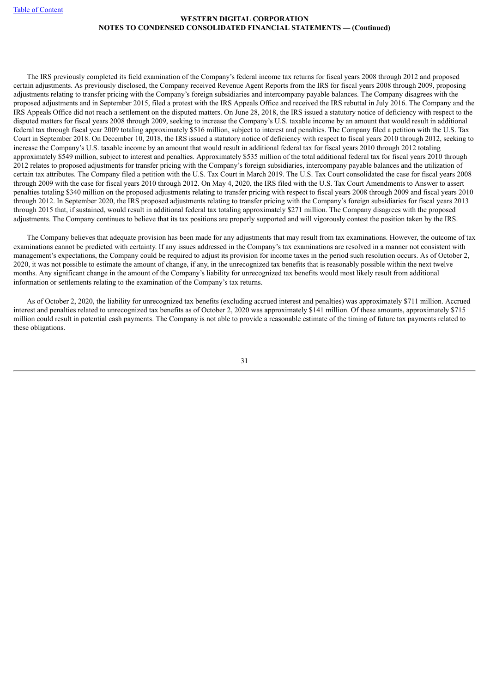The IRS previously completed its field examination of the Company's federal income tax returns for fiscal years 2008 through 2012 and proposed certain adjustments. As previously disclosed, the Company received Revenue Agent Reports from the IRS for fiscal years 2008 through 2009, proposing adjustments relating to transfer pricing with the Company's foreign subsidiaries and intercompany payable balances. The Company disagrees with the proposed adjustments and in September 2015, filed a protest with the IRS Appeals Office and received the IRS rebuttal in July 2016. The Company and the IRS Appeals Office did not reach a settlement on the disputed matters. On June 28, 2018, the IRS issued a statutory notice of deficiency with respect to the disputed matters for fiscal years 2008 through 2009, seeking to increase the Company's U.S. taxable income by an amount that would result in additional federal tax through fiscal year 2009 totaling approximately \$516 million, subject to interest and penalties. The Company filed a petition with the U.S. Tax Court in September 2018. On December 10, 2018, the IRS issued a statutory notice of deficiency with respect to fiscal years 2010 through 2012, seeking to increase the Company's U.S. taxable income by an amount that would result in additional federal tax for fiscal years 2010 through 2012 totaling approximately \$549 million, subject to interest and penalties. Approximately \$535 million of the total additional federal tax for fiscal years 2010 through 2012 relates to proposed adjustments for transfer pricing with the Company's foreign subsidiaries, intercompany payable balances and the utilization of certain tax attributes. The Company filed a petition with the U.S. Tax Court in March 2019. The U.S. Tax Court consolidated the case for fiscal years 2008 through 2009 with the case for fiscal years 2010 through 2012. On May 4, 2020, the IRS filed with the U.S. Tax Court Amendments to Answer to assert penalties totaling \$340 million on the proposed adjustments relating to transfer pricing with respect to fiscal years 2008 through 2009 and fiscal years 2010 through 2012. In September 2020, the IRS proposed adjustments relating to transfer pricing with the Company's foreign subsidiaries for fiscal years 2013 through 2015 that, if sustained, would result in additional federal tax totaling approximately \$271 million. The Company disagrees with the proposed adjustments. The Company continues to believe that its tax positions are properly supported and will vigorously contest the position taken by the IRS.

The Company believes that adequate provision has been made for any adjustments that may result from tax examinations. However, the outcome of tax examinations cannot be predicted with certainty. If any issues addressed in the Company's tax examinations are resolved in a manner not consistent with management's expectations, the Company could be required to adjust its provision for income taxes in the period such resolution occurs. As of October 2, 2020, it was not possible to estimate the amount of change, if any, in the unrecognized tax benefits that is reasonably possible within the next twelve months. Any significant change in the amount of the Company's liability for unrecognized tax benefits would most likely result from additional information or settlements relating to the examination of the Company's tax returns.

As of October 2, 2020, the liability for unrecognized tax benefits (excluding accrued interest and penalties) was approximately \$711 million. Accrued interest and penalties related to unrecognized tax benefits as of October 2, 2020 was approximately \$141 million. Of these amounts, approximately \$715 million could result in potential cash payments. The Company is not able to provide a reasonable estimate of the timing of future tax payments related to these obligations.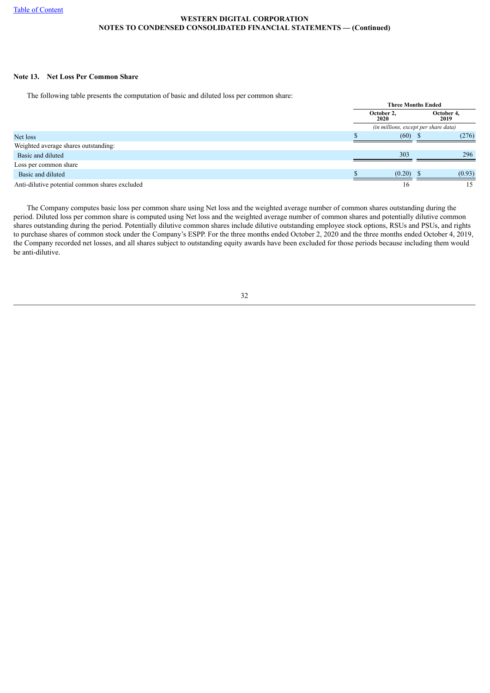# **Note 13. Net Loss Per Common Share**

The following table presents the computation of basic and diluted loss per common share:

|                                                |                                      | <b>Three Months Ended</b> |        |
|------------------------------------------------|--------------------------------------|---------------------------|--------|
|                                                | October 2,<br>2020                   | October 4,<br>2019        |        |
|                                                | (in millions, except per share data) |                           |        |
| Net loss                                       | $(60)$ \$                            |                           | (276)  |
| Weighted average shares outstanding:           |                                      |                           |        |
| Basic and diluted                              | 303                                  |                           | 296    |
| Loss per common share                          |                                      |                           |        |
| Basic and diluted                              | $(0.20)$ \$                          |                           | (0.93) |
| Anti-dilutive potential common shares excluded | 16                                   |                           | 15     |

The Company computes basic loss per common share using Net loss and the weighted average number of common shares outstanding during the period. Diluted loss per common share is computed using Net loss and the weighted average number of common shares and potentially dilutive common shares outstanding during the period. Potentially dilutive common shares include dilutive outstanding employee stock options, RSUs and PSUs, and rights to purchase shares of common stock under the Company's ESPP. For the three months ended October 2, 2020 and the three months ended October 4, 2019, the Company recorded net losses, and all shares subject to outstanding equity awards have been excluded for those periods because including them would be anti-dilutive.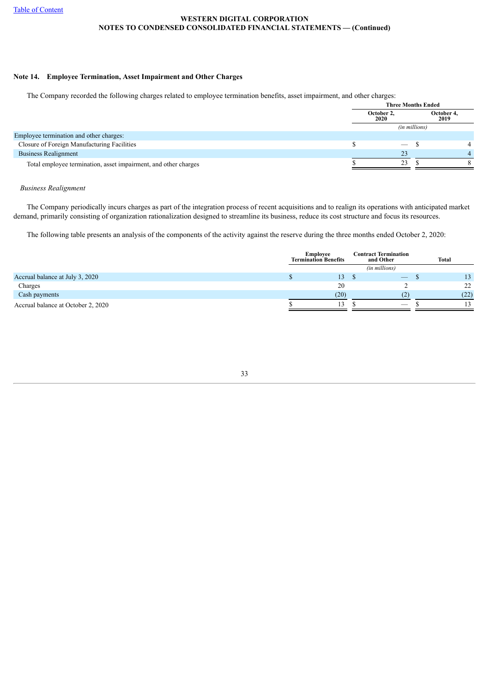# **Note 14. Employee Termination, Asset Impairment and Other Charges**

The Company recorded the following charges related to employee termination benefits, asset impairment, and other charges:

|                                                                 | <b>Three Months Ended</b> |                    |  |
|-----------------------------------------------------------------|---------------------------|--------------------|--|
|                                                                 | October 2.<br>2020        | October 4,<br>2019 |  |
|                                                                 | (in millions)             |                    |  |
| Employee termination and other charges:                         |                           |                    |  |
| Closure of Foreign Manufacturing Facilities                     |                           |                    |  |
| <b>Business Realignment</b>                                     | 23                        |                    |  |
| Total employee termination, asset impairment, and other charges | 23                        |                    |  |
|                                                                 |                           |                    |  |

# *Business Realignment*

The Company periodically incurs charges as part of the integration process of recent acquisitions and to realign its operations with anticipated market demand, primarily consisting of organization rationalization designed to streamline its business, reduce its cost structure and focus its resources.

The following table presents an analysis of the components of the activity against the reserve during the three months ended October 2, 2020:

|                                    | Employee<br><b>Termination Benefits</b> |  | <b>Contract Termination</b><br>and Other | <b>Total</b> |
|------------------------------------|-----------------------------------------|--|------------------------------------------|--------------|
|                                    |                                         |  | (in millions)                            |              |
| Accrual balance at July 3, 2020    | 13                                      |  |                                          |              |
| Charges                            | 20                                      |  |                                          | 22           |
| Cash payments                      | (20)                                    |  | $\mathbb Z$                              | (22)         |
| Accrual balance at October 2, 2020 | $\Delta$                                |  |                                          |              |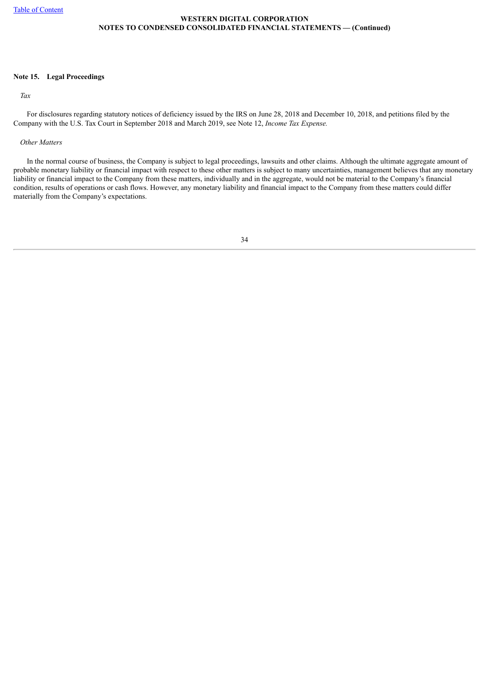# **Note 15. Legal Proceedings**

*Tax*

For disclosures regarding statutory notices of deficiency issued by the IRS on June 28, 2018 and December 10, 2018, and petitions filed by the Company with the U.S. Tax Court in September 2018 and March 2019, see Note 12, *Income Tax Expense.*

# *Other Matters*

<span id="page-33-0"></span>In the normal course of business, the Company is subject to legal proceedings, lawsuits and other claims. Although the ultimate aggregate amount of probable monetary liability or financial impact with respect to these other matters is subject to many uncertainties, management believes that any monetary liability or financial impact to the Company from these matters, individually and in the aggregate, would not be material to the Company's financial condition, results of operations or cash flows. However, any monetary liability and financial impact to the Company from these matters could differ materially from the Company's expectations.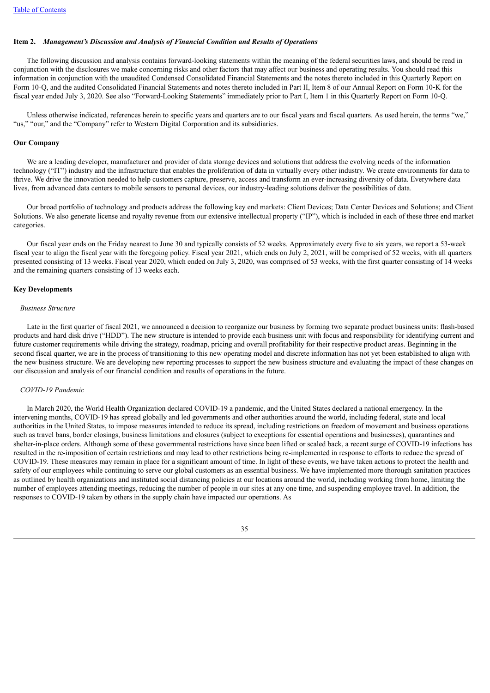# **Item 2.** *Management's Discussion and Analysis of Financial Condition and Results of Operations*

The following discussion and analysis contains forward-looking statements within the meaning of the federal securities laws, and should be read in conjunction with the disclosures we make concerning risks and other factors that may affect our business and operating results. You should read this information in conjunction with the unaudited Condensed Consolidated Financial Statements and the notes thereto included in this Quarterly Report on Form 10-Q, and the audited Consolidated Financial Statements and notes thereto included in Part II, Item 8 of our Annual Report on Form 10‑K for the fiscal year ended July 3, 2020. See also "Forward-Looking Statements" immediately prior to Part I, Item 1 in this Quarterly Report on Form 10-Q.

Unless otherwise indicated, references herein to specific years and quarters are to our fiscal years and fiscal quarters. As used herein, the terms "we," "us," "our," and the "Company" refer to Western Digital Corporation and its subsidiaries.

#### **Our Company**

We are a leading developer, manufacturer and provider of data storage devices and solutions that address the evolving needs of the information technology ("IT") industry and the infrastructure that enables the proliferation of data in virtually every other industry. We create environments for data to thrive. We drive the innovation needed to help customers capture, preserve, access and transform an ever-increasing diversity of data. Everywhere data lives, from advanced data centers to mobile sensors to personal devices, our industry-leading solutions deliver the possibilities of data.

Our broad portfolio of technology and products address the following key end markets: Client Devices; Data Center Devices and Solutions; and Client Solutions. We also generate license and royalty revenue from our extensive intellectual property ("IP"), which is included in each of these three end market categories.

Our fiscal year ends on the Friday nearest to June 30 and typically consists of 52 weeks. Approximately every five to six years, we report a 53-week fiscal year to align the fiscal year with the foregoing policy. Fiscal year 2021, which ends on July 2, 2021, will be comprised of 52 weeks, with all quarters presented consisting of 13 weeks. Fiscal year 2020, which ended on July 3, 2020, was comprised of 53 weeks, with the first quarter consisting of 14 weeks and the remaining quarters consisting of 13 weeks each.

#### **Key Developments**

#### *Business Structure*

Late in the first quarter of fiscal 2021, we announced a decision to reorganize our business by forming two separate product business units: flash-based products and hard disk drive ("HDD"). The new structure is intended to provide each business unit with focus and responsibility for identifying current and future customer requirements while driving the strategy, roadmap, pricing and overall profitability for their respective product areas. Beginning in the second fiscal quarter, we are in the process of transitioning to this new operating model and discrete information has not yet been established to align with the new business structure. We are developing new reporting processes to support the new business structure and evaluating the impact of these changes on our discussion and analysis of our financial condition and results of operations in the future.

#### *COVID-19 Pandemic*

In March 2020, the World Health Organization declared COVID-19 a pandemic, and the United States declared a national emergency. In the intervening months, COVID-19 has spread globally and led governments and other authorities around the world, including federal, state and local authorities in the United States, to impose measures intended to reduce its spread, including restrictions on freedom of movement and business operations such as travel bans, border closings, business limitations and closures (subject to exceptions for essential operations and businesses), quarantines and shelter-in-place orders. Although some of these governmental restrictions have since been lifted or scaled back, a recent surge of COVID-19 infections has resulted in the re-imposition of certain restrictions and may lead to other restrictions being re-implemented in response to efforts to reduce the spread of COVID-19. These measures may remain in place for a significant amount of time. In light of these events, we have taken actions to protect the health and safety of our employees while continuing to serve our global customers as an essential business. We have implemented more thorough sanitation practices as outlined by health organizations and instituted social distancing policies at our locations around the world, including working from home, limiting the number of employees attending meetings, reducing the number of people in our sites at any one time, and suspending employee travel. In addition, the responses to COVID-19 taken by others in the supply chain have impacted our operations. As

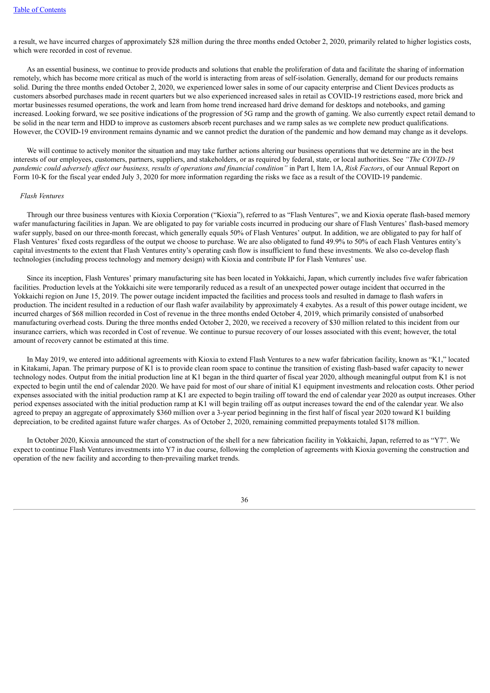a result, we have incurred charges of approximately \$28 million during the three months ended October 2, 2020, primarily related to higher logistics costs, which were recorded in cost of revenue.

As an essential business, we continue to provide products and solutions that enable the proliferation of data and facilitate the sharing of information remotely, which has become more critical as much of the world is interacting from areas of self-isolation. Generally, demand for our products remains solid. During the three months ended October 2, 2020, we experienced lower sales in some of our capacity enterprise and Client Devices products as customers absorbed purchases made in recent quarters but we also experienced increased sales in retail as COVID-19 restrictions eased, more brick and mortar businesses resumed operations, the work and learn from home trend increased hard drive demand for desktops and notebooks, and gaming increased. Looking forward, we see positive indications of the progression of 5G ramp and the growth of gaming. We also currently expect retail demand to be solid in the near term and HDD to improve as customers absorb recent purchases and we ramp sales as we complete new product qualifications. However, the COVID-19 environment remains dynamic and we cannot predict the duration of the pandemic and how demand may change as it develops.

We will continue to actively monitor the situation and may take further actions altering our business operations that we determine are in the best interests of our employees, customers, partners, suppliers, and stakeholders, or as required by federal, state, or local authorities. See *"The COVID-19* pandemic could adversely affect our business, results of operations and financial condition" in Part I, Item 1A, Risk Factors, of our Annual Report on Form 10-K for the fiscal year ended July 3, 2020 for more information regarding the risks we face as a result of the COVID-19 pandemic.

#### *Flash Ventures*

Through our three business ventures with Kioxia Corporation ("Kioxia"), referred to as "Flash Ventures", we and Kioxia operate flash-based memory wafer manufacturing facilities in Japan. We are obligated to pay for variable costs incurred in producing our share of Flash Ventures' flash-based memory wafer supply, based on our three-month forecast, which generally equals 50% of Flash Ventures' output. In addition, we are obligated to pay for half of Flash Ventures' fixed costs regardless of the output we choose to purchase. We are also obligated to fund 49.9% to 50% of each Flash Ventures entity's capital investments to the extent that Flash Ventures entity's operating cash flow is insufficient to fund these investments. We also co-develop flash technologies (including process technology and memory design) with Kioxia and contribute IP for Flash Ventures' use.

Since its inception, Flash Ventures' primary manufacturing site has been located in Yokkaichi, Japan, which currently includes five wafer fabrication facilities. Production levels at the Yokkaichi site were temporarily reduced as a result of an unexpected power outage incident that occurred in the Yokkaichi region on June 15, 2019. The power outage incident impacted the facilities and process tools and resulted in damage to flash wafers in production. The incident resulted in a reduction of our flash wafer availability by approximately 4 exabytes. As a result of this power outage incident, we incurred charges of \$68 million recorded in Cost of revenue in the three months ended October 4, 2019, which primarily consisted of unabsorbed manufacturing overhead costs. During the three months ended October 2, 2020, we received a recovery of \$30 million related to this incident from our insurance carriers, which was recorded in Cost of revenue. We continue to pursue recovery of our losses associated with this event; however, the total amount of recovery cannot be estimated at this time.

In May 2019, we entered into additional agreements with Kioxia to extend Flash Ventures to a new wafer fabrication facility, known as "K1," located in Kitakami, Japan. The primary purpose of K1 is to provide clean room space to continue the transition of existing flash-based wafer capacity to newer technology nodes. Output from the initial production line at K1 began in the third quarter of fiscal year 2020, although meaningful output from K1 is not expected to begin until the end of calendar 2020. We have paid for most of our share of initial K1 equipment investments and relocation costs. Other period expenses associated with the initial production ramp at K1 are expected to begin trailing off toward the end of calendar year 2020 as output increases. Other period expenses associated with the initial production ramp at K1 will begin trailing off as output increases toward the end of the calendar year. We also agreed to prepay an aggregate of approximately \$360 million over a 3-year period beginning in the first half of fiscal year 2020 toward K1 building depreciation, to be credited against future wafer charges. As of October 2, 2020, remaining committed prepayments totaled \$178 million.

In October 2020, Kioxia announced the start of construction of the shell for a new fabrication facility in Yokkaichi, Japan, referred to as "Y7". We expect to continue Flash Ventures investments into Y7 in due course, following the completion of agreements with Kioxia governing the construction and operation of the new facility and according to then-prevailing market trends.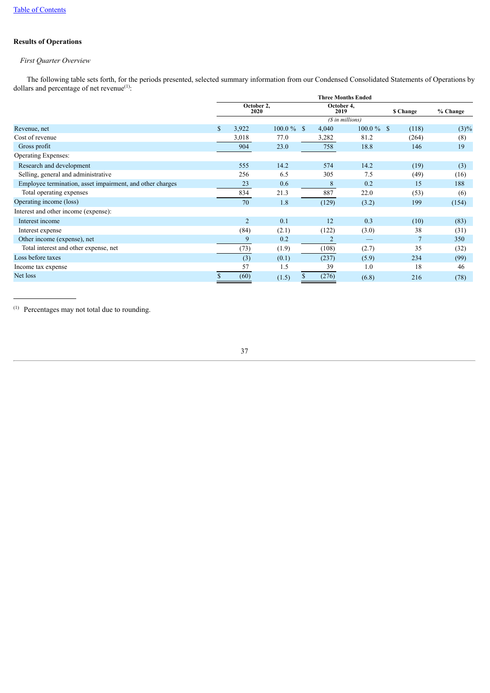# **Results of Operations**

# *First Quarter Overview*

The following table sets forth, for the periods presented, selected summary information from our Condensed Consolidated Statements of Operations by dollars and percentage of net revenue $<sup>(1)</sup>$ :</sup>

|                                                           | <b>Three Months Ended</b> |                    |               |  |                    |                  |           |          |
|-----------------------------------------------------------|---------------------------|--------------------|---------------|--|--------------------|------------------|-----------|----------|
|                                                           |                           | October 2,<br>2020 |               |  | October 4,<br>2019 |                  | \$ Change | % Change |
|                                                           |                           |                    |               |  |                    | (\$ in millions) |           |          |
| Revenue, net                                              | \$                        | 3,922              | $100.0 \%$ \$ |  | 4,040              | $100.0 \%$ \$    | (118)     | $(3)\%$  |
| Cost of revenue                                           |                           | 3,018              | 77.0          |  | 3,282              | 81.2             | (264)     | (8)      |
| Gross profit                                              |                           | 904                | 23.0          |  | 758                | 18.8             | 146       | 19       |
| Operating Expenses:                                       |                           |                    |               |  |                    |                  |           |          |
| Research and development                                  |                           | 555                | 14.2          |  | 574                | 14.2             | (19)      | (3)      |
| Selling, general and administrative                       |                           | 256                | 6.5           |  | 305                | 7.5              | (49)      | (16)     |
| Employee termination, asset impairment, and other charges |                           | 23                 | 0.6           |  | 8                  | 0.2              | 15        | 188      |
| Total operating expenses                                  |                           | 834                | 21.3          |  | 887                | 22.0             | (53)      | (6)      |
| Operating income (loss)                                   |                           | 70                 | 1.8           |  | (129)              | (3.2)            | 199       | (154)    |
| Interest and other income (expense):                      |                           |                    |               |  |                    |                  |           |          |
| Interest income                                           |                           | $\overline{2}$     | 0.1           |  | 12                 | 0.3              | (10)      | (83)     |
| Interest expense                                          |                           | (84)               | (2.1)         |  | (122)              | (3.0)            | 38        | (31)     |
| Other income (expense), net                               |                           | 9                  | 0.2           |  |                    |                  |           | 350      |
| Total interest and other expense, net                     |                           | (73)               | (1.9)         |  | (108)              | (2.7)            | 35        | (32)     |
| Loss before taxes                                         |                           | (3)                | (0.1)         |  | (237)              | (5.9)            | 234       | (99)     |
| Income tax expense                                        |                           | 57                 | 1.5           |  | 39                 | 1.0              | 18        | 46       |
| Net loss                                                  |                           | (60)               | (1.5)         |  | (276)              | (6.8)            | 216       | (78)     |

 $(1)$  Percentages may not total due to rounding.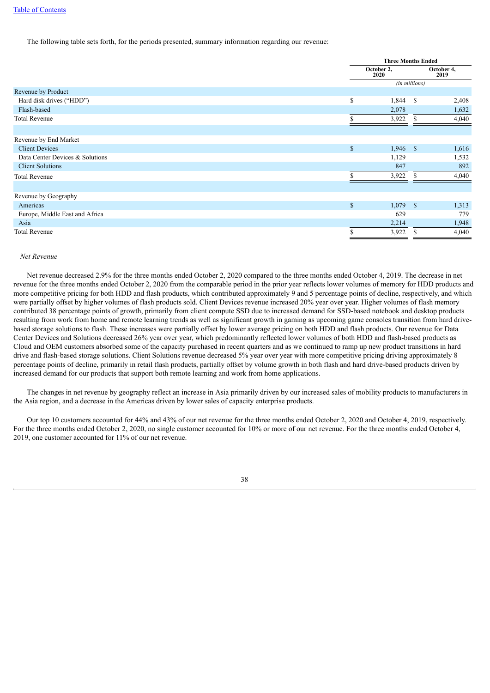The following table sets forth, for the periods presented, summary information regarding our revenue:

|                                 |              | <b>Three Months Ended</b> |               |                    |
|---------------------------------|--------------|---------------------------|---------------|--------------------|
|                                 |              | October 2,<br>2020        |               | October 4,<br>2019 |
|                                 |              |                           | (in millions) |                    |
| Revenue by Product              |              |                           |               |                    |
| Hard disk drives ("HDD")        | \$           | 1,844                     | - \$          | 2,408              |
| Flash-based                     |              | 2,078                     |               | 1,632              |
| <b>Total Revenue</b>            |              | 3,922                     | <sup>\$</sup> | 4,040              |
|                                 |              |                           |               |                    |
| Revenue by End Market           |              |                           |               |                    |
| <b>Client Devices</b>           | $\mathbb{S}$ | $1,946$ \$                |               | 1,616              |
| Data Center Devices & Solutions |              | 1,129                     |               | 1,532              |
| <b>Client Solutions</b>         |              | 847                       |               | 892                |
| <b>Total Revenue</b>            |              | 3,922                     | S             | 4,040              |
|                                 |              |                           |               |                    |
| Revenue by Geography            |              |                           |               |                    |
| Americas                        | $\mathbb{S}$ | 1,079                     | - \$          | 1,313              |
| Europe, Middle East and Africa  |              | 629                       |               | 779                |
| Asia                            |              | 2,214                     |               | 1,948              |
| <b>Total Revenue</b>            |              | 3,922                     |               | 4,040              |
|                                 |              |                           |               |                    |

#### *Net Revenue*

Net revenue decreased 2.9% for the three months ended October 2, 2020 compared to the three months ended October 4, 2019. The decrease in net revenue for the three months ended October 2, 2020 from the comparable period in the prior year reflects lower volumes of memory for HDD products and more competitive pricing for both HDD and flash products, which contributed approximately 9 and 5 percentage points of decline, respectively, and which were partially offset by higher volumes of flash products sold. Client Devices revenue increased 20% year over year. Higher volumes of flash memory contributed 38 percentage points of growth, primarily from client compute SSD due to increased demand for SSD-based notebook and desktop products resulting from work from home and remote learning trends as well as significant growth in gaming as upcoming game consoles transition from hard drivebased storage solutions to flash. These increases were partially offset by lower average pricing on both HDD and flash products. Our revenue for Data Center Devices and Solutions decreased 26% year over year, which predominantly reflected lower volumes of both HDD and flash-based products as Cloud and OEM customers absorbed some of the capacity purchased in recent quarters and as we continued to ramp up new product transitions in hard drive and flash-based storage solutions. Client Solutions revenue decreased 5% year over year with more competitive pricing driving approximately 8 percentage points of decline, primarily in retail flash products, partially offset by volume growth in both flash and hard drive-based products driven by increased demand for our products that support both remote learning and work from home applications.

The changes in net revenue by geography reflect an increase in Asia primarily driven by our increased sales of mobility products to manufacturers in the Asia region, and a decrease in the Americas driven by lower sales of capacity enterprise products.

Our top 10 customers accounted for 44% and 43% of our net revenue for the three months ended October 2, 2020 and October 4, 2019, respectively. For the three months ended October 2, 2020, no single customer accounted for 10% or more of our net revenue. For the three months ended October 4, 2019, one customer accounted for 11% of our net revenue.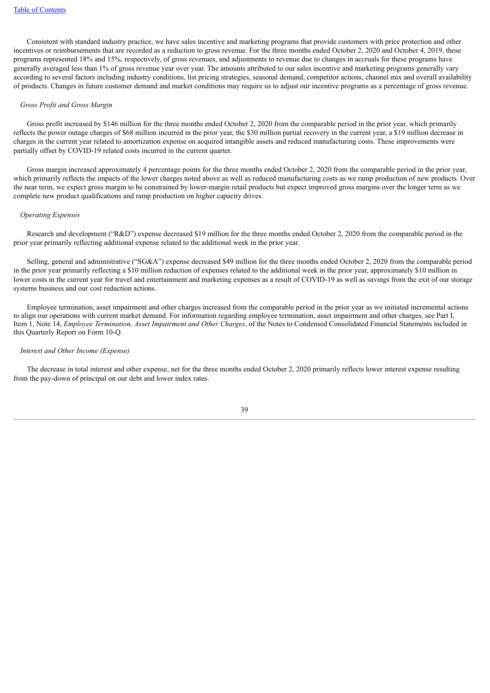Consistent with standard industry practice, we have sales incentive and marketing programs that provide customers with price protection and other incentives or reimbursements that are recorded as a reduction to gross revenue. For the three months ended October 2, 2020 and October 4, 2019, these programs represented 18% and 15%, respectively, of gross revenues, and adjustments to revenue due to changes in accruals for these programs have generally averaged less than 1% of gross revenue year over year. The amounts attributed to our sales incentive and marketing programs generally vary according to several factors including industry conditions, list pricing strategies, seasonal demand, competitor actions, channel mix and overall availability of products. Changes in future customer demand and market conditions may require us to adjust our incentive programs as a percentage of gross revenue.

#### *Gross Profit and Gross Margin*

Gross profit increased by \$146 million for the three months ended October 2, 2020 from the comparable period in the prior year, which primarily reflects the power outage charges of \$68 million incurred in the prior year, the \$30 million partial recovery in the current year, a \$19 million decrease in charges in the current year related to amortization expense on acquired intangible assets and reduced manufacturing costs. These improvements were partially offset by COVID-19 related costs incurred in the current quarter.

Gross margin increased approximately 4 percentage points for the three months ended October 2, 2020 from the comparable period in the prior year, which primarily reflects the impacts of the lower charges noted above as well as reduced manufacturing costs as we ramp production of new products. Over the near term, we expect gross margin to be constrained by lower-margin retail products but expect improved gross margins over the longer term as we complete new product qualifications and ramp production on higher capacity drives.

#### *Operating Expenses*

Research and development ("R&D") expense decreased \$19 million for the three months ended October 2, 2020 from the comparable period in the prior year primarily reflecting additional expense related to the additional week in the prior year.

Selling, general and administrative ("SG&A") expense decreased \$49 million for the three months ended October 2, 2020 from the comparable period in the prior year primarily reflecting a \$10 million reduction of expenses related to the additional week in the prior year, approximately \$10 million in lower costs in the current year for travel and entertainment and marketing expenses as a result of COVID-19 as well as savings from the exit of our storage systems business and our cost reduction actions.

Employee termination, asset impairment and other charges increased from the comparable period in the prior year as we initiated incremental actions to align our operations with current market demand. For information regarding employee termination, asset impairment and other charges, see Part I, Item 1, Note 14, *Employee Termination, Asset Impairment and Other Charges*, of the Notes to Condensed Consolidated Financial Statements included in this Quarterly Report on Form 10-Q.

#### *Interest and Other Income (Expense)*

The decrease in total interest and other expense, net for the three months ended October 2, 2020 primarily reflects lower interest expense resulting from the pay-down of principal on our debt and lower index rates.

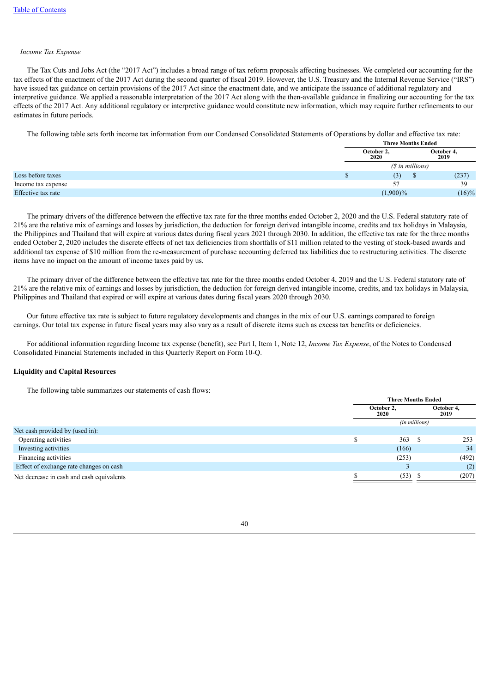#### *Income Tax Expense*

The Tax Cuts and Jobs Act (the "2017 Act") includes a broad range of tax reform proposals affecting businesses. We completed our accounting for the tax effects of the enactment of the 2017 Act during the second quarter of fiscal 2019. However, the U.S. Treasury and the Internal Revenue Service ("IRS") have issued tax guidance on certain provisions of the 2017 Act since the enactment date, and we anticipate the issuance of additional regulatory and interpretive guidance. We applied a reasonable interpretation of the 2017 Act along with the then-available guidance in finalizing our accounting for the tax effects of the 2017 Act. Any additional regulatory or interpretive guidance would constitute new information, which may require further refinements to our estimates in future periods.

The following table sets forth income tax information from our Condensed Consolidated Statements of Operations by dollar and effective tax rate:

|                    | <b>Three Months Ended</b> |                  |                    |
|--------------------|---------------------------|------------------|--------------------|
|                    | October 2,<br>2020        |                  | October 4,<br>2019 |
|                    |                           | (\$ in millions) |                    |
| Loss before taxes  | (3)                       |                  | (237)              |
| Income tax expense | 57                        |                  | 39                 |
| Effective tax rate | $(1,900)\%$               |                  | $(16)\%$           |

The primary drivers of the difference between the effective tax rate for the three months ended October 2, 2020 and the U.S. Federal statutory rate of 21% are the relative mix of earnings and losses by jurisdiction, the deduction for foreign derived intangible income, credits and tax holidays in Malaysia, the Philippines and Thailand that will expire at various dates during fiscal years 2021 through 2030. In addition, the effective tax rate for the three months ended October 2, 2020 includes the discrete effects of net tax deficiencies from shortfalls of \$11 million related to the vesting of stock-based awards and additional tax expense of \$10 million from the re-measurement of purchase accounting deferred tax liabilities due to restructuring activities. The discrete items have no impact on the amount of income taxes paid by us.

The primary driver of the difference between the effective tax rate for the three months ended October 4, 2019 and the U.S. Federal statutory rate of 21% are the relative mix of earnings and losses by jurisdiction, the deduction for foreign derived intangible income, credits, and tax holidays in Malaysia, Philippines and Thailand that expired or will expire at various dates during fiscal years 2020 through 2030.

Our future effective tax rate is subject to future regulatory developments and changes in the mix of our U.S. earnings compared to foreign earnings. Our total tax expense in future fiscal years may also vary as a result of discrete items such as excess tax benefits or deficiencies.

For additional information regarding Income tax expense (benefit), see Part I, Item 1, Note 12, *Income Tax Expense*, of the Notes to Condensed Consolidated Financial Statements included in this Quarterly Report on Form 10-Q.

# **Liquidity and Capital Resources**

The following table summarizes our statements of cash flows:

|                                           |                    | <b>Three Months Ended</b> |       |  |
|-------------------------------------------|--------------------|---------------------------|-------|--|
|                                           | October 2,<br>2020 | October 4,<br>2019        |       |  |
|                                           |                    | (in millions)             |       |  |
| Net cash provided by (used in):           |                    |                           |       |  |
| Operating activities                      | 363S               |                           | 253   |  |
| Investing activities                      | (166)              |                           | 34    |  |
| Financing activities                      | (253)              |                           | (492) |  |
| Effect of exchange rate changes on cash   |                    |                           | (2)   |  |
| Net decrease in cash and cash equivalents | (53)               |                           | (207) |  |
|                                           |                    |                           |       |  |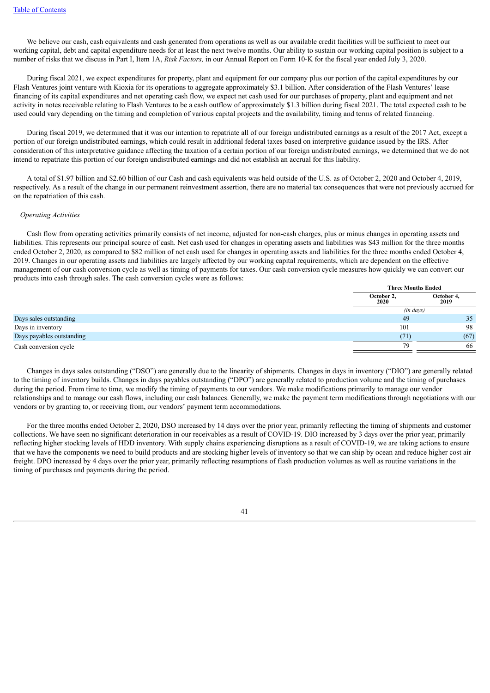We believe our cash, cash equivalents and cash generated from operations as well as our available credit facilities will be sufficient to meet our working capital, debt and capital expenditure needs for at least the next twelve months. Our ability to sustain our working capital position is subject to a number of risks that we discuss in Part I, Item 1A, *Risk Factors,* in our Annual Report on Form 10-K for the fiscal year ended July 3, 2020.

During fiscal 2021, we expect expenditures for property, plant and equipment for our company plus our portion of the capital expenditures by our Flash Ventures joint venture with Kioxia for its operations to aggregate approximately \$3.1 billion. After consideration of the Flash Ventures' lease financing of its capital expenditures and net operating cash flow, we expect net cash used for our purchases of property, plant and equipment and net activity in notes receivable relating to Flash Ventures to be a cash outflow of approximately \$1.3 billion during fiscal 2021. The total expected cash to be used could vary depending on the timing and completion of various capital projects and the availability, timing and terms of related financing.

During fiscal 2019, we determined that it was our intention to repatriate all of our foreign undistributed earnings as a result of the 2017 Act, except a portion of our foreign undistributed earnings, which could result in additional federal taxes based on interpretive guidance issued by the IRS. After consideration of this interpretative guidance affecting the taxation of a certain portion of our foreign undistributed earnings, we determined that we do not intend to repatriate this portion of our foreign undistributed earnings and did not establish an accrual for this liability.

A total of \$1.97 billion and \$2.60 billion of our Cash and cash equivalents was held outside of the U.S. as of October 2, 2020 and October 4, 2019, respectively. As a result of the change in our permanent reinvestment assertion, there are no material tax consequences that were not previously accrued for on the repatriation of this cash.

#### *Operating Activities*

Cash flow from operating activities primarily consists of net income, adjusted for non-cash charges, plus or minus changes in operating assets and liabilities. This represents our principal source of cash. Net cash used for changes in operating assets and liabilities was \$43 million for the three months ended October 2, 2020, as compared to \$82 million of net cash used for changes in operating assets and liabilities for the three months ended October 4, 2019. Changes in our operating assets and liabilities are largely affected by our working capital requirements, which are dependent on the effective management of our cash conversion cycle as well as timing of payments for taxes. Our cash conversion cycle measures how quickly we can convert our products into cash through sales. The cash conversion cycles were as follows:

|                           | <b>Three Months Ended</b> |                    |
|---------------------------|---------------------------|--------------------|
|                           | October 2,<br>2020        | October 4,<br>2019 |
|                           | $(in \, days)$            |                    |
| Days sales outstanding    | 49                        | 35                 |
| Days in inventory         | 101                       | 98                 |
| Days payables outstanding | (71)                      | (67)               |
| Cash conversion cycle     | 79                        | -66                |
|                           |                           |                    |

Changes in days sales outstanding ("DSO") are generally due to the linearity of shipments. Changes in days in inventory ("DIO") are generally related to the timing of inventory builds. Changes in days payables outstanding ("DPO") are generally related to production volume and the timing of purchases during the period. From time to time, we modify the timing of payments to our vendors. We make modifications primarily to manage our vendor relationships and to manage our cash flows, including our cash balances. Generally, we make the payment term modifications through negotiations with our vendors or by granting to, or receiving from, our vendors' payment term accommodations.

For the three months ended October 2, 2020, DSO increased by 14 days over the prior year, primarily reflecting the timing of shipments and customer collections. We have seen no significant deterioration in our receivables as a result of COVID-19. DIO increased by 3 days over the prior year, primarily reflecting higher stocking levels of HDD inventory. With supply chains experiencing disruptions as a result of COVID-19, we are taking actions to ensure that we have the components we need to build products and are stocking higher levels of inventory so that we can ship by ocean and reduce higher cost air freight. DPO increased by 4 days over the prior year, primarily reflecting resumptions of flash production volumes as well as routine variations in the timing of purchases and payments during the period.

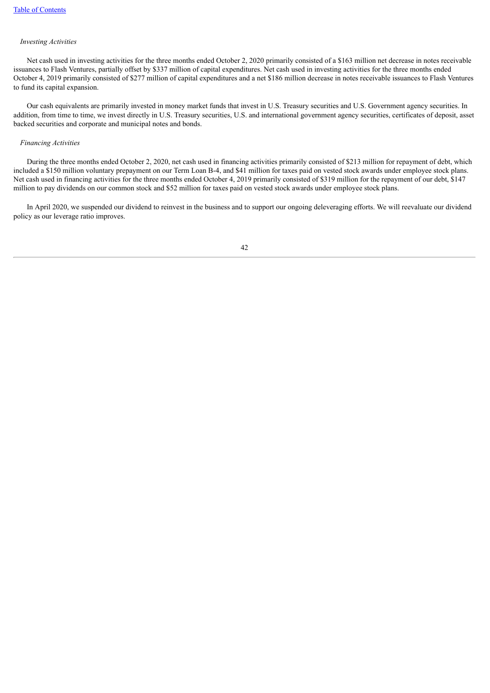# *Investing Activities*

Net cash used in investing activities for the three months ended October 2, 2020 primarily consisted of a \$163 million net decrease in notes receivable issuances to Flash Ventures, partially offset by \$337 million of capital expenditures. Net cash used in investing activities for the three months ended October 4, 2019 primarily consisted of \$277 million of capital expenditures and a net \$186 million decrease in notes receivable issuances to Flash Ventures to fund its capital expansion.

Our cash equivalents are primarily invested in money market funds that invest in U.S. Treasury securities and U.S. Government agency securities. In addition, from time to time, we invest directly in U.S. Treasury securities, U.S. and international government agency securities, certificates of deposit, asset backed securities and corporate and municipal notes and bonds.

#### *Financing Activities*

During the three months ended October 2, 2020, net cash used in financing activities primarily consisted of \$213 million for repayment of debt, which included a \$150 million voluntary prepayment on our Term Loan B-4, and \$41 million for taxes paid on vested stock awards under employee stock plans. Net cash used in financing activities for the three months ended October 4, 2019 primarily consisted of \$319 million for the repayment of our debt, \$147 million to pay dividends on our common stock and \$52 million for taxes paid on vested stock awards under employee stock plans.

In April 2020, we suspended our dividend to reinvest in the business and to support our ongoing deleveraging efforts. We will reevaluate our dividend policy as our leverage ratio improves.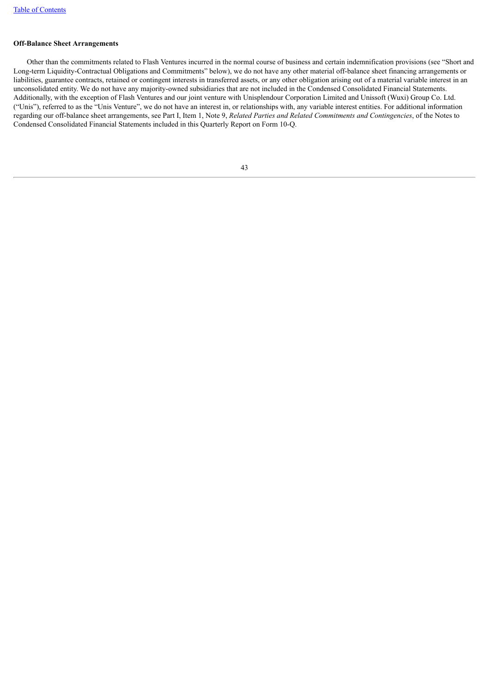# **Off-Balance Sheet Arrangements**

Other than the commitments related to Flash Ventures incurred in the normal course of business and certain indemnification provisions (see "Short and Long-term Liquidity-Contractual Obligations and Commitments" below), we do not have any other material off-balance sheet financing arrangements or liabilities, guarantee contracts, retained or contingent interests in transferred assets, or any other obligation arising out of a material variable interest in an unconsolidated entity. We do not have any majority-owned subsidiaries that are not included in the Condensed Consolidated Financial Statements. Additionally, with the exception of Flash Ventures and our joint venture with Unisplendour Corporation Limited and Unissoft (Wuxi) Group Co. Ltd. ("Unis"), referred to as the "Unis Venture", we do not have an interest in, or relationships with, any variable interest entities. For additional information regarding our off-balance sheet arrangements, see Part I, Item 1, Note 9, *Related Parties and Related Commitments and Contingencies*, of the Notes to Condensed Consolidated Financial Statements included in this Quarterly Report on Form 10-Q.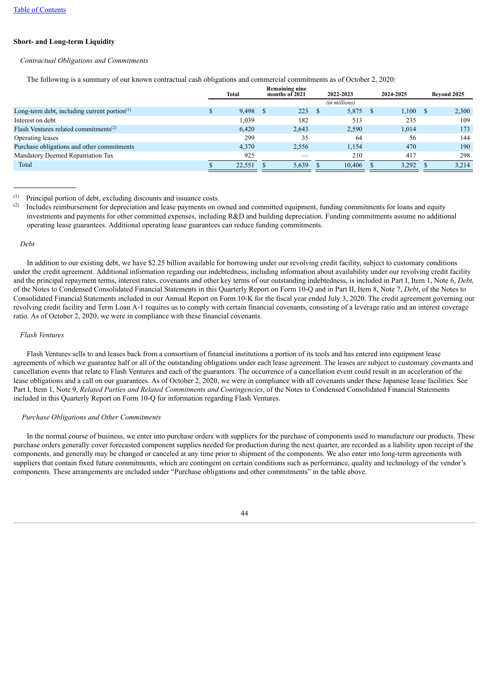# **Short- and Long-term Liquidity**

# *Contractual Obligations and Commitments*

The following is a summary of our known contractual cash obligations and commercial commitments as of October 2, 2020:

|                                                                | Total      | <b>Remaining nine</b><br>months of $2021$ | 2022-2023     | 2024-2025 | Bevond 2025 |
|----------------------------------------------------------------|------------|-------------------------------------------|---------------|-----------|-------------|
|                                                                |            |                                           | (in millions) |           |             |
| Long-term debt, including current portion $(1)$                | $9,498$ \$ | 223                                       | 5,875         | 1,100     | 2,300       |
| Interest on debt                                               | 1,039      | 182                                       | 513           | 235       | 109         |
| Flash Ventures related commitments <sup><math>(2)</math></sup> | 6.420      | 2,643                                     | 2,590         | 1,014     | 173         |
| Operating leases                                               | 299        | 35                                        | 64            | 56        | 144         |
| Purchase obligations and other commitments                     | 4,370      | 2,556                                     | 1,154         | 470       | 190         |
| Mandatory Deemed Repatriation Tax                              | 925        |                                           | 210           | 417       | 298         |
| Total                                                          | 22.551     | 5,639                                     | 10,406        | 3,292     | 3,214       |

#### $(1)$  Principal portion of debt, excluding discounts and issuance costs.

Includes reimbursement for depreciation and lease payments on owned and committed equipment, funding commitments for loans and equity investments and payments for other committed expenses, including R&D and building depreciation. Funding commitments assume no additional operating lease guarantees. Additional operating lease guarantees can reduce funding commitments. (2)

#### *Debt*

In addition to our existing debt, we have \$2.25 billion available for borrowing under our revolving credit facility, subject to customary conditions under the credit agreement. Additional information regarding our indebtedness, including information about availability under our revolving credit facility and the principal repayment terms, interest rates, covenants and other key terms of our outstanding indebtedness, is included in Part I, Item 1, Note 6, *Debt,* of the Notes to Condensed Consolidated Financial Statements in this Quarterly Report on Form 10-Q and in Part II, Item 8, Note 7, *Debt*, of the Notes to Consolidated Financial Statements included in our Annual Report on Form 10-K for the fiscal year ended July 3, 2020. The credit agreement governing our revolving credit facility and Term Loan A-1 requires us to comply with certain financial covenants, consisting of a leverage ratio and an interest coverage ratio. As of October 2, 2020, we were in compliance with these financial covenants.

#### *Flash Ventures*

Flash Ventures sells to and leases back from a consortium of financial institutions a portion of its tools and has entered into equipment lease agreements of which we guarantee half or all of the outstanding obligations under each lease agreement. The leases are subject to customary covenants and cancellation events that relate to Flash Ventures and each of the guarantors. The occurrence of a cancellation event could result in an acceleration of the lease obligations and a call on our guarantees. As of October 2, 2020, we were in compliance with all covenants under these Japanese lease facilities. See Part I, Item 1, Note 9, *Related Parties and Related Commitments and Contingencies*, of the Notes to Condensed Consolidated Financial Statements included in this Quarterly Report on Form 10-Q for information regarding Flash Ventures.

# *Purchase Obligations and Other Commitments*

In the normal course of business, we enter into purchase orders with suppliers for the purchase of components used to manufacture our products. These purchase orders generally cover forecasted component supplies needed for production during the next quarter, are recorded as a liability upon receipt of the components, and generally may be changed or canceled at any time prior to shipment of the components. We also enter into long-term agreements with suppliers that contain fixed future commitments, which are contingent on certain conditions such as performance, quality and technology of the vendor's components. These arrangements are included under "Purchase obligations and other commitments" in the table above.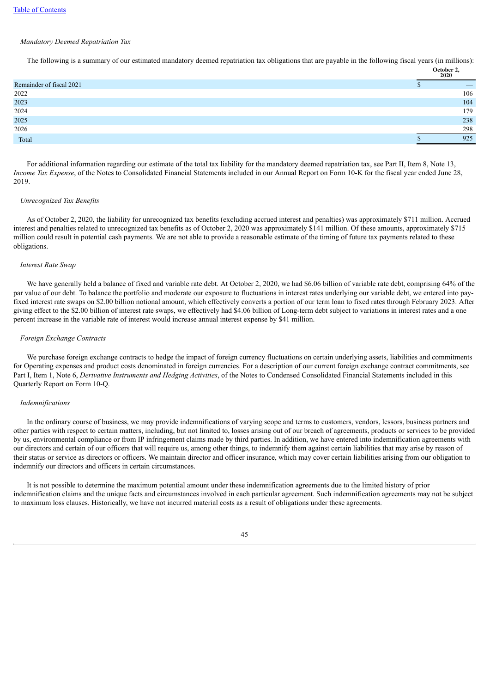# *Mandatory Deemed Repatriation Tax*

The following is a summary of our estimated mandatory deemed repatriation tax obligations that are payable in the following fiscal years (in millions): **October 2,**

|                          | October 2,<br>2020 |
|--------------------------|--------------------|
| Remainder of fiscal 2021 |                    |
| 2022                     | 106                |
| 2023                     | 104                |
| 2024                     | 179                |
| 2025                     | 238                |
| 2026                     | 298                |
| Total                    | 925                |
|                          |                    |

For additional information regarding our estimate of the total tax liability for the mandatory deemed repatriation tax, see Part II, Item 8, Note 13, *Income Tax Expense*, of the Notes to Consolidated Financial Statements included in our Annual Report on Form 10-K for the fiscal year ended June 28, 2019.

# *Unrecognized Tax Benefits*

As of October 2, 2020, the liability for unrecognized tax benefits (excluding accrued interest and penalties) was approximately \$711 million. Accrued interest and penalties related to unrecognized tax benefits as of October 2, 2020 was approximately \$141 million. Of these amounts, approximately \$715 million could result in potential cash payments. We are not able to provide a reasonable estimate of the timing of future tax payments related to these obligations.

#### *Interest Rate Swap*

We have generally held a balance of fixed and variable rate debt. At October 2, 2020, we had \$6.06 billion of variable rate debt, comprising 64% of the par value of our debt. To balance the portfolio and moderate our exposure to fluctuations in interest rates underlying our variable debt, we entered into payfixed interest rate swaps on \$2.00 billion notional amount, which effectively converts a portion of our term loan to fixed rates through February 2023. After giving effect to the \$2.00 billion of interest rate swaps, we effectively had \$4.06 billion of Long-term debt subject to variations in interest rates and a one percent increase in the variable rate of interest would increase annual interest expense by \$41 million.

# *Foreign Exchange Contracts*

We purchase foreign exchange contracts to hedge the impact of foreign currency fluctuations on certain underlying assets, liabilities and commitments for Operating expenses and product costs denominated in foreign currencies. For a description of our current foreign exchange contract commitments, see Part I, Item 1, Note 6, *Derivative Instruments and Hedging Activities*, of the Notes to Condensed Consolidated Financial Statements included in this Quarterly Report on Form 10-Q.

#### *Indemnifications*

In the ordinary course of business, we may provide indemnifications of varying scope and terms to customers, vendors, lessors, business partners and other parties with respect to certain matters, including, but not limited to, losses arising out of our breach of agreements, products or services to be provided by us, environmental compliance or from IP infringement claims made by third parties. In addition, we have entered into indemnification agreements with our directors and certain of our officers that will require us, among other things, to indemnify them against certain liabilities that may arise by reason of their status or service as directors or officers. We maintain director and officer insurance, which may cover certain liabilities arising from our obligation to indemnify our directors and officers in certain circumstances.

It is not possible to determine the maximum potential amount under these indemnification agreements due to the limited history of prior indemnification claims and the unique facts and circumstances involved in each particular agreement. Such indemnification agreements may not be subject to maximum loss clauses. Historically, we have not incurred material costs as a result of obligations under these agreements.

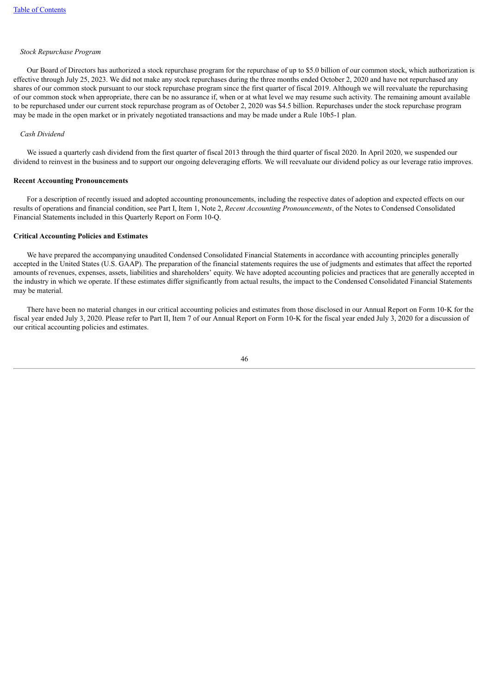#### *Stock Repurchase Program*

Our Board of Directors has authorized a stock repurchase program for the repurchase of up to \$5.0 billion of our common stock, which authorization is effective through July 25, 2023. We did not make any stock repurchases during the three months ended October 2, 2020 and have not repurchased any shares of our common stock pursuant to our stock repurchase program since the first quarter of fiscal 2019. Although we will reevaluate the repurchasing of our common stock when appropriate, there can be no assurance if, when or at what level we may resume such activity. The remaining amount available to be repurchased under our current stock repurchase program as of October 2, 2020 was \$4.5 billion. Repurchases under the stock repurchase program may be made in the open market or in privately negotiated transactions and may be made under a Rule 10b5-1 plan.

#### *Cash Dividend*

We issued a quarterly cash dividend from the first quarter of fiscal 2013 through the third quarter of fiscal 2020. In April 2020, we suspended our dividend to reinvest in the business and to support our ongoing deleveraging efforts. We will reevaluate our dividend policy as our leverage ratio improves.

#### **Recent Accounting Pronouncements**

For a description of recently issued and adopted accounting pronouncements, including the respective dates of adoption and expected effects on our results of operations and financial condition, see Part I, Item 1, Note 2, *Recent Accounting Pronouncements*, of the Notes to Condensed Consolidated Financial Statements included in this Quarterly Report on Form 10-Q.

# **Critical Accounting Policies and Estimates**

We have prepared the accompanying unaudited Condensed Consolidated Financial Statements in accordance with accounting principles generally accepted in the United States (U.S. GAAP). The preparation of the financial statements requires the use of judgments and estimates that affect the reported amounts of revenues, expenses, assets, liabilities and shareholders' equity. We have adopted accounting policies and practices that are generally accepted in the industry in which we operate. If these estimates differ significantly from actual results, the impact to the Condensed Consolidated Financial Statements may be material.

<span id="page-45-0"></span>There have been no material changes in our critical accounting policies and estimates from those disclosed in our Annual Report on Form 10‑K for the fiscal year ended July 3, 2020. Please refer to Part II, Item 7 of our Annual Report on Form 10‑K for the fiscal year ended July 3, 2020 for a discussion of our critical accounting policies and estimates.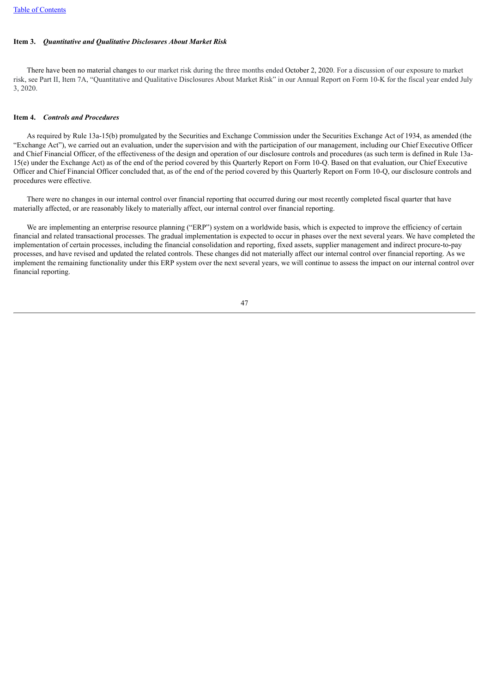# **Item 3.** *Quantitative and Qualitative Disclosures About Market Risk*

There have been no material changes to our market risk during the three months ended October 2, 2020. For a discussion of our exposure to market risk, see Part II, Item 7A, "Quantitative and Qualitative Disclosures About Market Risk" in our Annual Report on Form 10-K for the fiscal year ended July 3, 2020.

#### <span id="page-46-0"></span>**Item 4.** *Controls and Procedures*

As required by Rule 13a-15(b) promulgated by the Securities and Exchange Commission under the Securities Exchange Act of 1934, as amended (the "Exchange Act"), we carried out an evaluation, under the supervision and with the participation of our management, including our Chief Executive Officer and Chief Financial Officer, of the effectiveness of the design and operation of our disclosure controls and procedures (as such term is defined in Rule 13a-15(e) under the Exchange Act) as of the end of the period covered by this Quarterly Report on Form 10-Q. Based on that evaluation, our Chief Executive Officer and Chief Financial Officer concluded that, as of the end of the period covered by this Quarterly Report on Form 10-Q, our disclosure controls and procedures were effective.

There were no changes in our internal control over financial reporting that occurred during our most recently completed fiscal quarter that have materially affected, or are reasonably likely to materially affect, our internal control over financial reporting.

We are implementing an enterprise resource planning ("ERP") system on a worldwide basis, which is expected to improve the efficiency of certain financial and related transactional processes. The gradual implementation is expected to occur in phases over the next several years. We have completed the implementation of certain processes, including the financial consolidation and reporting, fixed assets, supplier management and indirect procure-to-pay processes, and have revised and updated the related controls. These changes did not materially affect our internal control over financial reporting. As we implement the remaining functionality under this ERP system over the next several years, we will continue to assess the impact on our internal control over financial reporting.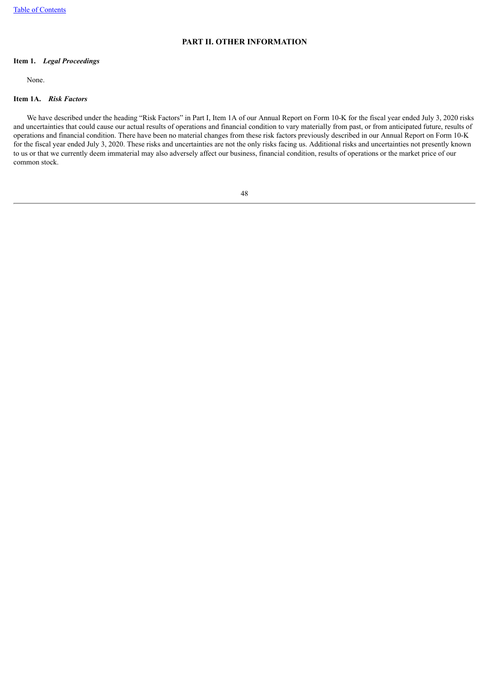# **PART II. OTHER INFORMATION**

# <span id="page-47-0"></span>**Item 1.** *Legal Proceedings*

None.

#### <span id="page-47-1"></span>**Item 1A.** *Risk Factors*

<span id="page-47-2"></span>We have described under the heading "Risk Factors" in Part I, Item 1A of our Annual Report on Form 10-K for the fiscal year ended July 3, 2020 risks and uncertainties that could cause our actual results of operations and financial condition to vary materially from past, or from anticipated future, results of operations and financial condition. There have been no material changes from these risk factors previously described in our Annual Report on Form 10-K for the fiscal year ended July 3, 2020. These risks and uncertainties are not the only risks facing us. Additional risks and uncertainties not presently known to us or that we currently deem immaterial may also adversely affect our business, financial condition, results of operations or the market price of our common stock.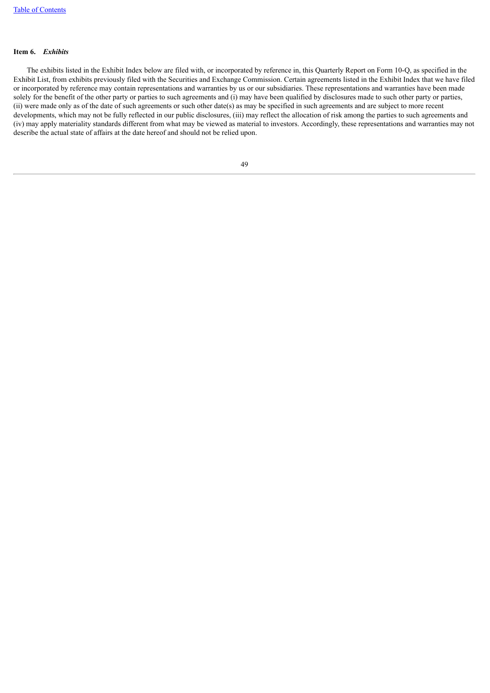# **Item 6.** *Exhibits*

The exhibits listed in the Exhibit Index below are filed with, or incorporated by reference in, this Quarterly Report on Form 10-Q, as specified in the Exhibit List, from exhibits previously filed with the Securities and Exchange Commission. Certain agreements listed in the Exhibit Index that we have filed or incorporated by reference may contain representations and warranties by us or our subsidiaries. These representations and warranties have been made solely for the benefit of the other party or parties to such agreements and (i) may have been qualified by disclosures made to such other party or parties. (ii) were made only as of the date of such agreements or such other date(s) as may be specified in such agreements and are subject to more recent developments, which may not be fully reflected in our public disclosures, (iii) may reflect the allocation of risk among the parties to such agreements and (iv) may apply materiality standards different from what may be viewed as material to investors. Accordingly, these representations and warranties may not describe the actual state of affairs at the date hereof and should not be relied upon.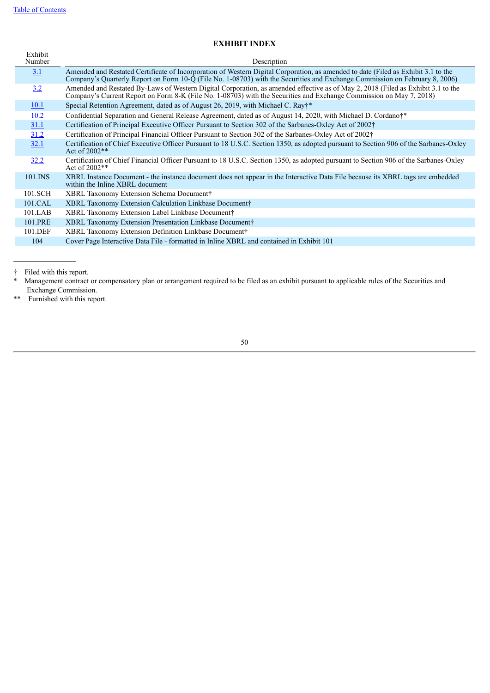# **EXHIBIT INDEX**

| Exhibit<br>Number | Description                                                                                                                                                                                                                                                      |
|-------------------|------------------------------------------------------------------------------------------------------------------------------------------------------------------------------------------------------------------------------------------------------------------|
| 3.1               | Amended and Restated Certificate of Incorporation of Western Digital Corporation, as amended to date (Filed as Exhibit 3.1 to the<br>Company's Quarterly Report on Form 10-Q (File No. 1-08703) with the Securities and Exchange Commission on February 8, 2006) |
| 3.2               | Amended and Restated By-Laws of Western Digital Corporation, as amended effective as of May 2, 2018 (Filed as Exhibit 3.1 to the<br>Company's Current Report on Form 8-K (File No. 1-08703) with the Securities and Exchange Commission on May 7, 2018)          |
| 10.1              | Special Retention Agreement, dated as of August 26, 2019, with Michael C. Ray†*                                                                                                                                                                                  |
| 10.2              | Confidential Separation and General Release Agreement, dated as of August 14, 2020, with Michael D. Cordano <sup>†*</sup>                                                                                                                                        |
| 31.1              | Certification of Principal Executive Officer Pursuant to Section 302 of the Sarbanes-Oxley Act of 2002†                                                                                                                                                          |
| 31.2              | Certification of Principal Financial Officer Pursuant to Section 302 of the Sarbanes-Oxley Act of 2002†                                                                                                                                                          |
| 32.1              | Certification of Chief Executive Officer Pursuant to 18 U.S.C. Section 1350, as adopted pursuant to Section 906 of the Sarbanes-Oxley<br>Act of $2002**$                                                                                                         |
| 32.2              | Certification of Chief Financial Officer Pursuant to 18 U.S.C. Section 1350, as adopted pursuant to Section 906 of the Sarbanes-Oxley<br>Act of $2002**$                                                                                                         |
| 101.INS           | XBRL Instance Document - the instance document does not appear in the Interactive Data File because its XBRL tags are embedded<br>within the Inline XBRL document                                                                                                |
| 101.SCH           | XBRL Taxonomy Extension Schema Document†                                                                                                                                                                                                                         |
| 101.CAL           | XBRL Taxonomy Extension Calculation Linkbase Document†                                                                                                                                                                                                           |
| 101.LAB           | XBRL Taxonomy Extension Label Linkbase Document†                                                                                                                                                                                                                 |
| 101.PRE           | XBRL Taxonomy Extension Presentation Linkbase Document†                                                                                                                                                                                                          |
| 101.DEF           | XBRL Taxonomy Extension Definition Linkbase Document†                                                                                                                                                                                                            |
| 104               | Cover Page Interactive Data File - formatted in Inline XBRL and contained in Exhibit 101                                                                                                                                                                         |
|                   |                                                                                                                                                                                                                                                                  |

<sup>†</sup> Filed with this report.

Management contract or compensatory plan or arrangement required to be filed as an exhibit pursuant to applicable rules of the Securities and Exchange Commission.

\*\* Furnished with this report.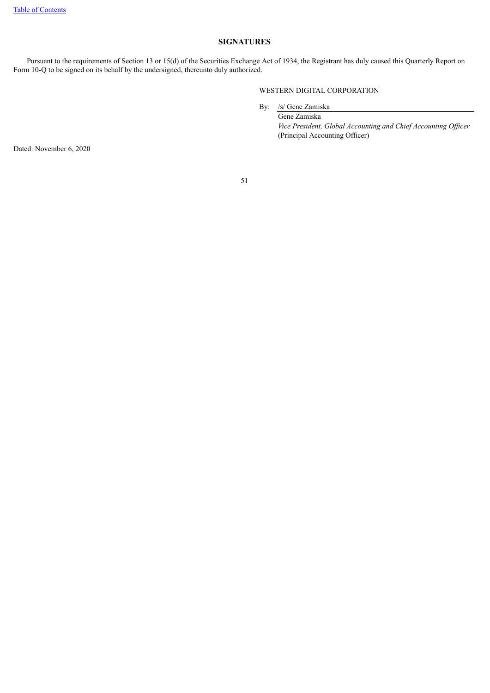# **SIGNATURES**

Pursuant to the requirements of Section 13 or 15(d) of the Securities Exchange Act of 1934, the Registrant has duly caused this Quarterly Report on Form 10-Q to be signed on its behalf by the undersigned, thereunto duly authorized.

# WESTERN DIGITAL CORPORATION

By: /s/ Gene Zamiska

Gene Zamiska *Vice President, Global Accounting and Chief Accounting Of icer* (Principal Accounting Officer)

Dated: November 6, 2020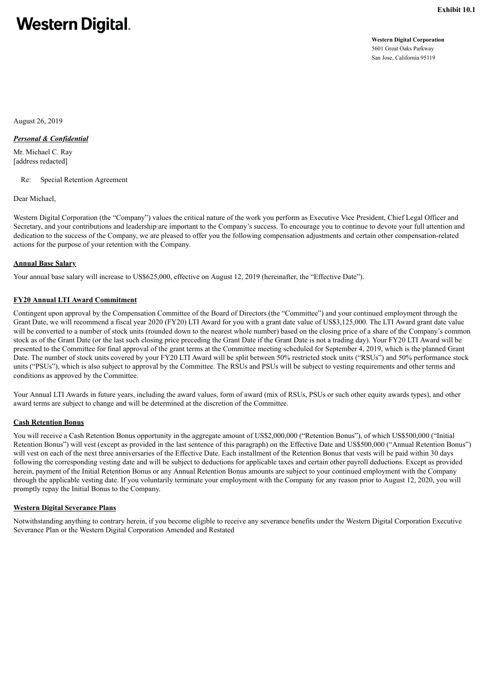# <span id="page-51-0"></span>**Western Digital.**

**Western Digital Corporation** 5601 Great Oaks Parkway San Jose, California 95119

August 26, 2019

# *Personal & Confidential*

Mr. Michael C. Ray [address redacted]

Re: Special Retention Agreement

Dear Michael,

Western Digital Corporation (the "Company") values the critical nature of the work you perform as Executive Vice President, Chief Legal Officer and Secretary, and your contributions and leadership are important to the Company's success. To encourage you to continue to devote your full attention and dedication to the success of the Company, we are pleased to offer you the following compensation adjustments and certain other compensation-related actions for the purpose of your retention with the Company.

# **Annual Base Salary**

Your annual base salary will increase to US\$625,000, effective on August 12, 2019 (hereinafter, the "Effective Date").

# **FY20 Annual LTI Award Commitment**

Contingent upon approval by the Compensation Committee of the Board of Directors (the "Committee") and your continued employment through the Grant Date, we will recommend a fiscal year 2020 (FY20) LTI Award for you with a grant date value of US\$3,125,000. The LTI Award grant date value will be converted to a number of stock units (rounded down to the nearest whole number) based on the closing price of a share of the Company's common stock as of the Grant Date (or the last such closing price preceding the Grant Date if the Grant Date is not a trading day). Your FY20 LTI Award will be presented to the Committee for final approval of the grant terms at the Committee meeting scheduled for September 4, 2019, which is the planned Grant Date. The number of stock units covered by your FY20 LTI Award will be split between 50% restricted stock units ("RSUs") and 50% performance stock units ("PSUs"), which is also subject to approval by the Committee. The RSUs and PSUs will be subject to vesting requirements and other terms and conditions as approved by the Committee.

Your Annual LTI Awards in future years, including the award values, form of award (mix of RSUs, PSUs or such other equity awards types), and other award terms are subject to change and will be determined at the discretion of the Committee.

#### **Cash Retention Bonus**

You will receive a Cash Retention Bonus opportunity in the aggregate amount of US\$2,000,000 ("Retention Bonus"), of which US\$500,000 ("Initial Retention Bonus") will vest (except as provided in the last sentence of this paragraph) on the Effective Date and US\$500,000 ("Annual Retention Bonus") will vest on each of the next three anniversaries of the Effective Date. Each installment of the Retention Bonus that vests will be paid within 30 days following the corresponding vesting date and will be subject to deductions for applicable taxes and certain other payroll deductions. Except as provided herein, payment of the Initial Retention Bonus or any Annual Retention Bonus amounts are subject to your continued employment with the Company through the applicable vesting date. If you voluntarily terminate your employment with the Company for any reason prior to August 12, 2020, you will promptly repay the Initial Bonus to the Company.

# **Western Digital Severance Plans**

Notwithstanding anything to contrary herein, if you become eligible to receive any severance benefits under the Western Digital Corporation Executive Severance Plan or the Western Digital Corporation Amended and Restated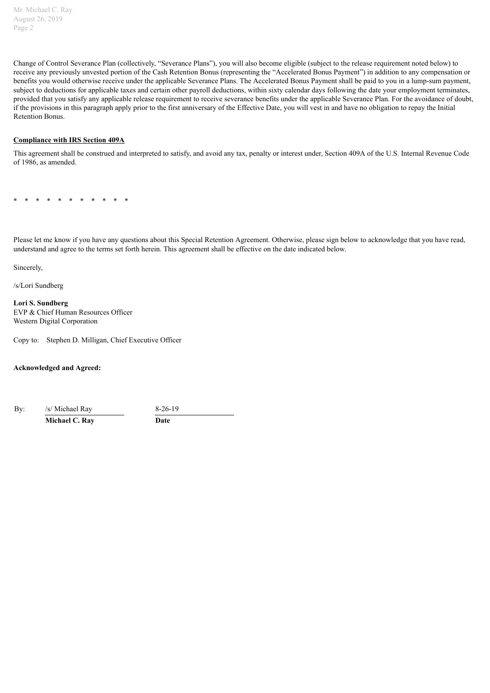Mr. Michael C. Ray August 26, 2019 Page 2

Change of Control Severance Plan (collectively, "Severance Plans"), you will also become eligible (subject to the release requirement noted below) to receive any previously unvested portion of the Cash Retention Bonus (representing the "Accelerated Bonus Payment") in addition to any compensation or benefits you would otherwise receive under the applicable Severance Plans. The Accelerated Bonus Payment shall be paid to you in a lump-sum payment, subject to deductions for applicable taxes and certain other payroll deductions, within sixty calendar days following the date your employment terminates, provided that you satisfy any applicable release requirement to receive severance benefits under the applicable Severance Plan. For the avoidance of doubt, if the provisions in this paragraph apply prior to the first anniversary of the Effective Date, you will vest in and have no obligation to repay the Initial Retention Bonus.

# **Compliance with IRS Section 409A**

This agreement shall be construed and interpreted to satisfy, and avoid any tax, penalty or interest under, Section 409A of the U.S. Internal Revenue Code of 1986, as amended.

\* \* \* \* \* \* \* \* \* \* \*

Please let me know if you have any questions about this Special Retention Agreement. Otherwise, please sign below to acknowledge that you have read, understand and agree to the terms set forth herein. This agreement shall be effective on the date indicated below.

Sincerely,

/s/Lori Sundberg

**Lori S. Sundberg** EVP & Chief Human Resources Officer Western Digital Corporation

Copy to: Stephen D. Milligan, Chief Executive Officer

**Acknowledged and Agreed:**

By: /s/ Michael Ray 8-26-19

**Michael C. Ray Date**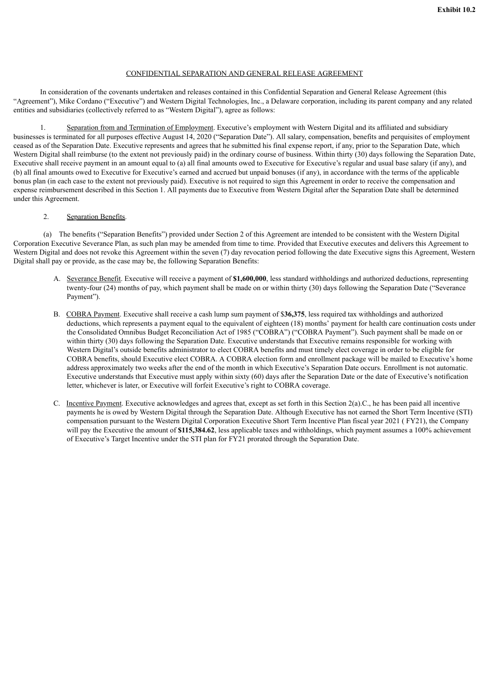#### CONFIDENTIAL SEPARATION AND GENERAL RELEASE AGREEMENT

<span id="page-53-0"></span>In consideration of the covenants undertaken and releases contained in this Confidential Separation and General Release Agreement (this "Agreement"), Mike Cordano ("Executive") and Western Digital Technologies, Inc., a Delaware corporation, including its parent company and any related entities and subsidiaries (collectively referred to as "Western Digital"), agree as follows:

Separation from and Termination of Employment. Executive's employment with Western Digital and its affiliated and subsidiary businesses is terminated for all purposes effective August 14, 2020 ("Separation Date"). All salary, compensation, benefits and perquisites of employment ceased as of the Separation Date. Executive represents and agrees that he submitted his final expense report, if any, prior to the Separation Date, which Western Digital shall reimburse (to the extent not previously paid) in the ordinary course of business. Within thirty (30) days following the Separation Date, Executive shall receive payment in an amount equal to (a) all final amounts owed to Executive for Executive's regular and usual base salary (if any), and (b) all final amounts owed to Executive for Executive's earned and accrued but unpaid bonuses (if any), in accordance with the terms of the applicable bonus plan (in each case to the extent not previously paid). Executive is not required to sign this Agreement in order to receive the compensation and expense reimbursement described in this Section 1. All payments due to Executive from Western Digital after the Separation Date shall be determined under this Agreement.

# 2. Separation Benefits.

(a) The benefits ("Separation Benefits") provided under Section 2 of this Agreement are intended to be consistent with the Western Digital Corporation Executive Severance Plan, as such plan may be amended from time to time. Provided that Executive executes and delivers this Agreement to Western Digital and does not revoke this Agreement within the seven (7) day revocation period following the date Executive signs this Agreement, Western Digital shall pay or provide, as the case may be, the following Separation Benefits:

- A. Severance Benefit. Executive will receive a payment of **\$1,600,000**, less standard withholdings and authorized deductions, representing  $\frac{1}{2}$  twenty-four (24) months of pay, which payment shall be made on or within thirty (30) days following the Separation Date ("Severance" Payment").
- B. COBRA Payment. Executive shall receive a cash lump sum payment of \$**36,375**, less required tax withholdings and authorized deductions, which represents a payment equal to the equivalent of eighteen (18) months' payment for health care continuation costs under the Consolidated Omnibus Budget Reconciliation Act of 1985 ("COBRA") ("COBRA Payment"). Such payment shall be made on or within thirty (30) days following the Separation Date. Executive understands that Executive remains responsible for working with Western Digital's outside benefits administrator to elect COBRA benefits and must timely elect coverage in order to be eligible for COBRA benefits, should Executive elect COBRA. A COBRA election form and enrollment package will be mailed to Executive's home address approximately two weeks after the end of the month in which Executive's Separation Date occurs. Enrollment is not automatic. Executive understands that Executive must apply within sixty (60) days after the Separation Date or the date of Executive's notification letter, whichever is later, or Executive will forfeit Executive's right to COBRA coverage.
- C. Incentive Payment. Executive acknowledges and agrees that, except as set forth in this Section 2(a).C., he has been paid all incentive payments he is owed by Western Digital through the Separation Date. Although Executive has not earned the Short Term Incentive (STI) compensation pursuant to the Western Digital Corporation Executive Short Term Incentive Plan fiscal year 2021 ( FY21), the Company will pay the Executive the amount of **\$115,384.62**, less applicable taxes and withholdings, which payment assumes a 100% achievement of Executive's Target Incentive under the STI plan for FY21 prorated through the Separation Date.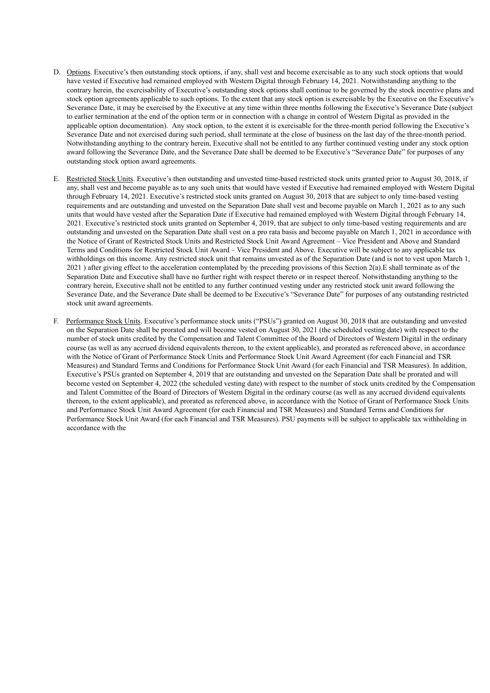- D. Options. Executive's then outstanding stock options, if any, shall vest and become exercisable as to any such stock options that would have vested if Executive had remained employed with Western Digital through February 14, 2021. Notwithstanding anything to the contrary herein, the exercisability of Executive's outstanding stock options shall continue to be governed by the stock incentive plans and stock option agreements applicable to such options. To the extent that any stock option is exercisable by the Executive on the Executive's Severance Date, it may be exercised by the Executive at any time within three months following the Executive's Severance Date (subject to earlier termination at the end of the option term or in connection with a change in control of Western Digital as provided in the applicable option documentation). Any stock option, to the extent it is exercisable for the three-month period following the Executive's Severance Date and not exercised during such period, shall terminate at the close of business on the last day of the three-month period. Notwithstanding anything to the contrary herein, Executive shall not be entitled to any further continued vesting under any stock option award following the Severance Date, and the Severance Date shall be deemed to be Executive's "Severance Date" for purposes of any outstanding stock option award agreements.
- E. Restricted Stock Units. Executive's then outstanding and unvested time-based restricted stock units granted prior to August 30, 2018, if any, shall vest and become payable as to any such units that would have vested if Executive had remained employed with Western Digital through February 14, 2021. Executive's restricted stock units granted on August 30, 2018 that are subject to only time-based vesting requirements and are outstanding and unvested on the Separation Date shall vest and become payable on March 1, 2021 as to any such units that would have vested after the Separation Date if Executive had remained employed with Western Digital through February 14, 2021. Executive's restricted stock units granted on September 4, 2019, that are subject to only time-based vesting requirements and are outstanding and unvested on the Separation Date shall vest on a pro rata basis and become payable on March 1, 2021 in accordance with the Notice of Grant of Restricted Stock Units and Restricted Stock Unit Award Agreement – Vice President and Above and Standard Terms and Conditions for Restricted Stock Unit Award – Vice President and Above. Executive will be subject to any applicable tax withholdings on this income. Any restricted stock unit that remains unvested as of the Separation Date (and is not to vest upon March 1, 2021 ) after giving effect to the acceleration contemplated by the preceding provisions of this Section 2(a).E shall terminate as of the Separation Date and Executive shall have no further right with respect thereto or in respect thereof. Notwithstanding anything to the contrary herein, Executive shall not be entitled to any further continued vesting under any restricted stock unit award following the Severance Date, and the Severance Date shall be deemed to be Executive's "Severance Date" for purposes of any outstanding restricted stock unit award agreements.
- F. Performance Stock Units. Executive's performance stock units ("PSUs") granted on August 30, 2018 that are outstanding and unvested on the Separation Date shall be prorated and will become vested on August 30, 2021 (the scheduled vesting date) with respect to the number of stock units credited by the Compensation and Talent Committee of the Board of Directors of Western Digital in the ordinary course (as well as any accrued dividend equivalents thereon, to the extent applicable), and prorated as referenced above, in accordance with the Notice of Grant of Performance Stock Units and Performance Stock Unit Award Agreement (for each Financial and TSR Measures) and Standard Terms and Conditions for Performance Stock Unit Award (for each Financial and TSR Measures). In addition, Executive's PSUs granted on September 4, 2019 that are outstanding and unvested on the Separation Date shall be prorated and will become vested on September 4, 2022 (the scheduled vesting date) with respect to the number of stock units credited by the Compensation and Talent Committee of the Board of Directors of Western Digital in the ordinary course (as well as any accrued dividend equivalents thereon, to the extent applicable), and prorated as referenced above, in accordance with the Notice of Grant of Performance Stock Units and Performance Stock Unit Award Agreement (for each Financial and TSR Measures) and Standard Terms and Conditions for Performance Stock Unit Award (for each Financial and TSR Measures). PSU payments will be subject to applicable tax withholding in accordance with the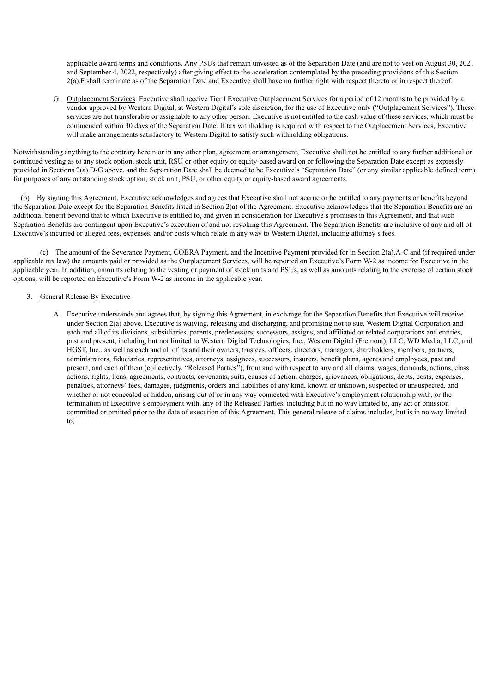applicable award terms and conditions. Any PSUs that remain unvested as of the Separation Date (and are not to vest on August 30, 2021 and September 4, 2022, respectively) after giving effect to the acceleration contemplated by the preceding provisions of this Section 2(a).F shall terminate as of the Separation Date and Executive shall have no further right with respect thereto or in respect thereof.

G. Outplacement Services. Executive shall receive Tier I Executive Outplacement Services for a period of 12 months to be provided by a vendor approved by Western Digital, at Western Digital's sole discretion, for the use of Executive only ("Outplacement Services"). These services are not transferable or assignable to any other person. Executive is not entitled to the cash value of these services, which must be commenced within 30 days of the Separation Date. If tax withholding is required with respect to the Outplacement Services, Executive will make arrangements satisfactory to Western Digital to satisfy such withholding obligations.

Notwithstanding anything to the contrary herein or in any other plan, agreement or arrangement, Executive shall not be entitled to any further additional or continued vesting as to any stock option, stock unit, RSU or other equity or equity-based award on or following the Separation Date except as expressly provided in Sections 2(a).D-G above, and the Separation Date shall be deemed to be Executive's "Separation Date" (or any similar applicable defined term) for purposes of any outstanding stock option, stock unit, PSU, or other equity or equity-based award agreements.

(b) By signing this Agreement, Executive acknowledges and agrees that Executive shall not accrue or be entitled to any payments or benefits beyond the Separation Date except for the Separation Benefits listed in Section 2(a) of the Agreement. Executive acknowledges that the Separation Benefits are an additional benefit beyond that to which Executive is entitled to, and given in consideration for Executive's promises in this Agreement, and that such Separation Benefits are contingent upon Executive's execution of and not revoking this Agreement. The Separation Benefits are inclusive of any and all of Executive's incurred or alleged fees, expenses, and/or costs which relate in any way to Western Digital, including attorney's fees.

(c) The amount of the Severance Payment, COBRA Payment, and the Incentive Payment provided for in Section 2(a).A-C and (if required under applicable tax law) the amounts paid or provided as the Outplacement Services, will be reported on Executive's Form W-2 as income for Executive in the applicable year. In addition, amounts relating to the vesting or payment of stock units and PSUs, as well as amounts relating to the exercise of certain stock options, will be reported on Executive's Form W-2 as income in the applicable year.

# 3. General Release By Executive

A. Executive understands and agrees that, by signing this Agreement, in exchange for the Separation Benefits that Executive will receive under Section 2(a) above, Executive is waiving, releasing and discharging, and promising not to sue, Western Digital Corporation and each and all of its divisions, subsidiaries, parents, predecessors, successors, assigns, and affiliated or related corporations and entities, past and present, including but not limited to Western Digital Technologies, Inc., Western Digital (Fremont), LLC, WD Media, LLC, and HGST, Inc., as well as each and all of its and their owners, trustees, officers, directors, managers, shareholders, members, partners, administrators, fiduciaries, representatives, attorneys, assignees, successors, insurers, benefit plans, agents and employees, past and present, and each of them (collectively, "Released Parties"), from and with respect to any and all claims, wages, demands, actions, class actions, rights, liens, agreements, contracts, covenants, suits, causes of action, charges, grievances, obligations, debts, costs, expenses, penalties, attorneys' fees, damages, judgments, orders and liabilities of any kind, known or unknown, suspected or unsuspected, and whether or not concealed or hidden, arising out of or in any way connected with Executive's employment relationship with, or the termination of Executive's employment with, any of the Released Parties, including but in no way limited to, any act or omission committed or omitted prior to the date of execution of this Agreement. This general release of claims includes, but is in no way limited to,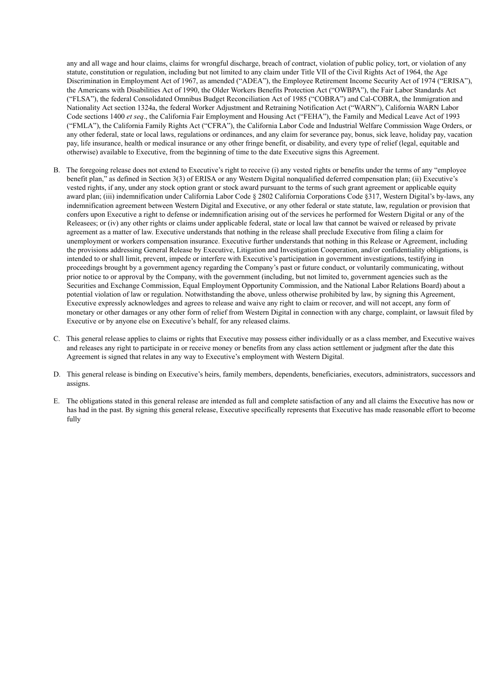any and all wage and hour claims, claims for wrongful discharge, breach of contract, violation of public policy, tort, or violation of any statute, constitution or regulation, including but not limited to any claim under Title VII of the Civil Rights Act of 1964, the Age Discrimination in Employment Act of 1967, as amended ("ADEA"), the Employee Retirement Income Security Act of 1974 ("ERISA"), the Americans with Disabilities Act of 1990, the Older Workers Benefits Protection Act ("OWBPA"), the Fair Labor Standards Act ("FLSA"), the federal Consolidated Omnibus Budget Reconciliation Act of 1985 ("COBRA") and Cal-COBRA, the Immigration and Nationality Act section 1324a, the federal Worker Adjustment and Retraining Notification Act ("WARN"), California WARN Labor Code sections 1400 *et seq*., the California Fair Employment and Housing Act ("FEHA"), the Family and Medical Leave Act of 1993 ("FMLA"), the California Family Rights Act ("CFRA"), the California Labor Code and Industrial Welfare Commission Wage Orders, or any other federal, state or local laws, regulations or ordinances, and any claim for severance pay, bonus, sick leave, holiday pay, vacation pay, life insurance, health or medical insurance or any other fringe benefit, or disability, and every type of relief (legal, equitable and otherwise) available to Executive, from the beginning of time to the date Executive signs this Agreement.

- B. The foregoing release does not extend to Executive's right to receive (i) any vested rights or benefits under the terms of any "employee benefit plan," as defined in Section 3(3) of ERISA or any Western Digital nonqualified deferred compensation plan; (ii) Executive's vested rights, if any, under any stock option grant or stock award pursuant to the terms of such grant agreement or applicable equity award plan; (iii) indemnification under California Labor Code § 2802 California Corporations Code §317, Western Digital's by-laws, any indemnification agreement between Western Digital and Executive, or any other federal or state statute, law, regulation or provision that confers upon Executive a right to defense or indemnification arising out of the services he performed for Western Digital or any of the Releasees; or (iv) any other rights or claims under applicable federal, state or local law that cannot be waived or released by private agreement as a matter of law. Executive understands that nothing in the release shall preclude Executive from filing a claim for unemployment or workers compensation insurance. Executive further understands that nothing in this Release or Agreement, including the provisions addressing General Release by Executive, Litigation and Investigation Cooperation, and/or confidentiality obligations, is intended to or shall limit, prevent, impede or interfere with Executive's participation in government investigations, testifying in proceedings brought by a government agency regarding the Company's past or future conduct, or voluntarily communicating, without prior notice to or approval by the Company, with the government (including, but not limited to, government agencies such as the Securities and Exchange Commission, Equal Employment Opportunity Commission, and the National Labor Relations Board) about a potential violation of law or regulation. Notwithstanding the above, unless otherwise prohibited by law, by signing this Agreement, Executive expressly acknowledges and agrees to release and waive any right to claim or recover, and will not accept, any form of monetary or other damages or any other form of relief from Western Digital in connection with any charge, complaint, or lawsuit filed by Executive or by anyone else on Executive's behalf, for any released claims.
- C. This general release applies to claims or rights that Executive may possess either individually or as a class member, and Executive waives and releases any right to participate in or receive money or benefits from any class action settlement or judgment after the date this Agreement is signed that relates in any way to Executive's employment with Western Digital.
- D. This general release is binding on Executive's heirs, family members, dependents, beneficiaries, executors, administrators, successors and assigns.
- E. The obligations stated in this general release are intended as full and complete satisfaction of any and all claims the Executive has now or has had in the past. By signing this general release, Executive specifically represents that Executive has made reasonable effort to become fully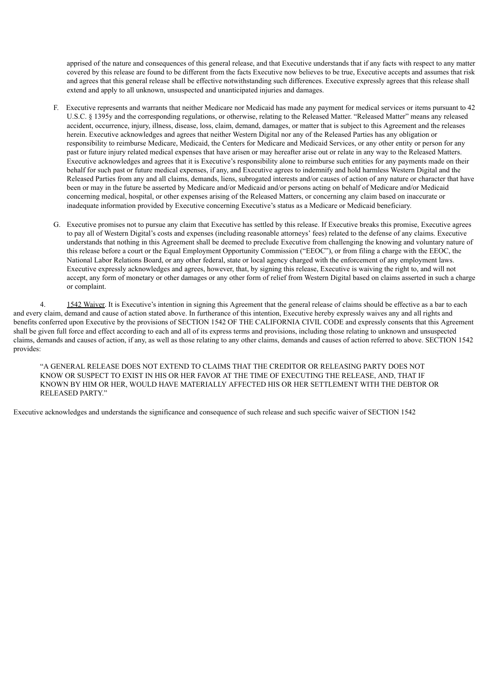apprised of the nature and consequences of this general release, and that Executive understands that if any facts with respect to any matter covered by this release are found to be different from the facts Executive now believes to be true, Executive accepts and assumes that risk and agrees that this general release shall be effective notwithstanding such differences. Executive expressly agrees that this release shall extend and apply to all unknown, unsuspected and unanticipated injuries and damages.

- F. Executive represents and warrants that neither Medicare nor Medicaid has made any payment for medical services or items pursuant to 42 U.S.C. § 1395y and the corresponding regulations, or otherwise, relating to the Released Matter. "Released Matter" means any released accident, occurrence, injury, illness, disease, loss, claim, demand, damages, or matter that is subject to this Agreement and the releases herein. Executive acknowledges and agrees that neither Western Digital nor any of the Released Parties has any obligation or responsibility to reimburse Medicare, Medicaid, the Centers for Medicare and Medicaid Services, or any other entity or person for any past or future injury related medical expenses that have arisen or may hereafter arise out or relate in any way to the Released Matters. Executive acknowledges and agrees that it is Executive's responsibility alone to reimburse such entities for any payments made on their behalf for such past or future medical expenses, if any, and Executive agrees to indemnify and hold harmless Western Digital and the Released Parties from any and all claims, demands, liens, subrogated interests and/or causes of action of any nature or character that have been or may in the future be asserted by Medicare and/or Medicaid and/or persons acting on behalf of Medicare and/or Medicaid concerning medical, hospital, or other expenses arising of the Released Matters, or concerning any claim based on inaccurate or inadequate information provided by Executive concerning Executive's status as a Medicare or Medicaid beneficiary.
- G. Executive promises not to pursue any claim that Executive has settled by this release. If Executive breaks this promise, Executive agrees to pay all of Western Digital's costs and expenses (including reasonable attorneys' fees) related to the defense of any claims. Executive understands that nothing in this Agreement shall be deemed to preclude Executive from challenging the knowing and voluntary nature of this release before a court or the Equal Employment Opportunity Commission ("EEOC"), or from filing a charge with the EEOC, the National Labor Relations Board, or any other federal, state or local agency charged with the enforcement of any employment laws. Executive expressly acknowledges and agrees, however, that, by signing this release, Executive is waiving the right to, and will not accept, any form of monetary or other damages or any other form of relief from Western Digital based on claims asserted in such a charge or complaint.

4. 1542 Waiver. It is Executive's intention in signing this Agreement that the general release of claims should be effective as a bar to each and every claim, demand and cause of action stated above. In furtherance of this intention, Executive hereby expressly waives any and all rights and benefits conferred upon Executive by the provisions of SECTION 1542 OF THE CALIFORNIA CIVIL CODE and expressly consents that this Agreement shall be given full force and effect according to each and all of its express terms and provisions, including those relating to unknown and unsuspected claims, demands and causes of action, if any, as well as those relating to any other claims, demands and causes of action referred to above. SECTION 1542 provides:

"A GENERAL RELEASE DOES NOT EXTEND TO CLAIMS THAT THE CREDITOR OR RELEASING PARTY DOES NOT KNOW OR SUSPECT TO EXIST IN HIS OR HER FAVOR AT THE TIME OF EXECUTING THE RELEASE, AND, THAT IF KNOWN BY HIM OR HER, WOULD HAVE MATERIALLY AFFECTED HIS OR HER SETTLEMENT WITH THE DEBTOR OR RELEASED PARTY."

Executive acknowledges and understands the significance and consequence of such release and such specific waiver of SECTION 1542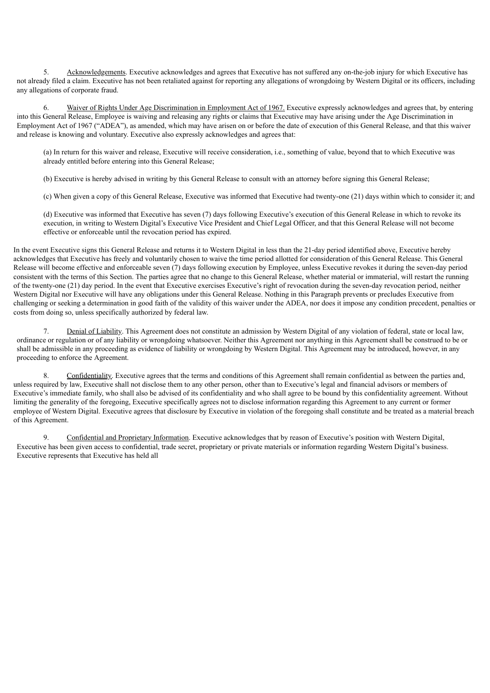5. Acknowledgements. Executive acknowledges and agrees that Executive has not suffered any on-the-job injury for which Executive has not already filed a claim. Executive has not been retaliated against for reporting any allegations of wrongdoing by Western Digital or its officers, including any allegations of corporate fraud.

Waiver of Rights Under Age Discrimination in Employment Act of 1967. Executive expressly acknowledges and agrees that, by entering into this General Release, Employee is waiving and releasing any rights or claims that Executive may have arising under the Age Discrimination in Employment Act of 1967 ("ADEA"), as amended, which may have arisen on or before the date of execution of this General Release, and that this waiver and release is knowing and voluntary. Executive also expressly acknowledges and agrees that:

(a) In return for this waiver and release, Executive will receive consideration, i.e., something of value, beyond that to which Executive was already entitled before entering into this General Release;

(b) Executive is hereby advised in writing by this General Release to consult with an attorney before signing this General Release;

(c) When given a copy of this General Release, Executive was informed that Executive had twenty-one (21) days within which to consider it; and

(d) Executive was informed that Executive has seven (7) days following Executive's execution of this General Release in which to revoke its execution, in writing to Western Digital's Executive Vice President and Chief Legal Officer, and that this General Release will not become effective or enforceable until the revocation period has expired.

In the event Executive signs this General Release and returns it to Western Digital in less than the 21-day period identified above, Executive hereby acknowledges that Executive has freely and voluntarily chosen to waive the time period allotted for consideration of this General Release. This General Release will become effective and enforceable seven (7) days following execution by Employee, unless Executive revokes it during the seven-day period consistent with the terms of this Section. The parties agree that no change to this General Release, whether material or immaterial, will restart the running of the twenty-one (21) day period. In the event that Executive exercises Executive's right of revocation during the seven-day revocation period, neither Western Digital nor Executive will have any obligations under this General Release. Nothing in this Paragraph prevents or precludes Executive from challenging or seeking a determination in good faith of the validity of this waiver under the ADEA, nor does it impose any condition precedent, penalties or costs from doing so, unless specifically authorized by federal law.

7. Denial of Liability. This Agreement does not constitute an admission by Western Digital of any violation of federal, state or local law, ordinance or regulation or of any liability or wrongdoing whatsoever. Neither this Agreement nor anything in this Agreement shall be construed to be or shall be admissible in any proceeding as evidence of liability or wrongdoing by Western Digital. This Agreement may be introduced, however, in any proceeding to enforce the Agreement.

8. Confidentiality. Executive agrees that the terms and conditions of this Agreement shall remain confidential as between the parties and, unless required by law, Executive shall not disclose them to any other person, other than to Executive's legal and financial advisors or members of Executive's immediate family, who shall also be advised of its confidentiality and who shall agree to be bound by this confidentiality agreement. Without limiting the generality of the foregoing, Executive specifically agrees not to disclose information regarding this Agreement to any current or former employee of Western Digital. Executive agrees that disclosure by Executive in violation of the foregoing shall constitute and be treated as a material breach of this Agreement.

Confidential and Proprietary Information. Executive acknowledges that by reason of Executive's position with Western Digital, Executive has been given access to confidential, trade secret, proprietary or private materials or information regarding Western Digital's business. Executive represents that Executive has held all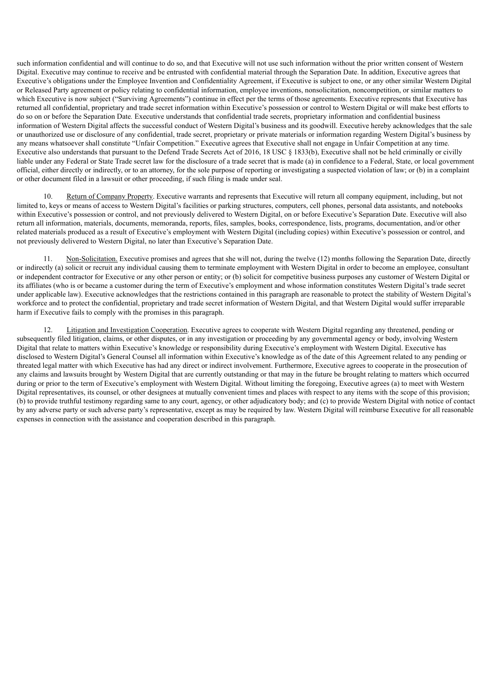such information confidential and will continue to do so, and that Executive will not use such information without the prior written consent of Western Digital. Executive may continue to receive and be entrusted with confidential material through the Separation Date. In addition, Executive agrees that Executive's obligations under the Employee Invention and Confidentiality Agreement, if Executive is subject to one, or any other similar Western Digital or Released Party agreement or policy relating to confidential information, employee inventions, nonsolicitation, noncompetition, or similar matters to which Executive is now subject ("Surviving Agreements") continue in effect per the terms of those agreements. Executive represents that Executive has returned all confidential, proprietary and trade secret information within Executive's possession or control to Western Digital or will make best efforts to do so on or before the Separation Date*.* Executive understands that confidential trade secrets, proprietary information and confidential business information of Western Digital affects the successful conduct of Western Digital's business and its goodwill. Executive hereby acknowledges that the sale or unauthorized use or disclosure of any confidential, trade secret, proprietary or private materials or information regarding Western Digital's business by any means whatsoever shall constitute "Unfair Competition." Executive agrees that Executive shall not engage in Unfair Competition at any time. Executive also understands that pursuant to the Defend Trade Secrets Act of 2016, 18 USC § 1833(b), Executive shall not be held criminally or civilly liable under any Federal or State Trade secret law for the disclosure of a trade secret that is made (a) in confidence to a Federal, State, or local government official, either directly or indirectly, or to an attorney, for the sole purpose of reporting or investigating a suspected violation of law; or (b) in a complaint or other document filed in a lawsuit or other proceeding, if such filing is made under seal.

Return of Company Property. Executive warrants and represents that Executive will return all company equipment, including, but not limited to, keys or means of access to Western Digital's facilities or parking structures, computers, cell phones, personal data assistants, and notebooks within Executive's possession or control, and not previously delivered to Western Digital, on or before Executive's Separation Date. Executive will also return all information, materials, documents, memoranda, reports, files, samples, books, correspondence, lists, programs, documentation, and/or other related materials produced as a result of Executive's employment with Western Digital (including copies) within Executive's possession or control, and not previously delivered to Western Digital, no later than Executive's Separation Date.

11. Non-Solicitation. Executive promises and agrees that she will not, during the twelve (12) months following the Separation Date, directly or indirectly (a) solicit or recruit any individual causing them to terminate employment with Western Digital in order to become an employee, consultant or independent contractor for Executive or any other person or entity; or (b) solicit for competitive business purposes any customer of Western Digital or its affiliates (who is or became a customer during the term of Executive's employment and whose information constitutes Western Digital's trade secret under applicable law). Executive acknowledges that the restrictions contained in this paragraph are reasonable to protect the stability of Western Digital's workforce and to protect the confidential, proprietary and trade secret information of Western Digital, and that Western Digital would suffer irreparable harm if Executive fails to comply with the promises in this paragraph.

Litigation and Investigation Cooperation. Executive agrees to cooperate with Western Digital regarding any threatened, pending or subsequently filed litigation, claims, or other disputes, or in any investigation or proceeding by any governmental agency or body, involving Western Digital that relate to matters within Executive's knowledge or responsibility during Executive's employment with Western Digital. Executive has disclosed to Western Digital's General Counsel all information within Executive's knowledge as of the date of this Agreement related to any pending or threated legal matter with which Executive has had any direct or indirect involvement. Furthermore, Executive agrees to cooperate in the prosecution of any claims and lawsuits brought by Western Digital that are currently outstanding or that may in the future be brought relating to matters which occurred during or prior to the term of Executive's employment with Western Digital. Without limiting the foregoing, Executive agrees (a) to meet with Western Digital representatives, its counsel, or other designees at mutually convenient times and places with respect to any items with the scope of this provision; (b) to provide truthful testimony regarding same to any court, agency, or other adjudicatory body; and (c) to provide Western Digital with notice of contact by any adverse party or such adverse party's representative, except as may be required by law. Western Digital will reimburse Executive for all reasonable expenses in connection with the assistance and cooperation described in this paragraph.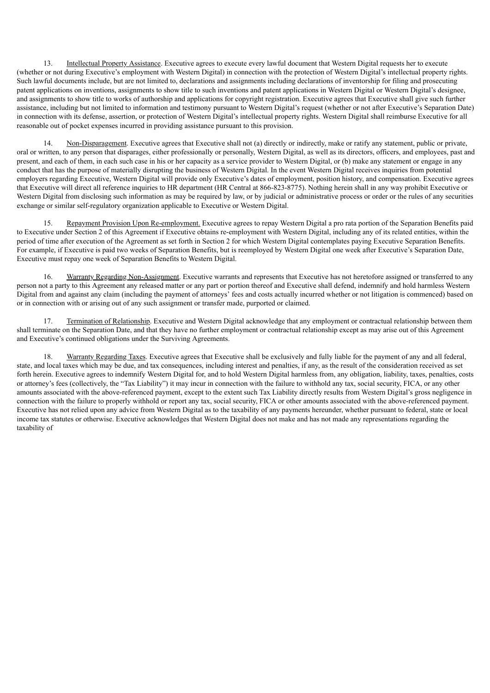13. Intellectual Property Assistance. Executive agrees to execute every lawful document that Western Digital requests her to execute (whether or not during Executive's employment with Western Digital) in connection with the protection of Western Digital's intellectual property rights. Such lawful documents include, but are not limited to, declarations and assignments including declarations of inventorship for filing and prosecuting patent applications on inventions, assignments to show title to such inventions and patent applications in Western Digital or Western Digital's designee, and assignments to show title to works of authorship and applications for copyright registration. Executive agrees that Executive shall give such further assistance, including but not limited to information and testimony pursuant to Western Digital's request (whether or not after Executive's Separation Date) in connection with its defense, assertion, or protection of Western Digital's intellectual property rights. Western Digital shall reimburse Executive for all reasonable out of pocket expenses incurred in providing assistance pursuant to this provision.

14. Non-Disparagement. Executive agrees that Executive shall not (a) directly or indirectly, make or ratify any statement, public or private, oral or written, to any person that disparages, either professionally or personally, Western Digital, as well as its directors, officers, and employees, past and present, and each of them, in each such case in his or her capacity as a service provider to Western Digital, or (b) make any statement or engage in any conduct that has the purpose of materially disrupting the business of Western Digital. In the event Western Digital receives inquiries from potential employers regarding Executive, Western Digital will provide only Executive's dates of employment, position history, and compensation. Executive agrees that Executive will direct all reference inquiries to HR department (HR Central at 866-823-8775). Nothing herein shall in any way prohibit Executive or Western Digital from disclosing such information as may be required by law, or by judicial or administrative process or order or the rules of any securities exchange or similar self-regulatory organization applicable to Executive or Western Digital.

15. Repayment Provision Upon Re-employment. Executive agrees to repay Western Digital a pro rata portion of the Separation Benefits paid to Executive under Section 2 of this Agreement if Executive obtains re-employment with Western Digital, including any of its related entities, within the period of time after execution of the Agreement as set forth in Section 2 for which Western Digital contemplates paying Executive Separation Benefits. For example, if Executive is paid two weeks of Separation Benefits, but is reemployed by Western Digital one week after Executive's Separation Date, Executive must repay one week of Separation Benefits to Western Digital.

Warranty Regarding Non-Assignment. Executive warrants and represents that Executive has not heretofore assigned or transferred to any person not a party to this Agreement any released matter or any part or portion thereof and Executive shall defend, indemnify and hold harmless Western Digital from and against any claim (including the payment of attorneys<sup>5</sup> fees and costs actually incurred whether or not litigation is commenced) based on or in connection with or arising out of any such assignment or transfer made, purported or claimed.

17. Termination of Relationship. Executive and Western Digital acknowledge that any employment or contractual relationship between them shall terminate on the Separation Date, and that they have no further employment or contractual relationship except as may arise out of this Agreement and Executive's continued obligations under the Surviving Agreements.

18. Warranty Regarding Taxes. Executive agrees that Executive shall be exclusively and fully liable for the payment of any and all federal. state, and local taxes which may be due, and tax consequences, including interest and penalties, if any, as the result of the consideration received as set forth herein. Executive agrees to indemnify Western Digital for, and to hold Western Digital harmless from, any obligation, liability, taxes, penalties, costs or attorney's fees (collectively, the "Tax Liability") it may incur in connection with the failure to withhold any tax, social security, FICA, or any other amounts associated with the above-referenced payment, except to the extent such Tax Liability directly results from Western Digital's gross negligence in connection with the failure to properly withhold or report any tax, social security, FICA or other amounts associated with the above-referenced payment. Executive has not relied upon any advice from Western Digital as to the taxability of any payments hereunder, whether pursuant to federal, state or local income tax statutes or otherwise. Executive acknowledges that Western Digital does not make and has not made any representations regarding the taxability of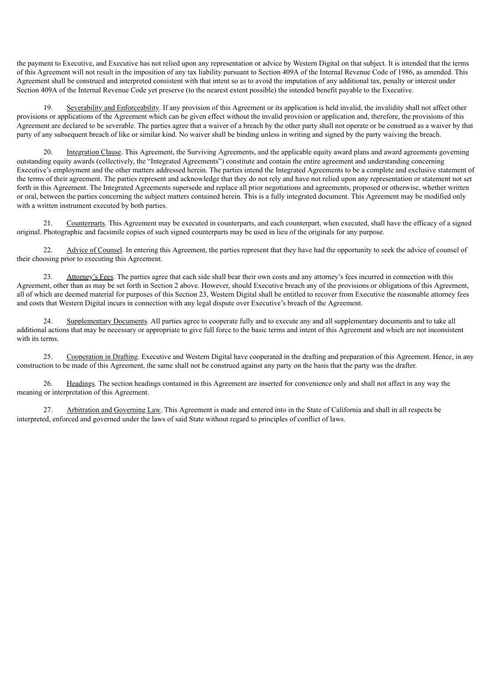the payment to Executive, and Executive has not relied upon any representation or advice by Western Digital on that subject. It is intended that the terms of this Agreement will not result in the imposition of any tax liability pursuant to Section 409A of the Internal Revenue Code of 1986, as amended. This Agreement shall be construed and interpreted consistent with that intent so as to avoid the imputation of any additional tax, penalty or interest under Section 409A of the Internal Revenue Code yet preserve (to the nearest extent possible) the intended benefit payable to the Executive.

19. Severability and Enforceability. If any provision of this Agreement or its application is held invalid, the invalidity shall not affect other provisions or applications of the Agreement which can be given effect without the invalid provision or application and, therefore, the provisions of this Agreement are declared to be severable. The parties agree that a waiver of a breach by the other party shall not operate or be construed as a waiver by that party of any subsequent breach of like or similar kind. No waiver shall be binding unless in writing and signed by the party waiving the breach.

20. Integration Clause. This Agreement, the Surviving Agreements, and the applicable equity award plans and award agreements governing outstanding equity awards (collectively, the "Integrated Agreements") constitute and contain the entire agreement and understanding concerning Executive's employment and the other matters addressed herein. The parties intend the Integrated Agreements to be a complete and exclusive statement of the terms of their agreement. The parties represent and acknowledge that they do not rely and have not relied upon any representation or statement not set forth in this Agreement. The Integrated Agreements supersede and replace all prior negotiations and agreements, proposed or otherwise, whether written or oral, between the parties concerning the subject matters contained herein. This is a fully integrated document. This Agreement may be modified only with a written instrument executed by both parties.

21. Counterparts. This Agreement may be executed in counterparts, and each counterpart, when executed, shall have the efficacy of a signed original. Photographic and facsimile copies of such signed counterparts may be used in lieu of the originals for any purpose.

22. Advice of Counsel. In entering this Agreement, the parties represent that they have had the opportunity to seek the advice of counsel of their choosing prior to executing this Agreement.

23. Attorney's Fees. The parties agree that each side shall bear their own costs and any attorney's fees incurred in connection with this Agreement, other than as may be set forth in Section 2 above. However, should Executive breach any of the provisions or obligations of this Agreement, all of which are deemed material for purposes of this Section 23, Western Digital shall be entitled to recover from Executive the reasonable attorney fees and costs that Western Digital incurs in connection with any legal dispute over Executive's breach of the Agreement.

24. Supplementary Documents. All parties agree to cooperate fully and to execute any and all supplementary documents and to take all additional actions that may be necessary or appropriate to give full force to the basic terms and intent of this Agreement and which are not inconsistent with its terms.

25. Cooperation in Drafting. Executive and Western Digital have cooperated in the drafting and preparation of this Agreement. Hence, in any construction to be made of this Agreement, the same shall not be construed against any party on the basis that the party was the drafter.

26. Headings. The section headings contained in this Agreement are inserted for convenience only and shall not affect in any way the meaning or interpretation of this Agreement.

27. Arbitration and Governing Law. This Agreement is made and entered into in the State of California and shall in all respects be interpreted, enforced and governed under the laws of said State without regard to principles of conflict of laws.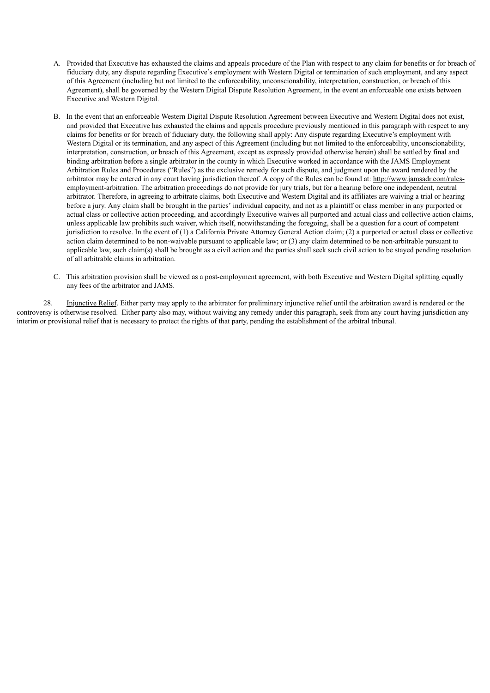- A. Provided that Executive has exhausted the claims and appeals procedure of the Plan with respect to any claim for benefits or for breach of fiduciary duty, any dispute regarding Executive's employment with Western Digital or termination of such employment, and any aspect of this Agreement (including but not limited to the enforceability, unconscionability, interpretation, construction, or breach of this Agreement), shall be governed by the Western Digital Dispute Resolution Agreement, in the event an enforceable one exists between Executive and Western Digital.
- B. In the event that an enforceable Western Digital Dispute Resolution Agreement between Executive and Western Digital does not exist, and provided that Executive has exhausted the claims and appeals procedure previously mentioned in this paragraph with respect to any claims for benefits or for breach of fiduciary duty, the following shall apply: Any dispute regarding Executive's employment with Western Digital or its termination, and any aspect of this Agreement (including but not limited to the enforceability, unconscionability, interpretation, construction, or breach of this Agreement, except as expressly provided otherwise herein) shall be settled by final and binding arbitration before a single arbitrator in the county in which Executive worked in accordance with the JAMS Employment Arbitration Rules and Procedures ("Rules") as the exclusive remedy for such dispute, and judgment upon the award rendered by the arbitrator may be entered in any court having jurisdiction thereof. A copy of the Rules can be found at: http://www.jamsadr.com/rulesemployment-arbitration. The arbitration proceedings do not provide for jury trials, but for a hearing before one independent, neutral arbitrator. Therefore, in agreeing to arbitrate claims, both Executive and Western Digital and its affiliates are waiving a trial or hearing before a jury. Any claim shall be brought in the parties' individual capacity, and not as a plaintiff or class member in any purported or actual class or collective action proceeding, and accordingly Executive waives all purported and actual class and collective action claims, unless applicable law prohibits such waiver, which itself, notwithstanding the foregoing, shall be a question for a court of competent jurisdiction to resolve. In the event of (1) a California Private Attorney General Action claim; (2) a purported or actual class or collective action claim determined to be non-waivable pursuant to applicable law; or (3) any claim determined to be non-arbitrable pursuant to applicable law, such claim(s) shall be brought as a civil action and the parties shall seek such civil action to be stayed pending resolution of all arbitrable claims in arbitration.
- C. This arbitration provision shall be viewed as a post-employment agreement, with both Executive and Western Digital splitting equally any fees of the arbitrator and JAMS.

28. Injunctive Relief. Either party may apply to the arbitrator for preliminary injunctive relief until the arbitration award is rendered or the controversy is otherwise resolved. Either party also may, without waiving any remedy under this paragraph, seek from any court having jurisdiction any interim or provisional relief that is necessary to protect the rights of that party, pending the establishment of the arbitral tribunal.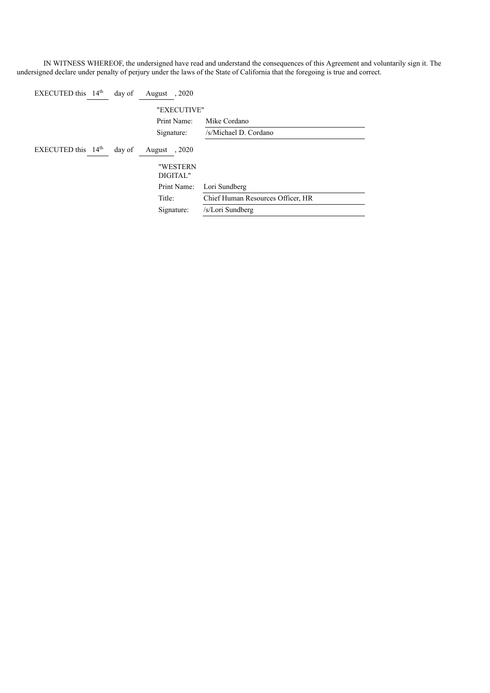IN WITNESS WHEREOF, the undersigned have read and understand the consequences of this Agreement and voluntarily sign it. The undersigned declare under penalty of perjury under the laws of the State of California that the foregoing is true and correct.

| day of<br>August, 2020 |                                   |
|------------------------|-----------------------------------|
|                        |                                   |
| Print Name:            | Mike Cordano                      |
| Signature:             | /s/Michael D. Cordano             |
| day of<br>August 2020  |                                   |
| "WESTERN<br>DIGITAL"   |                                   |
| Print Name:            | Lori Sundberg                     |
| Title:                 | Chief Human Resources Officer, HR |
| Signature:             | /s/Lori Sundberg                  |
|                        | "EXECUTIVE"                       |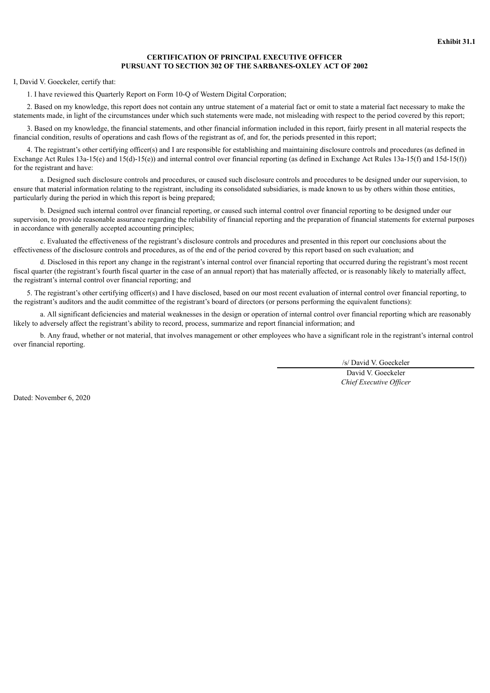# **CERTIFICATION OF PRINCIPAL EXECUTIVE OFFICER PURSUANT TO SECTION 302 OF THE SARBANES-OXLEY ACT OF 2002**

<span id="page-64-0"></span>I, David V. Goeckeler, certify that:

1. I have reviewed this Quarterly Report on Form 10-Q of Western Digital Corporation;

2. Based on my knowledge, this report does not contain any untrue statement of a material fact or omit to state a material fact necessary to make the statements made, in light of the circumstances under which such statements were made, not misleading with respect to the period covered by this report;

3. Based on my knowledge, the financial statements, and other financial information included in this report, fairly present in all material respects the financial condition, results of operations and cash flows of the registrant as of, and for, the periods presented in this report;

4. The registrant's other certifying officer(s) and I are responsible for establishing and maintaining disclosure controls and procedures (as defined in Exchange Act Rules 13a-15(e) and 15(d)-15(e)) and internal control over financial reporting (as defined in Exchange Act Rules 13a-15(f) and 15d-15(f)) for the registrant and have:

a. Designed such disclosure controls and procedures, or caused such disclosure controls and procedures to be designed under our supervision, to ensure that material information relating to the registrant, including its consolidated subsidiaries, is made known to us by others within those entities, particularly during the period in which this report is being prepared;

b. Designed such internal control over financial reporting, or caused such internal control over financial reporting to be designed under our supervision, to provide reasonable assurance regarding the reliability of financial reporting and the preparation of financial statements for external purposes in accordance with generally accepted accounting principles;

c. Evaluated the effectiveness of the registrant's disclosure controls and procedures and presented in this report our conclusions about the effectiveness of the disclosure controls and procedures, as of the end of the period covered by this report based on such evaluation; and

d. Disclosed in this report any change in the registrant's internal control over financial reporting that occurred during the registrant's most recent fiscal quarter (the registrant's fourth fiscal quarter in the case of an annual report) that has materially affected, or is reasonably likely to materially affect, the registrant's internal control over financial reporting; and

5. The registrant's other certifying officer(s) and I have disclosed, based on our most recent evaluation of internal control over financial reporting, to the registrant's auditors and the audit committee of the registrant's board of directors (or persons performing the equivalent functions):

a. All significant deficiencies and material weaknesses in the design or operation of internal control over financial reporting which are reasonably likely to adversely affect the registrant's ability to record, process, summarize and report financial information; and

b. Any fraud, whether or not material, that involves management or other employees who have a significant role in the registrant's internal control over financial reporting.

/s/ David V. Goeckeler

David V. Goeckeler *Chief Executive Of icer*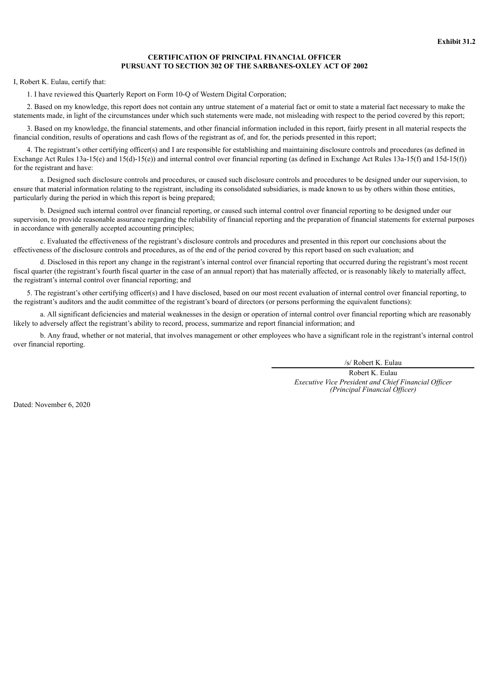# **CERTIFICATION OF PRINCIPAL FINANCIAL OFFICER PURSUANT TO SECTION 302 OF THE SARBANES-OXLEY ACT OF 2002**

<span id="page-65-0"></span>I, Robert K. Eulau, certify that:

1. I have reviewed this Quarterly Report on Form 10-Q of Western Digital Corporation;

2. Based on my knowledge, this report does not contain any untrue statement of a material fact or omit to state a material fact necessary to make the statements made, in light of the circumstances under which such statements were made, not misleading with respect to the period covered by this report;

3. Based on my knowledge, the financial statements, and other financial information included in this report, fairly present in all material respects the financial condition, results of operations and cash flows of the registrant as of, and for, the periods presented in this report;

4. The registrant's other certifying officer(s) and I are responsible for establishing and maintaining disclosure controls and procedures (as defined in Exchange Act Rules 13a-15(e) and 15(d)-15(e)) and internal control over financial reporting (as defined in Exchange Act Rules 13a-15(f) and 15d-15(f)) for the registrant and have:

a. Designed such disclosure controls and procedures, or caused such disclosure controls and procedures to be designed under our supervision, to ensure that material information relating to the registrant, including its consolidated subsidiaries, is made known to us by others within those entities, particularly during the period in which this report is being prepared;

b. Designed such internal control over financial reporting, or caused such internal control over financial reporting to be designed under our supervision, to provide reasonable assurance regarding the reliability of financial reporting and the preparation of financial statements for external purposes in accordance with generally accepted accounting principles;

c. Evaluated the effectiveness of the registrant's disclosure controls and procedures and presented in this report our conclusions about the effectiveness of the disclosure controls and procedures, as of the end of the period covered by this report based on such evaluation; and

d. Disclosed in this report any change in the registrant's internal control over financial reporting that occurred during the registrant's most recent fiscal quarter (the registrant's fourth fiscal quarter in the case of an annual report) that has materially affected, or is reasonably likely to materially affect, the registrant's internal control over financial reporting; and

5. The registrant's other certifying officer(s) and I have disclosed, based on our most recent evaluation of internal control over financial reporting, to the registrant's auditors and the audit committee of the registrant's board of directors (or persons performing the equivalent functions):

a. All significant deficiencies and material weaknesses in the design or operation of internal control over financial reporting which are reasonably likely to adversely affect the registrant's ability to record, process, summarize and report financial information; and

b. Any fraud, whether or not material, that involves management or other employees who have a significant role in the registrant's internal control over financial reporting.

/s/ Robert K. Eulau

Robert K. Eulau *Executive Vice President and Chief Financial Of icer (Principal Financial Of icer)*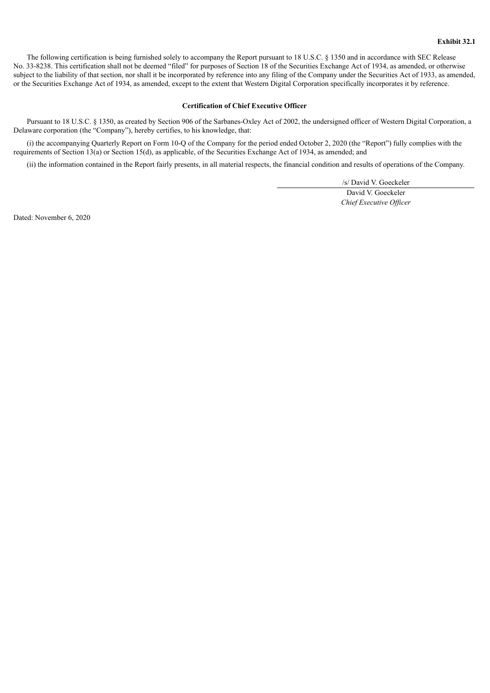## **Exhibit 32.1**

<span id="page-66-0"></span>The following certification is being furnished solely to accompany the Report pursuant to 18 U.S.C. § 1350 and in accordance with SEC Release No. 33-8238. This certification shall not be deemed "filed" for purposes of Section 18 of the Securities Exchange Act of 1934, as amended, or otherwise subject to the liability of that section, nor shall it be incorporated by reference into any filing of the Company under the Securities Act of 1933, as amended, or the Securities Exchange Act of 1934, as amended, except to the extent that Western Digital Corporation specifically incorporates it by reference.

#### **Certification of Chief Executive Officer**

Pursuant to 18 U.S.C. § 1350, as created by Section 906 of the Sarbanes-Oxley Act of 2002, the undersigned officer of Western Digital Corporation, a Delaware corporation (the "Company"), hereby certifies, to his knowledge, that:

(i) the accompanying Quarterly Report on Form 10-Q of the Company for the period ended October 2, 2020 (the "Report") fully complies with the requirements of Section 13(a) or Section 15(d), as applicable, of the Securities Exchange Act of 1934, as amended; and

(ii) the information contained in the Report fairly presents, in all material respects, the financial condition and results of operations of the Company.

/s/ David V. Goeckeler

David V. Goeckeler *Chief Executive Of icer*